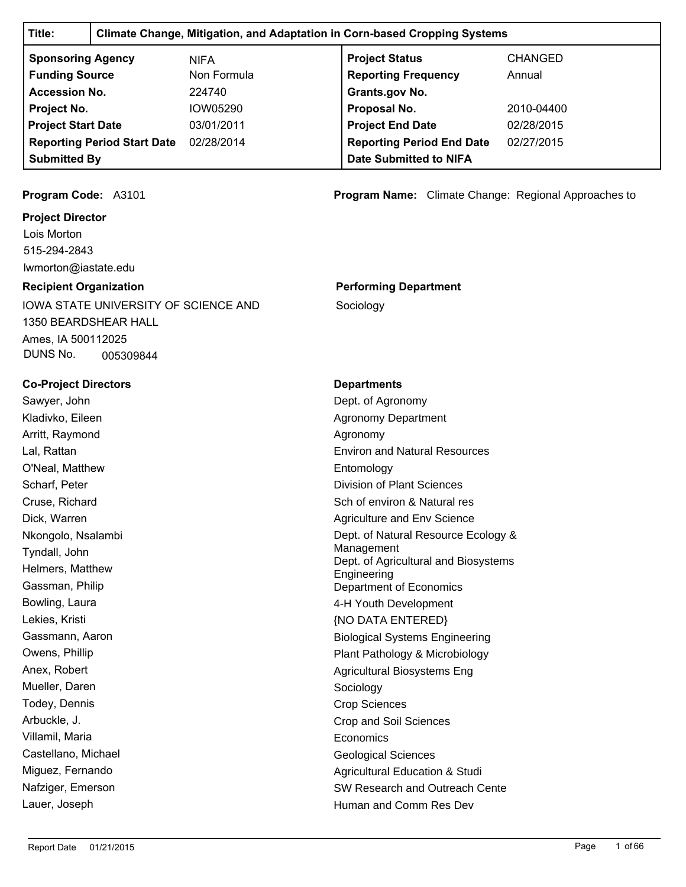| Title:                        | <b>Climate Change, Mitigation, and Adaptation in Corn-based Cropping Systems</b> |                                    |                                                             |                |  |  |
|-------------------------------|----------------------------------------------------------------------------------|------------------------------------|-------------------------------------------------------------|----------------|--|--|
| <b>Sponsoring Agency</b>      |                                                                                  | <b>NIFA</b>                        | <b>Project Status</b>                                       | <b>CHANGED</b> |  |  |
| <b>Funding Source</b>         |                                                                                  | Non Formula                        | <b>Reporting Frequency</b>                                  | Annual         |  |  |
| <b>Accession No.</b>          |                                                                                  | 224740                             | Grants.gov No.                                              |                |  |  |
| Project No.                   |                                                                                  | IOW05290                           | Proposal No.                                                | 2010-04400     |  |  |
| <b>Project Start Date</b>     |                                                                                  | 03/01/2011                         | <b>Project End Date</b>                                     | 02/28/2015     |  |  |
|                               | <b>Reporting Period Start Date</b>                                               | 02/28/2014                         | <b>Reporting Period End Date</b>                            | 02/27/2015     |  |  |
| <b>Submitted By</b>           |                                                                                  |                                    | <b>Date Submitted to NIFA</b>                               |                |  |  |
|                               |                                                                                  |                                    |                                                             |                |  |  |
| Program Code: A3101           |                                                                                  |                                    | <b>Program Name:</b> Climate Change: Regional Approaches to |                |  |  |
| <b>Project Director</b>       |                                                                                  |                                    |                                                             |                |  |  |
| Lois Morton                   |                                                                                  |                                    |                                                             |                |  |  |
| 515-294-2843                  |                                                                                  |                                    |                                                             |                |  |  |
| lwmorton@iastate.edu          |                                                                                  |                                    |                                                             |                |  |  |
| <b>Recipient Organization</b> |                                                                                  |                                    | <b>Performing Department</b>                                |                |  |  |
|                               | <b>IOWA STATE UNIVERSITY OF SCIENCE AND</b>                                      |                                    | Sociology                                                   |                |  |  |
| <b>1350 BEARDSHEAR HALL</b>   |                                                                                  |                                    |                                                             |                |  |  |
| Ames, IA 500112025            |                                                                                  |                                    |                                                             |                |  |  |
| DUNS No.                      | 005309844                                                                        |                                    |                                                             |                |  |  |
| <b>Co-Project Directors</b>   |                                                                                  |                                    | <b>Departments</b>                                          |                |  |  |
| Sawyer, John                  |                                                                                  |                                    | Dept. of Agronomy                                           |                |  |  |
| Kladivko, Eileen              |                                                                                  |                                    | <b>Agronomy Department</b>                                  |                |  |  |
| Arritt, Raymond               |                                                                                  |                                    | Agronomy                                                    |                |  |  |
| Lal, Rattan                   |                                                                                  |                                    | <b>Environ and Natural Resources</b>                        |                |  |  |
| O'Neal, Matthew               |                                                                                  |                                    | Entomology                                                  |                |  |  |
| Scharf, Peter                 |                                                                                  |                                    | <b>Division of Plant Sciences</b>                           |                |  |  |
| Cruse, Richard                |                                                                                  |                                    | Sch of environ & Natural res                                |                |  |  |
| Dick, Warren                  |                                                                                  |                                    | Agriculture and Env Science                                 |                |  |  |
| Nkongolo, Nsalambi            |                                                                                  |                                    | Dept. of Natural Resource Ecology &                         |                |  |  |
| Tyndall, John                 |                                                                                  |                                    | Management<br>Dept. of Agricultural and Biosystems          |                |  |  |
| Helmers, Matthew              |                                                                                  |                                    | Engineering                                                 |                |  |  |
| Gassman, Philip               |                                                                                  |                                    | Department of Economics                                     |                |  |  |
| Bowling, Laura                |                                                                                  |                                    | 4-H Youth Development                                       |                |  |  |
| Lekies, Kristi                |                                                                                  |                                    | {NO DATA ENTERED}                                           |                |  |  |
| Gassmann, Aaron               |                                                                                  |                                    | <b>Biological Systems Engineering</b>                       |                |  |  |
| Owens, Phillip                |                                                                                  | Plant Pathology & Microbiology     |                                                             |                |  |  |
| Anex, Robert                  |                                                                                  | <b>Agricultural Biosystems Eng</b> |                                                             |                |  |  |
| Mueller, Daren                |                                                                                  |                                    | Sociology                                                   |                |  |  |
| Todey, Dennis                 |                                                                                  |                                    | <b>Crop Sciences</b>                                        |                |  |  |
| Arbuckle, J.                  |                                                                                  |                                    | Crop and Soil Sciences                                      |                |  |  |
| Villamil, Maria               |                                                                                  |                                    | Economics                                                   |                |  |  |
| Castellano, Michael           |                                                                                  |                                    | <b>Geological Sciences</b>                                  |                |  |  |
| Miguez, Fernando              |                                                                                  |                                    | <b>Agricultural Education &amp; Studi</b>                   |                |  |  |
| Nafziger, Emerson             |                                                                                  |                                    | SW Research and Outreach Cente                              |                |  |  |
| Lauer, Joseph                 |                                                                                  |                                    | Human and Comm Res Dev                                      |                |  |  |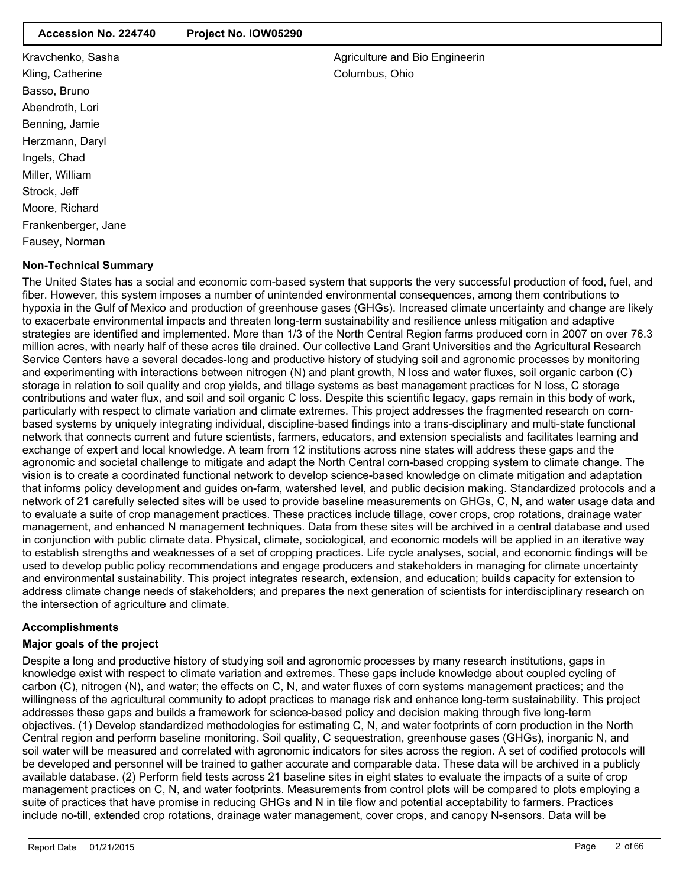### **Accession No. 224740 Project No. IOW05290**

Kravchenko, Sasha Kling, Catherine Basso, Bruno Abendroth, Lori Benning, Jamie Herzmann, Daryl Ingels, Chad Miller, William Strock, Jeff Moore, Richard Frankenberger, Jane Fausey, Norman

# **Non-Technical Summary**

The United States has a social and economic corn-based system that supports the very successful production of food, fuel, and fiber. However, this system imposes a number of unintended environmental consequences, among them contributions to hypoxia in the Gulf of Mexico and production of greenhouse gases (GHGs). Increased climate uncertainty and change are likely to exacerbate environmental impacts and threaten long-term sustainability and resilience unless mitigation and adaptive strategies are identified and implemented. More than 1/3 of the North Central Region farms produced corn in 2007 on over 76.3 million acres, with nearly half of these acres tile drained. Our collective Land Grant Universities and the Agricultural Research Service Centers have a several decades-long and productive history of studying soil and agronomic processes by monitoring and experimenting with interactions between nitrogen (N) and plant growth, N loss and water fluxes, soil organic carbon (C) storage in relation to soil quality and crop yields, and tillage systems as best management practices for N loss, C storage contributions and water flux, and soil and soil organic C loss. Despite this scientific legacy, gaps remain in this body of work, particularly with respect to climate variation and climate extremes. This project addresses the fragmented research on cornbased systems by uniquely integrating individual, discipline-based findings into a trans-disciplinary and multi-state functional network that connects current and future scientists, farmers, educators, and extension specialists and facilitates learning and exchange of expert and local knowledge. A team from 12 institutions across nine states will address these gaps and the agronomic and societal challenge to mitigate and adapt the North Central corn-based cropping system to climate change. The vision is to create a coordinated functional network to develop science-based knowledge on climate mitigation and adaptation that informs policy development and guides on-farm, watershed level, and public decision making. Standardized protocols and a network of 21 carefully selected sites will be used to provide baseline measurements on GHGs, C, N, and water usage data and to evaluate a suite of crop management practices. These practices include tillage, cover crops, crop rotations, drainage water management, and enhanced N management techniques. Data from these sites will be archived in a central database and used in conjunction with public climate data. Physical, climate, sociological, and economic models will be applied in an iterative way to establish strengths and weaknesses of a set of cropping practices. Life cycle analyses, social, and economic findings will be used to develop public policy recommendations and engage producers and stakeholders in managing for climate uncertainty and environmental sustainability. This project integrates research, extension, and education; builds capacity for extension to address climate change needs of stakeholders; and prepares the next generation of scientists for interdisciplinary research on the intersection of agriculture and climate.

# **Accomplishments**

#### **Major goals of the project**

Despite a long and productive history of studying soil and agronomic processes by many research institutions, gaps in knowledge exist with respect to climate variation and extremes. These gaps include knowledge about coupled cycling of carbon (C), nitrogen (N), and water; the effects on C, N, and water fluxes of corn systems management practices; and the willingness of the agricultural community to adopt practices to manage risk and enhance long-term sustainability. This project addresses these gaps and builds a framework for science-based policy and decision making through five long-term objectives. (1) Develop standardized methodologies for estimating C, N, and water footprints of corn production in the North Central region and perform baseline monitoring. Soil quality, C sequestration, greenhouse gases (GHGs), inorganic N, and soil water will be measured and correlated with agronomic indicators for sites across the region. A set of codified protocols will be developed and personnel will be trained to gather accurate and comparable data. These data will be archived in a publicly available database. (2) Perform field tests across 21 baseline sites in eight states to evaluate the impacts of a suite of crop management practices on C, N, and water footprints. Measurements from control plots will be compared to plots employing a suite of practices that have promise in reducing GHGs and N in tile flow and potential acceptability to farmers. Practices include no-till, extended crop rotations, drainage water management, cover crops, and canopy N-sensors. Data will be

Agriculture and Bio Engineerin Columbus, Ohio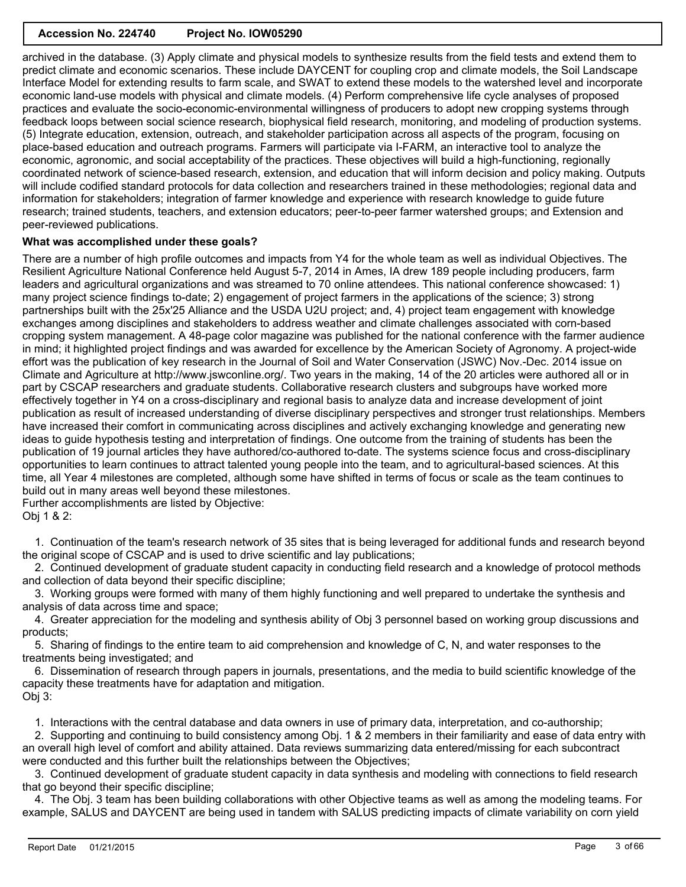archived in the database. (3) Apply climate and physical models to synthesize results from the field tests and extend them to predict climate and economic scenarios. These include DAYCENT for coupling crop and climate models, the Soil Landscape Interface Model for extending results to farm scale, and SWAT to extend these models to the watershed level and incorporate economic land-use models with physical and climate models. (4) Perform comprehensive life cycle analyses of proposed practices and evaluate the socio-economic-environmental willingness of producers to adopt new cropping systems through feedback loops between social science research, biophysical field research, monitoring, and modeling of production systems. (5) Integrate education, extension, outreach, and stakeholder participation across all aspects of the program, focusing on place-based education and outreach programs. Farmers will participate via I-FARM, an interactive tool to analyze the economic, agronomic, and social acceptability of the practices. These objectives will build a high-functioning, regionally coordinated network of science-based research, extension, and education that will inform decision and policy making. Outputs will include codified standard protocols for data collection and researchers trained in these methodologies; regional data and information for stakeholders; integration of farmer knowledge and experience with research knowledge to guide future research; trained students, teachers, and extension educators; peer-to-peer farmer watershed groups; and Extension and peer-reviewed publications.

# **What was accomplished under these goals?**

There are a number of high profile outcomes and impacts from Y4 for the whole team as well as individual Objectives. The Resilient Agriculture National Conference held August 5-7, 2014 in Ames, IA drew 189 people including producers, farm leaders and agricultural organizations and was streamed to 70 online attendees. This national conference showcased: 1) many project science findings to-date; 2) engagement of project farmers in the applications of the science; 3) strong partnerships built with the 25x'25 Alliance and the USDA U2U project; and, 4) project team engagement with knowledge exchanges among disciplines and stakeholders to address weather and climate challenges associated with corn-based cropping system management. A 48-page color magazine was published for the national conference with the farmer audience in mind; it highlighted project findings and was awarded for excellence by the American Society of Agronomy. A project-wide effort was the publication of key research in the Journal of Soil and Water Conservation (JSWC) Nov.-Dec. 2014 issue on Climate and Agriculture at http://www.jswconline.org/. Two years in the making, 14 of the 20 articles were authored all or in part by CSCAP researchers and graduate students. Collaborative research clusters and subgroups have worked more effectively together in Y4 on a cross-disciplinary and regional basis to analyze data and increase development of joint publication as result of increased understanding of diverse disciplinary perspectives and stronger trust relationships. Members have increased their comfort in communicating across disciplines and actively exchanging knowledge and generating new ideas to guide hypothesis testing and interpretation of findings. One outcome from the training of students has been the publication of 19 journal articles they have authored/co-authored to-date. The systems science focus and cross-disciplinary opportunities to learn continues to attract talented young people into the team, and to agricultural-based sciences. At this time, all Year 4 milestones are completed, although some have shifted in terms of focus or scale as the team continues to build out in many areas well beyond these milestones.

Further accomplishments are listed by Objective: Obj 1 & 2:

 1. Continuation of the team's research network of 35 sites that is being leveraged for additional funds and research beyond the original scope of CSCAP and is used to drive scientific and lay publications;

 2. Continued development of graduate student capacity in conducting field research and a knowledge of protocol methods and collection of data beyond their specific discipline;

 3. Working groups were formed with many of them highly functioning and well prepared to undertake the synthesis and analysis of data across time and space;

 4. Greater appreciation for the modeling and synthesis ability of Obj 3 personnel based on working group discussions and products;

 5. Sharing of findings to the entire team to aid comprehension and knowledge of C, N, and water responses to the treatments being investigated; and

 6. Dissemination of research through papers in journals, presentations, and the media to build scientific knowledge of the capacity these treatments have for adaptation and mitigation. Obj 3:

1. Interactions with the central database and data owners in use of primary data, interpretation, and co-authorship;

 2. Supporting and continuing to build consistency among Obj. 1 & 2 members in their familiarity and ease of data entry with an overall high level of comfort and ability attained. Data reviews summarizing data entered/missing for each subcontract were conducted and this further built the relationships between the Objectives;

 3. Continued development of graduate student capacity in data synthesis and modeling with connections to field research that go beyond their specific discipline;

 4. The Obj. 3 team has been building collaborations with other Objective teams as well as among the modeling teams. For example, SALUS and DAYCENT are being used in tandem with SALUS predicting impacts of climate variability on corn yield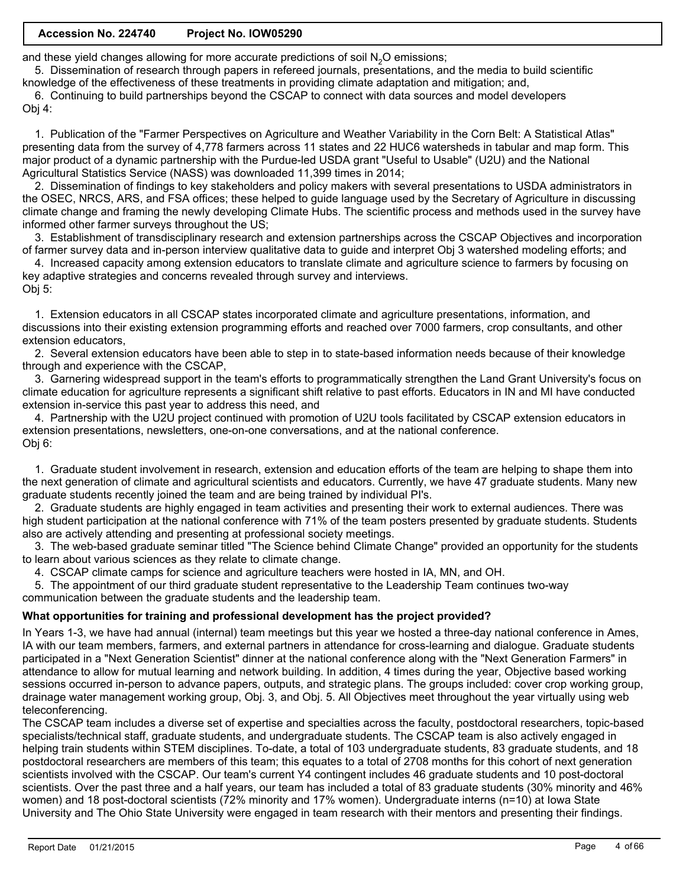# **Accession No. 224740 Project No. IOW05290**

and these yield changes allowing for more accurate predictions of soil  $N<sub>2</sub>O$  emissions;

 5. Dissemination of research through papers in refereed journals, presentations, and the media to build scientific knowledge of the effectiveness of these treatments in providing climate adaptation and mitigation; and,

 6. Continuing to build partnerships beyond the CSCAP to connect with data sources and model developers Obj 4:

 1. Publication of the "Farmer Perspectives on Agriculture and Weather Variability in the Corn Belt: A Statistical Atlas" presenting data from the survey of 4,778 farmers across 11 states and 22 HUC6 watersheds in tabular and map form. This major product of a dynamic partnership with the Purdue-led USDA grant "Useful to Usable" (U2U) and the National Agricultural Statistics Service (NASS) was downloaded 11,399 times in 2014;

 2. Dissemination of findings to key stakeholders and policy makers with several presentations to USDA administrators in the OSEC, NRCS, ARS, and FSA offices; these helped to guide language used by the Secretary of Agriculture in discussing climate change and framing the newly developing Climate Hubs. The scientific process and methods used in the survey have informed other farmer surveys throughout the US;

 3. Establishment of transdisciplinary research and extension partnerships across the CSCAP Objectives and incorporation of farmer survey data and in-person interview qualitative data to guide and interpret Obj 3 watershed modeling efforts; and

 4. Increased capacity among extension educators to translate climate and agriculture science to farmers by focusing on key adaptive strategies and concerns revealed through survey and interviews. Obj 5:

 1. Extension educators in all CSCAP states incorporated climate and agriculture presentations, information, and discussions into their existing extension programming efforts and reached over 7000 farmers, crop consultants, and other extension educators,

 2. Several extension educators have been able to step in to state-based information needs because of their knowledge through and experience with the CSCAP,

 3. Garnering widespread support in the team's efforts to programmatically strengthen the Land Grant University's focus on climate education for agriculture represents a significant shift relative to past efforts. Educators in IN and MI have conducted extension in-service this past year to address this need, and

 4. Partnership with the U2U project continued with promotion of U2U tools facilitated by CSCAP extension educators in extension presentations, newsletters, one-on-one conversations, and at the national conference. Obj 6:

 1. Graduate student involvement in research, extension and education efforts of the team are helping to shape them into the next generation of climate and agricultural scientists and educators. Currently, we have 47 graduate students. Many new graduate students recently joined the team and are being trained by individual PI's.

 2. Graduate students are highly engaged in team activities and presenting their work to external audiences. There was high student participation at the national conference with 71% of the team posters presented by graduate students. Students also are actively attending and presenting at professional society meetings.

 3. The web-based graduate seminar titled "The Science behind Climate Change" provided an opportunity for the students to learn about various sciences as they relate to climate change.

4. CSCAP climate camps for science and agriculture teachers were hosted in IA, MN, and OH.

 5. The appointment of our third graduate student representative to the Leadership Team continues two-way communication between the graduate students and the leadership team.

# **What opportunities for training and professional development has the project provided?**

In Years 1-3, we have had annual (internal) team meetings but this year we hosted a three-day national conference in Ames, IA with our team members, farmers, and external partners in attendance for cross-learning and dialogue. Graduate students participated in a "Next Generation Scientist" dinner at the national conference along with the "Next Generation Farmers" in attendance to allow for mutual learning and network building. In addition, 4 times during the year, Objective based working sessions occurred in-person to advance papers, outputs, and strategic plans. The groups included: cover crop working group, drainage water management working group, Obj. 3, and Obj. 5. All Objectives meet throughout the year virtually using web teleconferencing.

The CSCAP team includes a diverse set of expertise and specialties across the faculty, postdoctoral researchers, topic-based specialists/technical staff, graduate students, and undergraduate students. The CSCAP team is also actively engaged in helping train students within STEM disciplines. To-date, a total of 103 undergraduate students, 83 graduate students, and 18 postdoctoral researchers are members of this team; this equates to a total of 2708 months for this cohort of next generation scientists involved with the CSCAP. Our team's current Y4 contingent includes 46 graduate students and 10 post-doctoral scientists. Over the past three and a half years, our team has included a total of 83 graduate students (30% minority and 46% women) and 18 post-doctoral scientists (72% minority and 17% women). Undergraduate interns (n=10) at Iowa State University and The Ohio State University were engaged in team research with their mentors and presenting their findings.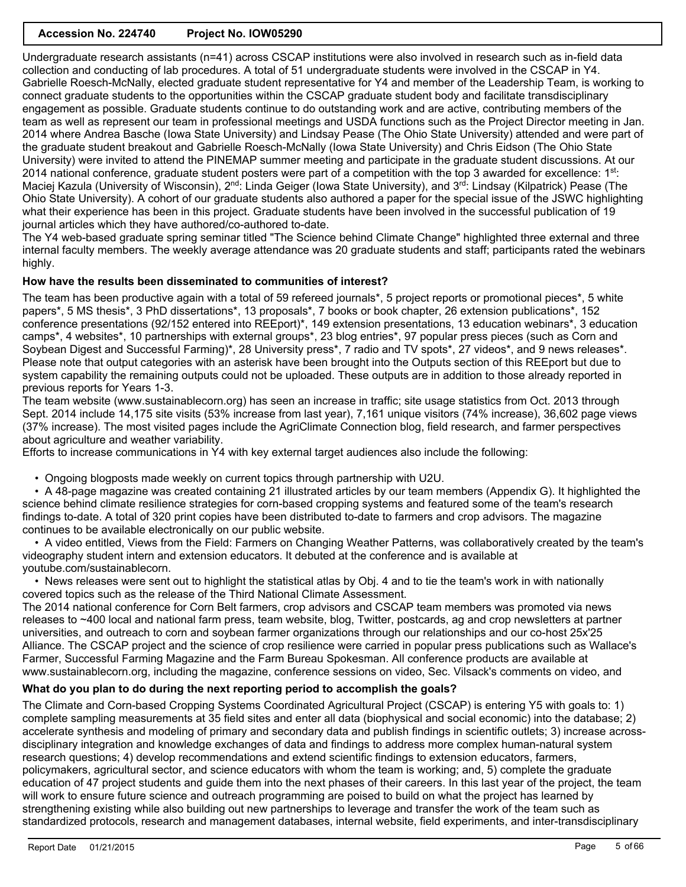Undergraduate research assistants (n=41) across CSCAP institutions were also involved in research such as in-field data collection and conducting of lab procedures. A total of 51 undergraduate students were involved in the CSCAP in Y4. Gabrielle Roesch-McNally, elected graduate student representative for Y4 and member of the Leadership Team, is working to connect graduate students to the opportunities within the CSCAP graduate student body and facilitate transdisciplinary engagement as possible. Graduate students continue to do outstanding work and are active, contributing members of the team as well as represent our team in professional meetings and USDA functions such as the Project Director meeting in Jan. 2014 where Andrea Basche (Iowa State University) and Lindsay Pease (The Ohio State University) attended and were part of the graduate student breakout and Gabrielle Roesch-McNally (Iowa State University) and Chris Eidson (The Ohio State University) were invited to attend the PINEMAP summer meeting and participate in the graduate student discussions. At our 2014 national conference, graduate student posters were part of a competition with the top 3 awarded for excellence: 1st: Maciej Kazula (University of Wisconsin), 2<sup>nd</sup>: Linda Geiger (Iowa State University), and 3<sup>rd</sup>: Lindsay (Kilpatrick) Pease (The Ohio State University). A cohort of our graduate students also authored a paper for the special issue of the JSWC highlighting what their experience has been in this project. Graduate students have been involved in the successful publication of 19 journal articles which they have authored/co-authored to-date.

The Y4 web-based graduate spring seminar titled "The Science behind Climate Change" highlighted three external and three internal faculty members. The weekly average attendance was 20 graduate students and staff; participants rated the webinars highly.

# **How have the results been disseminated to communities of interest?**

The team has been productive again with a total of 59 refereed journals\*, 5 project reports or promotional pieces\*, 5 white papers\*, 5 MS thesis\*, 3 PhD dissertations\*, 13 proposals\*, 7 books or book chapter, 26 extension publications\*, 152 conference presentations (92/152 entered into REEport)\*, 149 extension presentations, 13 education webinars\*, 3 education camps\*, 4 websites\*, 10 partnerships with external groups\*, 23 blog entries\*, 97 popular press pieces (such as Corn and Soybean Digest and Successful Farming)\*, 28 University press\*, 7 radio and TV spots\*, 27 videos\*, and 9 news releases\*. Please note that output categories with an asterisk have been brought into the Outputs section of this REEport but due to system capability the remaining outputs could not be uploaded. These outputs are in addition to those already reported in previous reports for Years 1-3.

The team website (www.sustainablecorn.org) has seen an increase in traffic; site usage statistics from Oct. 2013 through Sept. 2014 include 14,175 site visits (53% increase from last year), 7,161 unique visitors (74% increase), 36,602 page views (37% increase). The most visited pages include the AgriClimate Connection blog, field research, and farmer perspectives about agriculture and weather variability.

Efforts to increase communications in Y4 with key external target audiences also include the following:

• Ongoing blogposts made weekly on current topics through partnership with U2U.

 • A 48-page magazine was created containing 21 illustrated articles by our team members (Appendix G). It highlighted the science behind climate resilience strategies for corn-based cropping systems and featured some of the team's research findings to-date. A total of 320 print copies have been distributed to-date to farmers and crop advisors. The magazine continues to be available electronically on our public website.

 • A video entitled, Views from the Field: Farmers on Changing Weather Patterns, was collaboratively created by the team's videography student intern and extension educators. It debuted at the conference and is available at youtube.com/sustainablecorn.

 • News releases were sent out to highlight the statistical atlas by Obj. 4 and to tie the team's work in with nationally covered topics such as the release of the Third National Climate Assessment.

The 2014 national conference for Corn Belt farmers, crop advisors and CSCAP team members was promoted via news releases to ~400 local and national farm press, team website, blog, Twitter, postcards, ag and crop newsletters at partner universities, and outreach to corn and soybean farmer organizations through our relationships and our co-host 25x'25 Alliance. The CSCAP project and the science of crop resilience were carried in popular press publications such as Wallace's Farmer, Successful Farming Magazine and the Farm Bureau Spokesman. All conference products are available at www.sustainablecorn.org, including the magazine, conference sessions on video, Sec. Vilsack's comments on video, and

# **What do you plan to do during the next reporting period to accomplish the goals?**

The Climate and Corn-based Cropping Systems Coordinated Agricultural Project (CSCAP) is entering Y5 with goals to: 1) complete sampling measurements at 35 field sites and enter all data (biophysical and social economic) into the database; 2) accelerate synthesis and modeling of primary and secondary data and publish findings in scientific outlets; 3) increase acrossdisciplinary integration and knowledge exchanges of data and findings to address more complex human-natural system research questions; 4) develop recommendations and extend scientific findings to extension educators, farmers, policymakers, agricultural sector, and science educators with whom the team is working; and, 5) complete the graduate education of 47 project students and guide them into the next phases of their careers. In this last year of the project, the team will work to ensure future science and outreach programming are poised to build on what the project has learned by strengthening existing while also building out new partnerships to leverage and transfer the work of the team such as standardized protocols, research and management databases, internal website, field experiments, and inter-transdisciplinary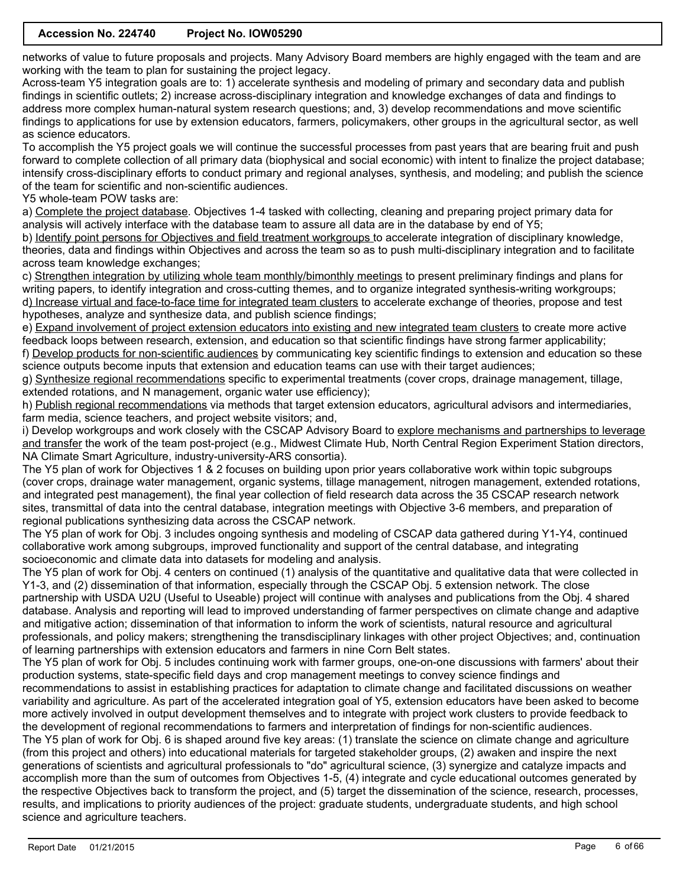networks of value to future proposals and projects. Many Advisory Board members are highly engaged with the team and are working with the team to plan for sustaining the project legacy.

Across-team Y5 integration goals are to: 1) accelerate synthesis and modeling of primary and secondary data and publish findings in scientific outlets; 2) increase across-disciplinary integration and knowledge exchanges of data and findings to address more complex human-natural system research questions; and, 3) develop recommendations and move scientific findings to applications for use by extension educators, farmers, policymakers, other groups in the agricultural sector, as well as science educators.

To accomplish the Y5 project goals we will continue the successful processes from past years that are bearing fruit and push forward to complete collection of all primary data (biophysical and social economic) with intent to finalize the project database; intensify cross-disciplinary efforts to conduct primary and regional analyses, synthesis, and modeling; and publish the science of the team for scientific and non-scientific audiences.

Y5 whole-team POW tasks are:

a) Complete the project database. Objectives 1-4 tasked with collecting, cleaning and preparing project primary data for analysis will actively interface with the database team to assure all data are in the database by end of Y5;

b) Identify point persons for Objectives and field treatment workgroups to accelerate integration of disciplinary knowledge, theories, data and findings within Objectives and across the team so as to push multi-disciplinary integration and to facilitate across team knowledge exchanges;

c) Strengthen integration by utilizing whole team monthly/bimonthly meetings to present preliminary findings and plans for writing papers, to identify integration and cross-cutting themes, and to organize integrated synthesis-writing workgroups; d) Increase virtual and face-to-face time for integrated team clusters to accelerate exchange of theories, propose and test hypotheses, analyze and synthesize data, and publish science findings;

e) Expand involvement of project extension educators into existing and new integrated team clusters to create more active feedback loops between research, extension, and education so that scientific findings have strong farmer applicability; f) Develop products for non-scientific audiences by communicating key scientific findings to extension and education so these

science outputs become inputs that extension and education teams can use with their target audiences;

g) Synthesize regional recommendations specific to experimental treatments (cover crops, drainage management, tillage, extended rotations, and N management, organic water use efficiency);

h) Publish regional recommendations via methods that target extension educators, agricultural advisors and intermediaries, farm media, science teachers, and project website visitors; and,

i) Develop workgroups and work closely with the CSCAP Advisory Board to explore mechanisms and partnerships to leverage and transfer the work of the team post-project (e.g., Midwest Climate Hub, North Central Region Experiment Station directors, NA Climate Smart Agriculture, industry-university-ARS consortia).

The Y5 plan of work for Objectives 1 & 2 focuses on building upon prior years collaborative work within topic subgroups (cover crops, drainage water management, organic systems, tillage management, nitrogen management, extended rotations, and integrated pest management), the final year collection of field research data across the 35 CSCAP research network sites, transmittal of data into the central database, integration meetings with Objective 3-6 members, and preparation of regional publications synthesizing data across the CSCAP network.

The Y5 plan of work for Obj. 3 includes ongoing synthesis and modeling of CSCAP data gathered during Y1-Y4, continued collaborative work among subgroups, improved functionality and support of the central database, and integrating socioeconomic and climate data into datasets for modeling and analysis.

The Y5 plan of work for Obj. 4 centers on continued (1) analysis of the quantitative and qualitative data that were collected in Y1-3, and (2) dissemination of that information, especially through the CSCAP Obj. 5 extension network. The close partnership with USDA U2U (Useful to Useable) project will continue with analyses and publications from the Obj. 4 shared database. Analysis and reporting will lead to improved understanding of farmer perspectives on climate change and adaptive and mitigative action; dissemination of that information to inform the work of scientists, natural resource and agricultural professionals, and policy makers; strengthening the transdisciplinary linkages with other project Objectives; and, continuation of learning partnerships with extension educators and farmers in nine Corn Belt states.

The Y5 plan of work for Obj. 5 includes continuing work with farmer groups, one-on-one discussions with farmers' about their production systems, state-specific field days and crop management meetings to convey science findings and

recommendations to assist in establishing practices for adaptation to climate change and facilitated discussions on weather variability and agriculture. As part of the accelerated integration goal of Y5, extension educators have been asked to become more actively involved in output development themselves and to integrate with project work clusters to provide feedback to the development of regional recommendations to farmers and interpretation of findings for non-scientific audiences. The Y5 plan of work for Obj. 6 is shaped around five key areas: (1) translate the science on climate change and agriculture (from this project and others) into educational materials for targeted stakeholder groups, (2) awaken and inspire the next generations of scientists and agricultural professionals to "do" agricultural science, (3) synergize and catalyze impacts and

accomplish more than the sum of outcomes from Objectives 1-5, (4) integrate and cycle educational outcomes generated by the respective Objectives back to transform the project, and (5) target the dissemination of the science, research, processes, results, and implications to priority audiences of the project: graduate students, undergraduate students, and high school science and agriculture teachers.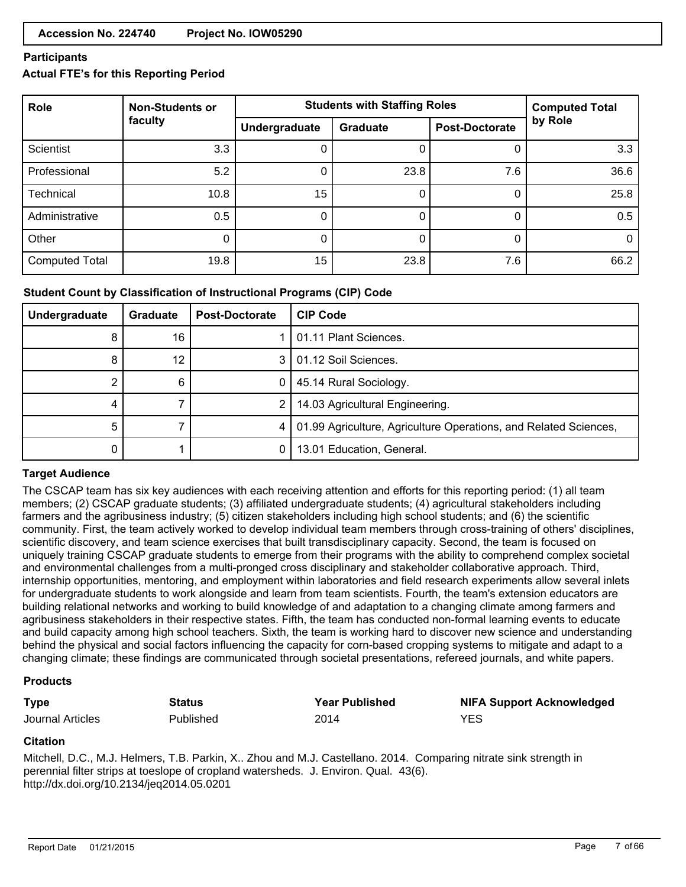### **Participants**

# **Actual FTE's for this Reporting Period**

| Role                  | <b>Non-Students or</b> | <b>Students with Staffing Roles</b> | <b>Computed Total</b> |                       |         |
|-----------------------|------------------------|-------------------------------------|-----------------------|-----------------------|---------|
|                       | faculty                | Undergraduate                       | <b>Graduate</b>       | <b>Post-Doctorate</b> | by Role |
| <b>Scientist</b>      | 3.3                    |                                     |                       | 0                     | 3.3     |
| Professional          | 5.2                    | 0                                   | 23.8                  | 7.6                   | 36.6    |
| <b>Technical</b>      | 10.8                   | 15                                  |                       | 0                     | 25.8    |
| Administrative        | 0.5                    |                                     |                       | 0                     | 0.5     |
| Other                 | O                      | 0                                   |                       | 0                     |         |
| <b>Computed Total</b> | 19.8                   | 15                                  | 23.8                  | 7.6                   | 66.2    |

# **Student Count by Classification of Instructional Programs (CIP) Code**

| Undergraduate | Graduate | <b>Post-Doctorate</b> | <b>CIP Code</b>                                                      |
|---------------|----------|-----------------------|----------------------------------------------------------------------|
| 8             | 16       |                       | 01.11 Plant Sciences.                                                |
| 8             | 12       | 3                     | 101.12 Soil Sciences.                                                |
|               | 6        |                       | 45.14 Rural Sociology.                                               |
|               |          | 2                     | 14.03 Agricultural Engineering.                                      |
| 5             |          |                       | 4   01.99 Agriculture, Agriculture Operations, and Related Sciences, |
|               |          |                       | 13.01 Education, General.                                            |

# **Target Audience**

The CSCAP team has six key audiences with each receiving attention and efforts for this reporting period: (1) all team members; (2) CSCAP graduate students; (3) affiliated undergraduate students; (4) agricultural stakeholders including farmers and the agribusiness industry; (5) citizen stakeholders including high school students; and (6) the scientific community. First, the team actively worked to develop individual team members through cross-training of others' disciplines, scientific discovery, and team science exercises that built transdisciplinary capacity. Second, the team is focused on uniquely training CSCAP graduate students to emerge from their programs with the ability to comprehend complex societal and environmental challenges from a multi-pronged cross disciplinary and stakeholder collaborative approach. Third, internship opportunities, mentoring, and employment within laboratories and field research experiments allow several inlets for undergraduate students to work alongside and learn from team scientists. Fourth, the team's extension educators are building relational networks and working to build knowledge of and adaptation to a changing climate among farmers and agribusiness stakeholders in their respective states. Fifth, the team has conducted non-formal learning events to educate and build capacity among high school teachers. Sixth, the team is working hard to discover new science and understanding behind the physical and social factors influencing the capacity for corn-based cropping systems to mitigate and adapt to a changing climate; these findings are communicated through societal presentations, refereed journals, and white papers.

#### **Products**

| <b>Type</b>      | Status    | <b>Year Published</b> | <b>NIFA Support Acknowledged</b> |
|------------------|-----------|-----------------------|----------------------------------|
| Journal Articles | Published | 2014                  | YES                              |

#### **Citation**

Mitchell, D.C., M.J. Helmers, T.B. Parkin, X.. Zhou and M.J. Castellano. 2014. Comparing nitrate sink strength in perennial filter strips at toeslope of cropland watersheds. J. Environ. Qual. 43(6). http://dx.doi.org/10.2134/jeq2014.05.0201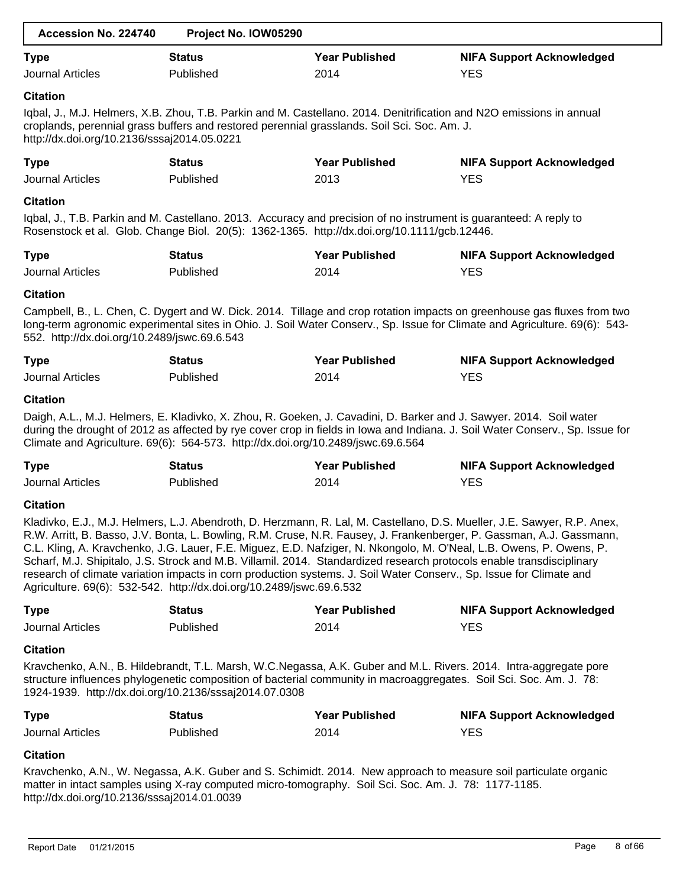| Accession No. 224740                         | Project No. IOW05290                                                             |                                                                                                                                                                                                                                              |                                                                                                                                                                                                                                                                                                                                                                        |
|----------------------------------------------|----------------------------------------------------------------------------------|----------------------------------------------------------------------------------------------------------------------------------------------------------------------------------------------------------------------------------------------|------------------------------------------------------------------------------------------------------------------------------------------------------------------------------------------------------------------------------------------------------------------------------------------------------------------------------------------------------------------------|
| <b>Type</b>                                  | <b>Status</b>                                                                    | <b>Year Published</b>                                                                                                                                                                                                                        | <b>NIFA Support Acknowledged</b>                                                                                                                                                                                                                                                                                                                                       |
| <b>Journal Articles</b>                      | Published                                                                        | 2014                                                                                                                                                                                                                                         | <b>YES</b>                                                                                                                                                                                                                                                                                                                                                             |
| <b>Citation</b>                              |                                                                                  |                                                                                                                                                                                                                                              |                                                                                                                                                                                                                                                                                                                                                                        |
| http://dx.doi.org/10.2136/sssaj2014.05.0221  |                                                                                  | Iqbal, J., M.J. Helmers, X.B. Zhou, T.B. Parkin and M. Castellano. 2014. Denitrification and N2O emissions in annual<br>croplands, perennial grass buffers and restored perennial grasslands. Soil Sci. Soc. Am. J.                          |                                                                                                                                                                                                                                                                                                                                                                        |
| <b>Type</b>                                  | <b>Status</b>                                                                    | <b>Year Published</b>                                                                                                                                                                                                                        | <b>NIFA Support Acknowledged</b>                                                                                                                                                                                                                                                                                                                                       |
| <b>Journal Articles</b>                      | Published                                                                        | 2013                                                                                                                                                                                                                                         | <b>YES</b>                                                                                                                                                                                                                                                                                                                                                             |
| <b>Citation</b>                              |                                                                                  |                                                                                                                                                                                                                                              |                                                                                                                                                                                                                                                                                                                                                                        |
|                                              |                                                                                  | Iqbal, J., T.B. Parkin and M. Castellano. 2013. Accuracy and precision of no instrument is guaranteed: A reply to<br>Rosenstock et al. Glob. Change Biol. 20(5): 1362-1365. http://dx.doi.org/10.1111/gcb.12446.                             |                                                                                                                                                                                                                                                                                                                                                                        |
| <b>Type</b>                                  | <b>Status</b>                                                                    | <b>Year Published</b>                                                                                                                                                                                                                        | <b>NIFA Support Acknowledged</b>                                                                                                                                                                                                                                                                                                                                       |
| <b>Journal Articles</b>                      | Published                                                                        | 2014                                                                                                                                                                                                                                         | <b>YES</b>                                                                                                                                                                                                                                                                                                                                                             |
| <b>Citation</b>                              |                                                                                  |                                                                                                                                                                                                                                              |                                                                                                                                                                                                                                                                                                                                                                        |
| 552. http://dx.doi.org/10.2489/jswc.69.6.543 |                                                                                  |                                                                                                                                                                                                                                              | Campbell, B., L. Chen, C. Dygert and W. Dick. 2014. Tillage and crop rotation impacts on greenhouse gas fluxes from two<br>long-term agronomic experimental sites in Ohio. J. Soil Water Conserv., Sp. Issue for Climate and Agriculture. 69(6): 543-                                                                                                                  |
| <b>Type</b>                                  | <b>Status</b>                                                                    | <b>Year Published</b>                                                                                                                                                                                                                        | <b>NIFA Support Acknowledged</b>                                                                                                                                                                                                                                                                                                                                       |
| <b>Journal Articles</b>                      | Published                                                                        | 2014                                                                                                                                                                                                                                         | <b>YES</b>                                                                                                                                                                                                                                                                                                                                                             |
| <b>Citation</b>                              | Climate and Agriculture. 69(6): 564-573. http://dx.doi.org/10.2489/jswc.69.6.564 | Daigh, A.L., M.J. Helmers, E. Kladivko, X. Zhou, R. Goeken, J. Cavadini, D. Barker and J. Sawyer. 2014. Soil water                                                                                                                           | during the drought of 2012 as affected by rye cover crop in fields in Iowa and Indiana. J. Soil Water Conserv., Sp. Issue for                                                                                                                                                                                                                                          |
| <b>Type</b>                                  | <b>Status</b>                                                                    | <b>Year Published</b>                                                                                                                                                                                                                        | <b>NIFA Support Acknowledged</b>                                                                                                                                                                                                                                                                                                                                       |
| <b>Journal Articles</b>                      | Published                                                                        | 2014                                                                                                                                                                                                                                         | <b>YES</b>                                                                                                                                                                                                                                                                                                                                                             |
| <b>Citation</b>                              |                                                                                  |                                                                                                                                                                                                                                              |                                                                                                                                                                                                                                                                                                                                                                        |
|                                              | Agriculture. 69(6): 532-542. http://dx.doi.org/10.2489/jswc.69.6.532             | Scharf, M.J. Shipitalo, J.S. Strock and M.B. Villamil. 2014. Standardized research protocols enable transdisciplinary<br>research of climate variation impacts in corn production systems. J. Soil Water Conserv., Sp. Issue for Climate and | Kladivko, E.J., M.J. Helmers, L.J. Abendroth, D. Herzmann, R. Lal, M. Castellano, D.S. Mueller, J.E. Sawyer, R.P. Anex,<br>R.W. Arritt, B. Basso, J.V. Bonta, L. Bowling, R.M. Cruse, N.R. Fausey, J. Frankenberger, P. Gassman, A.J. Gassmann,<br>C.L. Kling, A. Kravchenko, J.G. Lauer, F.E. Miguez, E.D. Nafziger, N. Nkongolo, M. O'Neal, L.B. Owens, P. Owens, P. |
| <b>Type</b>                                  | <b>Status</b>                                                                    | <b>Year Published</b>                                                                                                                                                                                                                        | <b>NIFA Support Acknowledged</b>                                                                                                                                                                                                                                                                                                                                       |
| <b>Journal Articles</b>                      | Published                                                                        | 2014                                                                                                                                                                                                                                         | <b>YES</b>                                                                                                                                                                                                                                                                                                                                                             |
| <b>Citation</b>                              |                                                                                  |                                                                                                                                                                                                                                              |                                                                                                                                                                                                                                                                                                                                                                        |
|                                              | 1924-1939. http://dx.doi.org/10.2136/sssaj2014.07.0308                           | structure influences phylogenetic composition of bacterial community in macroaggregates. Soil Sci. Soc. Am. J. 78:                                                                                                                           | Kravchenko, A.N., B. Hildebrandt, T.L. Marsh, W.C.Negassa, A.K. Guber and M.L. Rivers. 2014. Intra-aggregate pore                                                                                                                                                                                                                                                      |
| <b>Type</b>                                  | <b>Status</b>                                                                    | <b>Year Published</b>                                                                                                                                                                                                                        | <b>NIFA Support Acknowledged</b>                                                                                                                                                                                                                                                                                                                                       |
| Journal Articles                             | Published                                                                        | 2014                                                                                                                                                                                                                                         | <b>YES</b>                                                                                                                                                                                                                                                                                                                                                             |
| <b>Citation</b>                              |                                                                                  |                                                                                                                                                                                                                                              |                                                                                                                                                                                                                                                                                                                                                                        |
|                                              | $\sim$ 140 0400 $\sim$ 200100 044000                                             | matter in intact samples using X-ray computed micro-tomography. Soil Sci. Soc. Am. J. 78: 1177-1185.                                                                                                                                         | Kravchenko, A.N., W. Negassa, A.K. Guber and S. Schimidt. 2014. New approach to measure soil particulate organic                                                                                                                                                                                                                                                       |

http://dx.doi.org/10.2136/sssaj2014.01.0039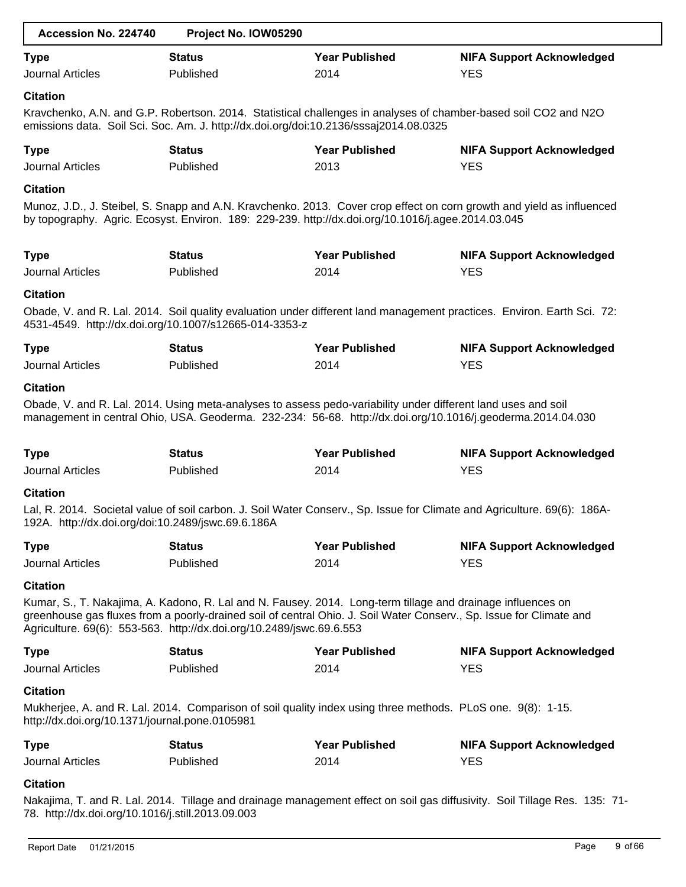| Accession No. 224740                                                                                                                                                                                                                                                                                                          | Project No. IOW05290                                   |                                                                                                                                                                                                                              |                                                                                                                          |  |  |  |  |
|-------------------------------------------------------------------------------------------------------------------------------------------------------------------------------------------------------------------------------------------------------------------------------------------------------------------------------|--------------------------------------------------------|------------------------------------------------------------------------------------------------------------------------------------------------------------------------------------------------------------------------------|--------------------------------------------------------------------------------------------------------------------------|--|--|--|--|
| <b>Type</b><br><b>Journal Articles</b>                                                                                                                                                                                                                                                                                        | <b>Status</b><br>Published                             | <b>Year Published</b><br>2014                                                                                                                                                                                                | <b>NIFA Support Acknowledged</b><br><b>YES</b>                                                                           |  |  |  |  |
| <b>Citation</b><br>Kravchenko, A.N. and G.P. Robertson. 2014. Statistical challenges in analyses of chamber-based soil CO2 and N2O<br>emissions data. Soil Sci. Soc. Am. J. http://dx.doi.org/doi:10.2136/sssaj2014.08.0325                                                                                                   |                                                        |                                                                                                                                                                                                                              |                                                                                                                          |  |  |  |  |
| <b>Type</b><br><b>Journal Articles</b>                                                                                                                                                                                                                                                                                        | <b>Status</b><br>Published                             | <b>Year Published</b><br>2013                                                                                                                                                                                                | <b>NIFA Support Acknowledged</b><br><b>YES</b>                                                                           |  |  |  |  |
| <b>Citation</b>                                                                                                                                                                                                                                                                                                               |                                                        | by topography. Agric. Ecosyst. Environ. 189: 229-239. http://dx.doi.org/10.1016/j.agee.2014.03.045                                                                                                                           | Munoz, J.D., J. Steibel, S. Snapp and A.N. Kravchenko. 2013. Cover crop effect on corn growth and yield as influenced    |  |  |  |  |
| <b>Type</b><br><b>Journal Articles</b>                                                                                                                                                                                                                                                                                        | <b>Status</b><br>Published                             | <b>Year Published</b><br>2014                                                                                                                                                                                                | <b>NIFA Support Acknowledged</b><br><b>YES</b>                                                                           |  |  |  |  |
| <b>Citation</b>                                                                                                                                                                                                                                                                                                               | 4531-4549. http://dx.doi.org/10.1007/s12665-014-3353-z |                                                                                                                                                                                                                              | Obade, V. and R. Lal. 2014. Soil quality evaluation under different land management practices. Environ. Earth Sci. 72:   |  |  |  |  |
| <b>Type</b><br><b>Journal Articles</b>                                                                                                                                                                                                                                                                                        | <b>Status</b><br>Published                             | <b>Year Published</b><br>2014                                                                                                                                                                                                | <b>NIFA Support Acknowledged</b><br><b>YES</b>                                                                           |  |  |  |  |
| <b>Citation</b>                                                                                                                                                                                                                                                                                                               |                                                        | Obade, V. and R. Lal. 2014. Using meta-analyses to assess pedo-variability under different land uses and soil<br>management in central Ohio, USA. Geoderma. 232-234: 56-68. http://dx.doi.org/10.1016/j.geoderma.2014.04.030 |                                                                                                                          |  |  |  |  |
| <b>Type</b><br><b>Journal Articles</b>                                                                                                                                                                                                                                                                                        | <b>Status</b><br>Published                             | <b>Year Published</b><br>2014                                                                                                                                                                                                | <b>NIFA Support Acknowledged</b><br><b>YES</b>                                                                           |  |  |  |  |
| <b>Citation</b><br>192A. http://dx.doi.org/doi:10.2489/jswc.69.6.186A                                                                                                                                                                                                                                                         |                                                        |                                                                                                                                                                                                                              | Lal, R. 2014. Societal value of soil carbon. J. Soil Water Conserv., Sp. Issue for Climate and Agriculture. 69(6): 186A- |  |  |  |  |
| <b>Type</b><br><b>Journal Articles</b>                                                                                                                                                                                                                                                                                        | <b>Status</b><br>Published                             | <b>Year Published</b><br>2014                                                                                                                                                                                                | <b>NIFA Support Acknowledged</b><br><b>YES</b>                                                                           |  |  |  |  |
| <b>Citation</b><br>Kumar, S., T. Nakajima, A. Kadono, R. Lal and N. Fausey. 2014. Long-term tillage and drainage influences on<br>greenhouse gas fluxes from a poorly-drained soil of central Ohio. J. Soil Water Conserv., Sp. Issue for Climate and<br>Agriculture. 69(6): 553-563. http://dx.doi.org/10.2489/jswc.69.6.553 |                                                        |                                                                                                                                                                                                                              |                                                                                                                          |  |  |  |  |
| <b>Type</b><br><b>Journal Articles</b>                                                                                                                                                                                                                                                                                        | <b>Status</b><br>Published                             | <b>Year Published</b><br>2014                                                                                                                                                                                                | <b>NIFA Support Acknowledged</b><br><b>YES</b>                                                                           |  |  |  |  |
| <b>Citation</b><br>http://dx.doi.org/10.1371/journal.pone.0105981                                                                                                                                                                                                                                                             |                                                        | Mukherjee, A. and R. Lal. 2014. Comparison of soil quality index using three methods. PLoS one. 9(8): 1-15.                                                                                                                  |                                                                                                                          |  |  |  |  |
| <b>Type</b><br><b>Journal Articles</b>                                                                                                                                                                                                                                                                                        | <b>Status</b><br>Published                             | <b>Year Published</b><br>2014                                                                                                                                                                                                | <b>NIFA Support Acknowledged</b><br><b>YES</b>                                                                           |  |  |  |  |
| <b>Citation</b>                                                                                                                                                                                                                                                                                                               |                                                        |                                                                                                                                                                                                                              |                                                                                                                          |  |  |  |  |

Nakajima, T. and R. Lal. 2014. Tillage and drainage management effect on soil gas diffusivity. Soil Tillage Res. 135: 71- 78. http://dx.doi.org/10.1016/j.still.2013.09.003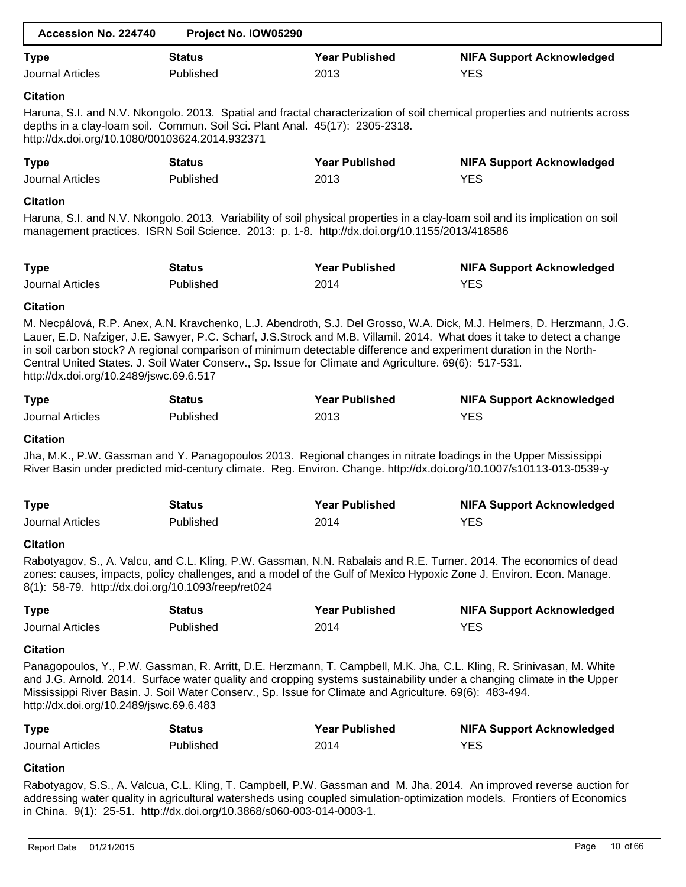| Accession No. 224740                                                  | Project No. IOW05290                                                                                    |                       |                                                                                                                                                                                                                                                                                                                                                                         |
|-----------------------------------------------------------------------|---------------------------------------------------------------------------------------------------------|-----------------------|-------------------------------------------------------------------------------------------------------------------------------------------------------------------------------------------------------------------------------------------------------------------------------------------------------------------------------------------------------------------------|
| <b>Type</b>                                                           | <b>Status</b>                                                                                           | <b>Year Published</b> | <b>NIFA Support Acknowledged</b>                                                                                                                                                                                                                                                                                                                                        |
| <b>Journal Articles</b>                                               | Published                                                                                               | 2013                  | <b>YES</b>                                                                                                                                                                                                                                                                                                                                                              |
| <b>Citation</b>                                                       |                                                                                                         |                       |                                                                                                                                                                                                                                                                                                                                                                         |
| http://dx.doi.org/10.1080/00103624.2014.932371                        | depths in a clay-loam soil. Commun. Soil Sci. Plant Anal. 45(17): 2305-2318.                            |                       | Haruna, S.I. and N.V. Nkongolo. 2013. Spatial and fractal characterization of soil chemical properties and nutrients across                                                                                                                                                                                                                                             |
| <b>Type</b>                                                           | <b>Status</b>                                                                                           | <b>Year Published</b> | <b>NIFA Support Acknowledged</b>                                                                                                                                                                                                                                                                                                                                        |
| <b>Journal Articles</b>                                               | Published                                                                                               | 2013                  | <b>YES</b>                                                                                                                                                                                                                                                                                                                                                              |
| <b>Citation</b>                                                       |                                                                                                         |                       |                                                                                                                                                                                                                                                                                                                                                                         |
|                                                                       | management practices. ISRN Soil Science. 2013: p. 1-8. http://dx.doi.org/10.1155/2013/418586            |                       | Haruna, S.I. and N.V. Nkongolo. 2013. Variability of soil physical properties in a clay-loam soil and its implication on soil                                                                                                                                                                                                                                           |
| <b>Type</b>                                                           | <b>Status</b>                                                                                           | <b>Year Published</b> | <b>NIFA Support Acknowledged</b>                                                                                                                                                                                                                                                                                                                                        |
| <b>Journal Articles</b>                                               | Published                                                                                               | 2014                  | <b>YES</b>                                                                                                                                                                                                                                                                                                                                                              |
| <b>Citation</b>                                                       |                                                                                                         |                       |                                                                                                                                                                                                                                                                                                                                                                         |
| http://dx.doi.org/10.2489/jswc.69.6.517                               | Central United States. J. Soil Water Conserv., Sp. Issue for Climate and Agriculture. 69(6): 517-531.   |                       | M. Necpálová, R.P. Anex, A.N. Kravchenko, L.J. Abendroth, S.J. Del Grosso, W.A. Dick, M.J. Helmers, D. Herzmann, J.G.<br>Lauer, E.D. Nafziger, J.E. Sawyer, P.C. Scharf, J.S.Strock and M.B. Villamil. 2014. What does it take to detect a change<br>in soil carbon stock? A regional comparison of minimum detectable difference and experiment duration in the North- |
| <b>Type</b>                                                           | <b>Status</b>                                                                                           | <b>Year Published</b> | <b>NIFA Support Acknowledged</b>                                                                                                                                                                                                                                                                                                                                        |
| <b>Journal Articles</b>                                               | Published                                                                                               | 2013                  | <b>YES</b>                                                                                                                                                                                                                                                                                                                                                              |
| <b>Citation</b>                                                       |                                                                                                         |                       |                                                                                                                                                                                                                                                                                                                                                                         |
|                                                                       |                                                                                                         |                       | Jha, M.K., P.W. Gassman and Y. Panagopoulos 2013. Regional changes in nitrate loadings in the Upper Mississippi<br>River Basin under predicted mid-century climate. Reg. Environ. Change. http://dx.doi.org/10.1007/s10113-013-0539-y                                                                                                                                   |
| <b>Type</b>                                                           | <b>Status</b>                                                                                           | <b>Year Published</b> | <b>NIFA Support Acknowledged</b>                                                                                                                                                                                                                                                                                                                                        |
| Journal Articles                                                      | Published                                                                                               | 2014                  | <b>YES</b>                                                                                                                                                                                                                                                                                                                                                              |
| <b>Citation</b>                                                       |                                                                                                         |                       |                                                                                                                                                                                                                                                                                                                                                                         |
| 8(1): 58-79. http://dx.doi.org/10.1093/reep/ret024                    |                                                                                                         |                       | Rabotyagov, S., A. Valcu, and C.L. Kling, P.W. Gassman, N.N. Rabalais and R.E. Turner. 2014. The economics of dead<br>zones: causes, impacts, policy challenges, and a model of the Gulf of Mexico Hypoxic Zone J. Environ. Econ. Manage.                                                                                                                               |
| <b>Type</b>                                                           | <b>Status</b>                                                                                           | <b>Year Published</b> | <b>NIFA Support Acknowledged</b>                                                                                                                                                                                                                                                                                                                                        |
| <b>Journal Articles</b>                                               | Published                                                                                               | 2014                  | <b>YES</b>                                                                                                                                                                                                                                                                                                                                                              |
| <b>Citation</b>                                                       |                                                                                                         |                       |                                                                                                                                                                                                                                                                                                                                                                         |
| http://dx.doi.org/10.2489/jswc.69.6.483                               | Mississippi River Basin. J. Soil Water Conserv., Sp. Issue for Climate and Agriculture. 69(6): 483-494. |                       | Panagopoulos, Y., P.W. Gassman, R. Arritt, D.E. Herzmann, T. Campbell, M.K. Jha, C.L. Kling, R. Srinivasan, M. White<br>and J.G. Arnold. 2014. Surface water quality and cropping systems sustainability under a changing climate in the Upper                                                                                                                          |
| <b>Type</b>                                                           | <b>Status</b>                                                                                           | <b>Year Published</b> | <b>NIFA Support Acknowledged</b>                                                                                                                                                                                                                                                                                                                                        |
| Journal Articles                                                      | Published                                                                                               | 2014                  | <b>YES</b>                                                                                                                                                                                                                                                                                                                                                              |
| <b>Citation</b>                                                       |                                                                                                         |                       |                                                                                                                                                                                                                                                                                                                                                                         |
| in China. 9(1): 25-51. http://dx.doi.org/10.3868/s060-003-014-0003-1. |                                                                                                         |                       | Rabotyagov, S.S., A. Valcua, C.L. Kling, T. Campbell, P.W. Gassman and M. Jha. 2014. An improved reverse auction for<br>addressing water quality in agricultural watersheds using coupled simulation-optimization models. Frontiers of Economics                                                                                                                        |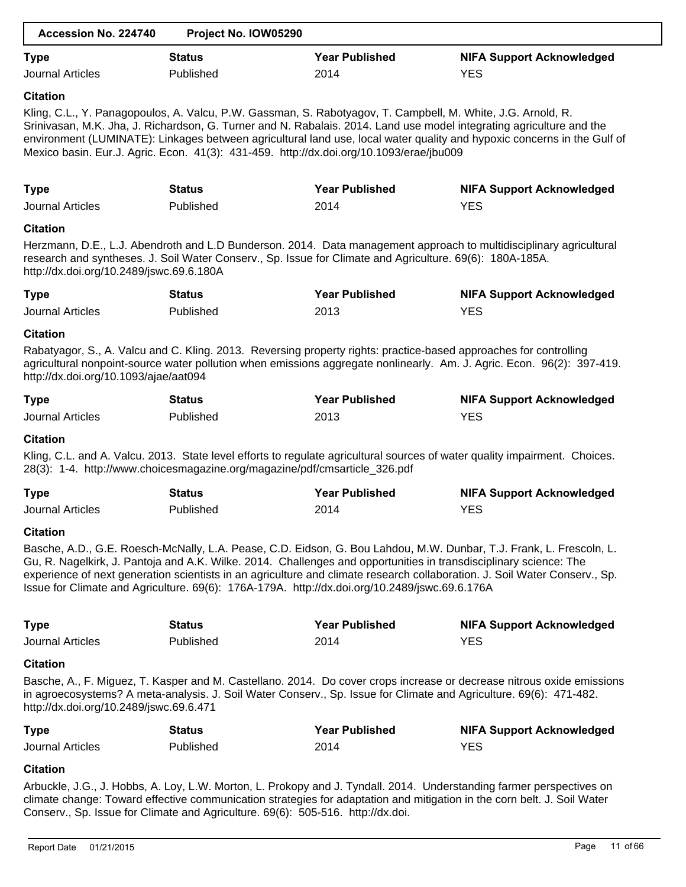| Accession No. 224740                                                                                                                                 | Project No. IOW05290 |                       |                                                                                                                                                                                                                                                                                                                                                                        |
|------------------------------------------------------------------------------------------------------------------------------------------------------|----------------------|-----------------------|------------------------------------------------------------------------------------------------------------------------------------------------------------------------------------------------------------------------------------------------------------------------------------------------------------------------------------------------------------------------|
| <b>Type</b>                                                                                                                                          | <b>Status</b>        | <b>Year Published</b> | <b>NIFA Support Acknowledged</b>                                                                                                                                                                                                                                                                                                                                       |
| <b>Journal Articles</b>                                                                                                                              | Published            | 2014                  | <b>YES</b>                                                                                                                                                                                                                                                                                                                                                             |
| <b>Citation</b>                                                                                                                                      |                      |                       |                                                                                                                                                                                                                                                                                                                                                                        |
| Mexico basin. Eur.J. Agric. Econ. 41(3): 431-459. http://dx.doi.org/10.1093/erae/jbu009                                                              |                      |                       | Kling, C.L., Y. Panagopoulos, A. Valcu, P.W. Gassman, S. Rabotyagov, T. Campbell, M. White, J.G. Arnold, R.<br>Srinivasan, M.K. Jha, J. Richardson, G. Turner and N. Rabalais. 2014. Land use model integrating agriculture and the<br>environment (LUMINATE): Linkages between agricultural land use, local water quality and hypoxic concerns in the Gulf of         |
| <b>Type</b>                                                                                                                                          | <b>Status</b>        | <b>Year Published</b> | <b>NIFA Support Acknowledged</b>                                                                                                                                                                                                                                                                                                                                       |
| <b>Journal Articles</b>                                                                                                                              | Published            | 2014                  | <b>YES</b>                                                                                                                                                                                                                                                                                                                                                             |
| <b>Citation</b>                                                                                                                                      |                      |                       |                                                                                                                                                                                                                                                                                                                                                                        |
| research and syntheses. J. Soil Water Conserv., Sp. Issue for Climate and Agriculture. 69(6): 180A-185A.<br>http://dx.doi.org/10.2489/jswc.69.6.180A |                      |                       | Herzmann, D.E., L.J. Abendroth and L.D Bunderson. 2014. Data management approach to multidisciplinary agricultural                                                                                                                                                                                                                                                     |
| <b>Type</b>                                                                                                                                          | <b>Status</b>        | <b>Year Published</b> | <b>NIFA Support Acknowledged</b>                                                                                                                                                                                                                                                                                                                                       |
| <b>Journal Articles</b>                                                                                                                              | Published            | 2013                  | <b>YES</b>                                                                                                                                                                                                                                                                                                                                                             |
| <b>Citation</b>                                                                                                                                      |                      |                       |                                                                                                                                                                                                                                                                                                                                                                        |
| http://dx.doi.org/10.1093/ajae/aat094                                                                                                                |                      |                       | Rabatyagor, S., A. Valcu and C. Kling. 2013. Reversing property rights: practice-based approaches for controlling<br>agricultural nonpoint-source water pollution when emissions aggregate nonlinearly. Am. J. Agric. Econ. 96(2): 397-419.                                                                                                                            |
| <b>Type</b>                                                                                                                                          | <b>Status</b>        | <b>Year Published</b> | <b>NIFA Support Acknowledged</b>                                                                                                                                                                                                                                                                                                                                       |
| <b>Journal Articles</b>                                                                                                                              | Published            | 2013                  | <b>YES</b>                                                                                                                                                                                                                                                                                                                                                             |
| <b>Citation</b>                                                                                                                                      |                      |                       |                                                                                                                                                                                                                                                                                                                                                                        |
| 28(3): 1-4. http://www.choicesmagazine.org/magazine/pdf/cmsarticle_326.pdf                                                                           |                      |                       | Kling, C.L. and A. Valcu. 2013. State level efforts to regulate agricultural sources of water quality impairment. Choices.                                                                                                                                                                                                                                             |
| <b>Type</b>                                                                                                                                          | <b>Status</b>        | <b>Year Published</b> | <b>NIFA Support Acknowledged</b>                                                                                                                                                                                                                                                                                                                                       |
| <b>Journal Articles</b>                                                                                                                              | Published            | 2014                  | <b>YES</b>                                                                                                                                                                                                                                                                                                                                                             |
| <b>Citation</b>                                                                                                                                      |                      |                       |                                                                                                                                                                                                                                                                                                                                                                        |
| Issue for Climate and Agriculture. 69(6): 176A-179A. http://dx.doi.org/10.2489/jswc.69.6.176A                                                        |                      |                       | Basche, A.D., G.E. Roesch-McNally, L.A. Pease, C.D. Eidson, G. Bou Lahdou, M.W. Dunbar, T.J. Frank, L. Frescoln, L.<br>Gu, R. Nagelkirk, J. Pantoja and A.K. Wilke. 2014. Challenges and opportunities in transdisciplinary science: The<br>experience of next generation scientists in an agriculture and climate research collaboration. J. Soil Water Conserv., Sp. |
| <b>Type</b>                                                                                                                                          | <b>Status</b>        | <b>Year Published</b> | <b>NIFA Support Acknowledged</b>                                                                                                                                                                                                                                                                                                                                       |
| <b>Journal Articles</b>                                                                                                                              | Published            | 2014                  | <b>YES</b>                                                                                                                                                                                                                                                                                                                                                             |
| <b>Citation</b>                                                                                                                                      |                      |                       |                                                                                                                                                                                                                                                                                                                                                                        |
| http://dx.doi.org/10.2489/jswc.69.6.471                                                                                                              |                      |                       | Basche, A., F. Miguez, T. Kasper and M. Castellano. 2014. Do cover crops increase or decrease nitrous oxide emissions<br>in agroecosystems? A meta-analysis. J. Soil Water Conserv., Sp. Issue for Climate and Agriculture. 69(6): 471-482.                                                                                                                            |
| <b>Type</b>                                                                                                                                          | <b>Status</b>        | <b>Year Published</b> | <b>NIFA Support Acknowledged</b>                                                                                                                                                                                                                                                                                                                                       |
| <b>Journal Articles</b>                                                                                                                              | Published            | 2014                  | <b>YES</b>                                                                                                                                                                                                                                                                                                                                                             |
| <b>Citation</b>                                                                                                                                      |                      |                       |                                                                                                                                                                                                                                                                                                                                                                        |
| Conserv., Sp. Issue for Climate and Agriculture. 69(6): 505-516. http://dx.doi.                                                                      |                      |                       | Arbuckle, J.G., J. Hobbs, A. Loy, L.W. Morton, L. Prokopy and J. Tyndall. 2014. Understanding farmer perspectives on<br>climate change: Toward effective communication strategies for adaptation and mitigation in the corn belt. J. Soil Water                                                                                                                        |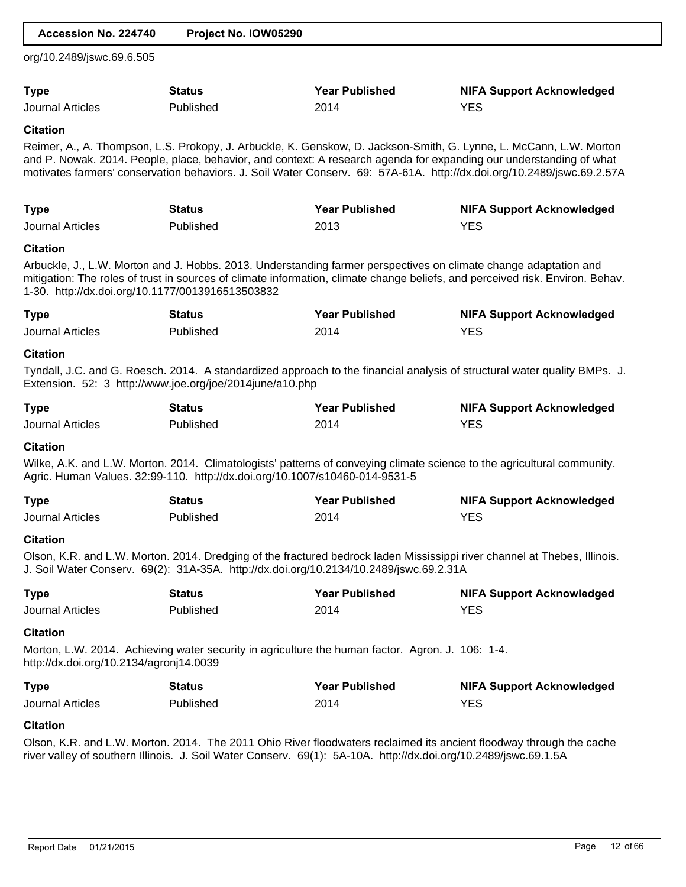| Accession No. 224740                             | Project No. IOW05290                                                        |                                                                                                                  |                                                                                                                                                                                                                                                                                                                                                                     |
|--------------------------------------------------|-----------------------------------------------------------------------------|------------------------------------------------------------------------------------------------------------------|---------------------------------------------------------------------------------------------------------------------------------------------------------------------------------------------------------------------------------------------------------------------------------------------------------------------------------------------------------------------|
| org/10.2489/jswc.69.6.505                        |                                                                             |                                                                                                                  |                                                                                                                                                                                                                                                                                                                                                                     |
| <b>Type</b>                                      | <b>Status</b>                                                               | <b>Year Published</b>                                                                                            | <b>NIFA Support Acknowledged</b>                                                                                                                                                                                                                                                                                                                                    |
| Journal Articles                                 | Published                                                                   | 2014                                                                                                             | <b>YES</b>                                                                                                                                                                                                                                                                                                                                                          |
| <b>Citation</b>                                  |                                                                             |                                                                                                                  |                                                                                                                                                                                                                                                                                                                                                                     |
|                                                  |                                                                             |                                                                                                                  | Reimer, A., A. Thompson, L.S. Prokopy, J. Arbuckle, K. Genskow, D. Jackson-Smith, G. Lynne, L. McCann, L.W. Morton<br>and P. Nowak. 2014. People, place, behavior, and context: A research agenda for expanding our understanding of what<br>motivates farmers' conservation behaviors. J. Soil Water Conserv. 69: 57A-61A. http://dx.doi.org/10.2489/jswc.69.2.57A |
| <b>Type</b>                                      | <b>Status</b>                                                               | <b>Year Published</b>                                                                                            | <b>NIFA Support Acknowledged</b>                                                                                                                                                                                                                                                                                                                                    |
| <b>Journal Articles</b>                          | Published                                                                   | 2013                                                                                                             | <b>YES</b>                                                                                                                                                                                                                                                                                                                                                          |
| <b>Citation</b>                                  |                                                                             |                                                                                                                  |                                                                                                                                                                                                                                                                                                                                                                     |
| 1-30. http://dx.doi.org/10.1177/0013916513503832 |                                                                             | Arbuckle, J., L.W. Morton and J. Hobbs. 2013. Understanding farmer perspectives on climate change adaptation and | mitigation: The roles of trust in sources of climate information, climate change beliefs, and perceived risk. Environ. Behav.                                                                                                                                                                                                                                       |
| <b>Type</b>                                      | <b>Status</b>                                                               | <b>Year Published</b>                                                                                            | <b>NIFA Support Acknowledged</b>                                                                                                                                                                                                                                                                                                                                    |
| <b>Journal Articles</b>                          | Published                                                                   | 2014                                                                                                             | <b>YES</b>                                                                                                                                                                                                                                                                                                                                                          |
| <b>Citation</b>                                  |                                                                             |                                                                                                                  |                                                                                                                                                                                                                                                                                                                                                                     |
|                                                  | Extension. 52: 3 http://www.joe.org/joe/2014june/a10.php                    |                                                                                                                  | Tyndall, J.C. and G. Roesch. 2014. A standardized approach to the financial analysis of structural water quality BMPs. J.                                                                                                                                                                                                                                           |
| <b>Type</b>                                      | <b>Status</b>                                                               | <b>Year Published</b>                                                                                            | <b>NIFA Support Acknowledged</b>                                                                                                                                                                                                                                                                                                                                    |
| <b>Journal Articles</b>                          | Published                                                                   | 2014                                                                                                             | <b>YES</b>                                                                                                                                                                                                                                                                                                                                                          |
| <b>Citation</b>                                  | Agric. Human Values. 32:99-110. http://dx.doi.org/10.1007/s10460-014-9531-5 |                                                                                                                  | Wilke, A.K. and L.W. Morton. 2014. Climatologists' patterns of conveying climate science to the agricultural community.                                                                                                                                                                                                                                             |
| <b>Type</b>                                      | <b>Status</b>                                                               | <b>Year Published</b>                                                                                            | <b>NIFA Support Acknowledged</b>                                                                                                                                                                                                                                                                                                                                    |
| <b>Journal Articles</b>                          | Published                                                                   | 2014                                                                                                             | <b>YES</b>                                                                                                                                                                                                                                                                                                                                                          |
| <b>Citation</b>                                  |                                                                             |                                                                                                                  |                                                                                                                                                                                                                                                                                                                                                                     |
|                                                  |                                                                             | J. Soil Water Conserv. 69(2): 31A-35A. http://dx.doi.org/10.2134/10.2489/jswc.69.2.31A                           | Olson, K.R. and L.W. Morton. 2014. Dredging of the fractured bedrock laden Mississippi river channel at Thebes, Illinois.                                                                                                                                                                                                                                           |
| <b>Type</b>                                      | <b>Status</b>                                                               | <b>Year Published</b>                                                                                            | <b>NIFA Support Acknowledged</b>                                                                                                                                                                                                                                                                                                                                    |
| <b>Journal Articles</b>                          | Published                                                                   | 2014                                                                                                             | <b>YES</b>                                                                                                                                                                                                                                                                                                                                                          |
| <b>Citation</b>                                  |                                                                             |                                                                                                                  |                                                                                                                                                                                                                                                                                                                                                                     |
| http://dx.doi.org/10.2134/agronj14.0039          |                                                                             | Morton, L.W. 2014. Achieving water security in agriculture the human factor. Agron. J. 106: 1-4.                 |                                                                                                                                                                                                                                                                                                                                                                     |
| <b>Type</b>                                      | <b>Status</b>                                                               | <b>Year Published</b>                                                                                            | <b>NIFA Support Acknowledged</b>                                                                                                                                                                                                                                                                                                                                    |
| <b>Journal Articles</b>                          | Published                                                                   | 2014                                                                                                             | <b>YES</b>                                                                                                                                                                                                                                                                                                                                                          |
| <b>Citation</b>                                  |                                                                             |                                                                                                                  |                                                                                                                                                                                                                                                                                                                                                                     |
|                                                  |                                                                             | river valley of southern Illinois. J. Soil Water Conserv. 69(1): 5A-10A. http://dx.doi.org/10.2489/jswc.69.1.5A  | Olson, K.R. and L.W. Morton. 2014. The 2011 Ohio River floodwaters reclaimed its ancient floodway through the cache                                                                                                                                                                                                                                                 |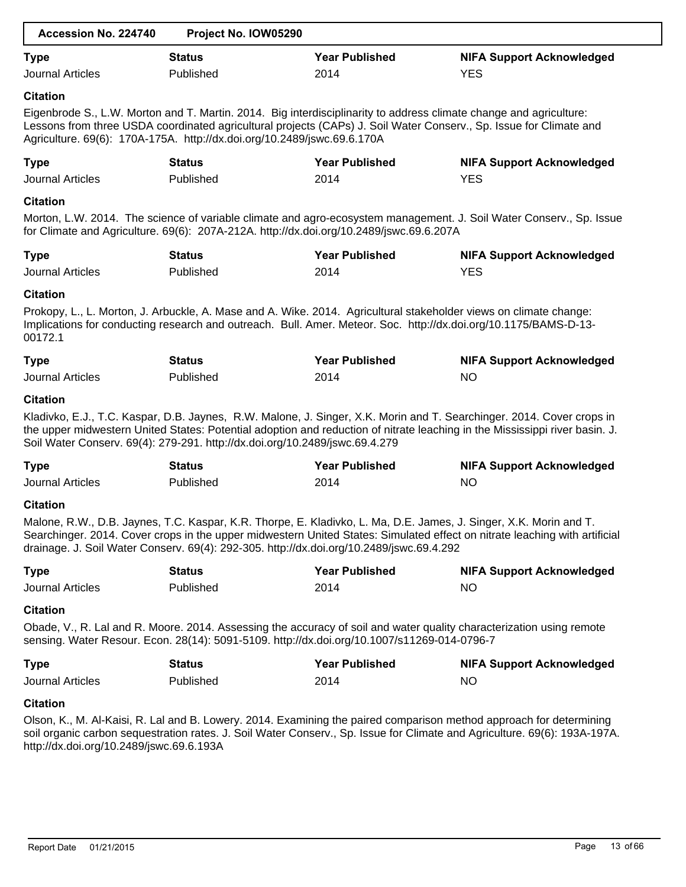| Accession No. 224740                   | Project No. IOW05290                                                                        |                               |                                                                                                                                                                                                                                                      |
|----------------------------------------|---------------------------------------------------------------------------------------------|-------------------------------|------------------------------------------------------------------------------------------------------------------------------------------------------------------------------------------------------------------------------------------------------|
| <b>Type</b><br><b>Journal Articles</b> | <b>Status</b><br>Published                                                                  | <b>Year Published</b><br>2014 | <b>NIFA Support Acknowledged</b><br><b>YES</b>                                                                                                                                                                                                       |
| <b>Citation</b>                        | Agriculture. 69(6): 170A-175A. http://dx.doi.org/10.2489/jswc.69.6.170A                     |                               | Eigenbrode S., L.W. Morton and T. Martin. 2014. Big interdisciplinarity to address climate change and agriculture:<br>Lessons from three USDA coordinated agricultural projects (CAPs) J. Soil Water Conserv., Sp. Issue for Climate and             |
| <b>Type</b><br><b>Journal Articles</b> | <b>Status</b><br>Published                                                                  | <b>Year Published</b><br>2014 | <b>NIFA Support Acknowledged</b><br><b>YES</b>                                                                                                                                                                                                       |
| <b>Citation</b>                        | for Climate and Agriculture. 69(6): 207A-212A. http://dx.doi.org/10.2489/jswc.69.6.207A     |                               | Morton, L.W. 2014. The science of variable climate and agro-ecosystem management. J. Soil Water Conserv., Sp. Issue                                                                                                                                  |
| <b>Type</b><br><b>Journal Articles</b> | <b>Status</b><br>Published                                                                  | <b>Year Published</b><br>2014 | <b>NIFA Support Acknowledged</b><br><b>YES</b>                                                                                                                                                                                                       |
| <b>Citation</b><br>00172.1             |                                                                                             |                               | Prokopy, L., L. Morton, J. Arbuckle, A. Mase and A. Wike. 2014. Agricultural stakeholder views on climate change:<br>Implications for conducting research and outreach. Bull. Amer. Meteor. Soc. http://dx.doi.org/10.1175/BAMS-D-13-                |
| <b>Type</b><br><b>Journal Articles</b> | <b>Status</b><br>Published                                                                  | <b>Year Published</b><br>2014 | <b>NIFA Support Acknowledged</b><br><b>NO</b>                                                                                                                                                                                                        |
| <b>Citation</b>                        | Soil Water Conserv. 69(4): 279-291. http://dx.doi.org/10.2489/jswc.69.4.279                 |                               | Kladivko, E.J., T.C. Kaspar, D.B. Jaynes, R.W. Malone, J. Singer, X.K. Morin and T. Searchinger. 2014. Cover crops in<br>the upper midwestern United States: Potential adoption and reduction of nitrate leaching in the Mississippi river basin. J. |
| <b>Type</b><br><b>Journal Articles</b> | <b>Status</b><br>Published                                                                  | <b>Year Published</b><br>2014 | <b>NIFA Support Acknowledged</b><br>NO                                                                                                                                                                                                               |
| <b>Citation</b>                        | drainage. J. Soil Water Conserv. 69(4): 292-305. http://dx.doi.org/10.2489/jswc.69.4.292    |                               | Malone, R.W., D.B. Jaynes, T.C. Kaspar, K.R. Thorpe, E. Kladivko, L. Ma, D.E. James, J. Singer, X.K. Morin and T.<br>Searchinger. 2014. Cover crops in the upper midwestern United States: Simulated effect on nitrate leaching with artificial      |
| <b>Type</b><br><b>Journal Articles</b> | <b>Status</b><br>Published                                                                  | <b>Year Published</b><br>2014 | <b>NIFA Support Acknowledged</b><br><b>NO</b>                                                                                                                                                                                                        |
| <b>Citation</b>                        | sensing. Water Resour. Econ. 28(14): 5091-5109. http://dx.doi.org/10.1007/s11269-014-0796-7 |                               | Obade, V., R. Lal and R. Moore. 2014. Assessing the accuracy of soil and water quality characterization using remote                                                                                                                                 |
| <b>Type</b><br><b>Journal Articles</b> | <b>Status</b><br>Published                                                                  | <b>Year Published</b><br>2014 | <b>NIFA Support Acknowledged</b><br><b>NO</b>                                                                                                                                                                                                        |
| <b>Citation</b>                        |                                                                                             |                               | Olson K M Al-Kaisi R Lal and B Lowery 2014 Examining the paired comparison method approach for determining                                                                                                                                           |

Olson, K., M. Al-Kaisi, R. Lal and B. Lowery. 2014. Examining the paired comparison method approach for determining soil organic carbon sequestration rates. J. Soil Water Conserv., Sp. Issue for Climate and Agriculture. 69(6): 193A-197A. http://dx.doi.org/10.2489/jswc.69.6.193A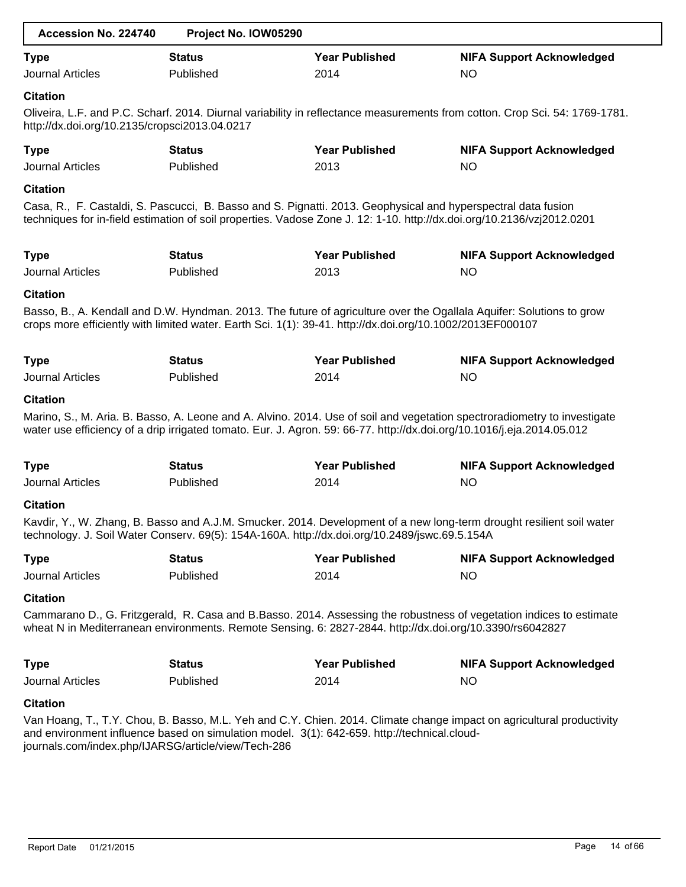| Accession No. 224740                                | Project No. IOW05290                                                                                                                                                                                                                    |                       |                                                                                                                             |
|-----------------------------------------------------|-----------------------------------------------------------------------------------------------------------------------------------------------------------------------------------------------------------------------------------------|-----------------------|-----------------------------------------------------------------------------------------------------------------------------|
| <b>Type</b>                                         | <b>Status</b>                                                                                                                                                                                                                           | <b>Year Published</b> | <b>NIFA Support Acknowledged</b>                                                                                            |
| <b>Journal Articles</b>                             | Published                                                                                                                                                                                                                               | 2014                  | <b>NO</b>                                                                                                                   |
| <b>Citation</b>                                     |                                                                                                                                                                                                                                         |                       |                                                                                                                             |
| http://dx.doi.org/10.2135/cropsci2013.04.0217       |                                                                                                                                                                                                                                         |                       | Oliveira, L.F. and P.C. Scharf. 2014. Diurnal variability in reflectance measurements from cotton. Crop Sci. 54: 1769-1781. |
| <b>Type</b>                                         | <b>Status</b>                                                                                                                                                                                                                           | <b>Year Published</b> | <b>NIFA Support Acknowledged</b>                                                                                            |
| <b>Journal Articles</b>                             | Published                                                                                                                                                                                                                               | 2013                  | <b>NO</b>                                                                                                                   |
| <b>Citation</b>                                     |                                                                                                                                                                                                                                         |                       |                                                                                                                             |
|                                                     | Casa, R., F. Castaldi, S. Pascucci, B. Basso and S. Pignatti. 2013. Geophysical and hyperspectral data fusion<br>techniques for in-field estimation of soil properties. Vadose Zone J. 12: 1-10. http://dx.doi.org/10.2136/vzj2012.0201 |                       |                                                                                                                             |
| <b>Type</b>                                         | <b>Status</b>                                                                                                                                                                                                                           | <b>Year Published</b> | <b>NIFA Support Acknowledged</b>                                                                                            |
| <b>Journal Articles</b>                             | Published                                                                                                                                                                                                                               | 2013                  | <b>NO</b>                                                                                                                   |
| <b>Citation</b>                                     |                                                                                                                                                                                                                                         |                       |                                                                                                                             |
|                                                     | crops more efficiently with limited water. Earth Sci. 1(1): 39-41. http://dx.doi.org/10.1002/2013EF000107                                                                                                                               |                       | Basso, B., A. Kendall and D.W. Hyndman. 2013. The future of agriculture over the Ogallala Aquifer: Solutions to grow        |
| <b>Type</b>                                         | <b>Status</b>                                                                                                                                                                                                                           | <b>Year Published</b> | <b>NIFA Support Acknowledged</b>                                                                                            |
| <b>Journal Articles</b>                             | Published                                                                                                                                                                                                                               | 2014                  | <b>NO</b>                                                                                                                   |
| <b>Citation</b>                                     | water use efficiency of a drip irrigated tomato. Eur. J. Agron. 59: 66-77. http://dx.doi.org/10.1016/j.eja.2014.05.012                                                                                                                  |                       | Marino, S., M. Aria. B. Basso, A. Leone and A. Alvino. 2014. Use of soil and vegetation spectroradiometry to investigate    |
| <b>Type</b>                                         | <b>Status</b>                                                                                                                                                                                                                           | <b>Year Published</b> | <b>NIFA Support Acknowledged</b>                                                                                            |
| Journal Articles                                    | Published                                                                                                                                                                                                                               | 2014                  | <b>NO</b>                                                                                                                   |
| <b>Citation</b>                                     |                                                                                                                                                                                                                                         |                       |                                                                                                                             |
|                                                     | technology. J. Soil Water Conserv. 69(5): 154A-160A. http://dx.doi.org/10.2489/jswc.69.5.154A                                                                                                                                           |                       | Kavdir, Y., W. Zhang, B. Basso and A.J.M. Smucker. 2014. Development of a new long-term drought resilient soil water        |
| <b>Type</b>                                         | <b>Status</b>                                                                                                                                                                                                                           | <b>Year Published</b> | <b>NIFA Support Acknowledged</b>                                                                                            |
| <b>Journal Articles</b>                             | Published                                                                                                                                                                                                                               | 2014                  | <b>NO</b>                                                                                                                   |
| <b>Citation</b>                                     |                                                                                                                                                                                                                                         |                       |                                                                                                                             |
|                                                     | wheat N in Mediterranean environments. Remote Sensing. 6: 2827-2844. http://dx.doi.org/10.3390/rs6042827                                                                                                                                |                       | Cammarano D., G. Fritzgerald, R. Casa and B.Basso. 2014. Assessing the robustness of vegetation indices to estimate         |
| <b>Type</b>                                         | <b>Status</b>                                                                                                                                                                                                                           | <b>Year Published</b> | <b>NIFA Support Acknowledged</b>                                                                                            |
| <b>Journal Articles</b>                             | Published                                                                                                                                                                                                                               | 2014                  | <b>NO</b>                                                                                                                   |
| <b>Citation</b>                                     |                                                                                                                                                                                                                                         |                       |                                                                                                                             |
| journals.com/index.php/IJARSG/article/view/Tech-286 | and environment influence based on simulation model. 3(1): 642-659. http://technical.cloud-                                                                                                                                             |                       | Van Hoang, T., T.Y. Chou, B. Basso, M.L. Yeh and C.Y. Chien. 2014. Climate change impact on agricultural productivity       |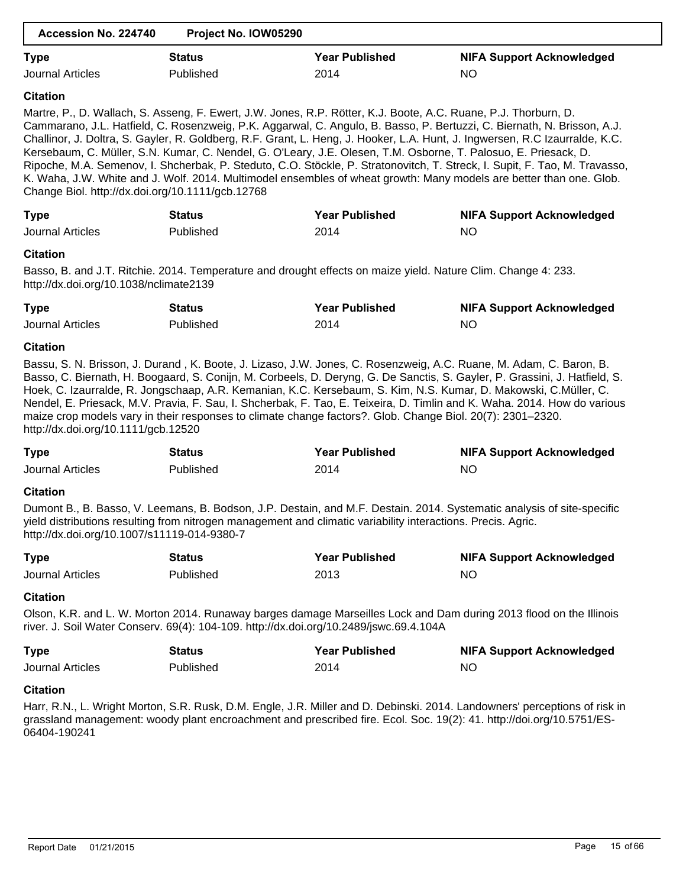| Accession No. 224740                                                                                                                                                                                                                                                                                                                                                                                                                                                                                                                                                                                                                                                                                                                                                                                  | Project No. IOW05290 |                                                                                                               |                                                                                                                                                                                                                                                                                                                                                                            |  |  |  |  |
|-------------------------------------------------------------------------------------------------------------------------------------------------------------------------------------------------------------------------------------------------------------------------------------------------------------------------------------------------------------------------------------------------------------------------------------------------------------------------------------------------------------------------------------------------------------------------------------------------------------------------------------------------------------------------------------------------------------------------------------------------------------------------------------------------------|----------------------|---------------------------------------------------------------------------------------------------------------|----------------------------------------------------------------------------------------------------------------------------------------------------------------------------------------------------------------------------------------------------------------------------------------------------------------------------------------------------------------------------|--|--|--|--|
| <b>Type</b>                                                                                                                                                                                                                                                                                                                                                                                                                                                                                                                                                                                                                                                                                                                                                                                           | <b>Status</b>        | <b>Year Published</b>                                                                                         | <b>NIFA Support Acknowledged</b>                                                                                                                                                                                                                                                                                                                                           |  |  |  |  |
| <b>Journal Articles</b>                                                                                                                                                                                                                                                                                                                                                                                                                                                                                                                                                                                                                                                                                                                                                                               | Published            | 2014                                                                                                          | <b>NO</b>                                                                                                                                                                                                                                                                                                                                                                  |  |  |  |  |
| <b>Citation</b>                                                                                                                                                                                                                                                                                                                                                                                                                                                                                                                                                                                                                                                                                                                                                                                       |                      |                                                                                                               |                                                                                                                                                                                                                                                                                                                                                                            |  |  |  |  |
| Martre, P., D. Wallach, S. Asseng, F. Ewert, J.W. Jones, R.P. Rötter, K.J. Boote, A.C. Ruane, P.J. Thorburn, D.<br>Cammarano, J.L. Hatfield, C. Rosenzweig, P.K. Aggarwal, C. Angulo, B. Basso, P. Bertuzzi, C. Biernath, N. Brisson, A.J.<br>Challinor, J. Doltra, S. Gayler, R. Goldberg, R.F. Grant, L. Heng, J. Hooker, L.A. Hunt, J. Ingwersen, R.C Izaurralde, K.C.<br>Kersebaum, C. Müller, S.N. Kumar, C. Nendel, G. O'Leary, J.E. Olesen, T.M. Osborne, T. Palosuo, E. Priesack, D.<br>Ripoche, M.A. Semenov, I. Shcherbak, P. Steduto, C.O. Stöckle, P. Stratonovitch, T. Streck, I. Supit, F. Tao, M. Travasso,<br>K. Waha, J.W. White and J. Wolf. 2014. Multimodel ensembles of wheat growth: Many models are better than one. Glob.<br>Change Biol. http://dx.doi.org/10.1111/gcb.12768 |                      |                                                                                                               |                                                                                                                                                                                                                                                                                                                                                                            |  |  |  |  |
| <b>Type</b>                                                                                                                                                                                                                                                                                                                                                                                                                                                                                                                                                                                                                                                                                                                                                                                           | <b>Status</b>        | <b>Year Published</b>                                                                                         | <b>NIFA Support Acknowledged</b>                                                                                                                                                                                                                                                                                                                                           |  |  |  |  |
| <b>Journal Articles</b>                                                                                                                                                                                                                                                                                                                                                                                                                                                                                                                                                                                                                                                                                                                                                                               | Published            | 2014                                                                                                          | <b>NO</b>                                                                                                                                                                                                                                                                                                                                                                  |  |  |  |  |
| <b>Citation</b><br>http://dx.doi.org/10.1038/nclimate2139                                                                                                                                                                                                                                                                                                                                                                                                                                                                                                                                                                                                                                                                                                                                             |                      | Basso, B. and J.T. Ritchie. 2014. Temperature and drought effects on maize yield. Nature Clim. Change 4: 233. |                                                                                                                                                                                                                                                                                                                                                                            |  |  |  |  |
| <b>Type</b>                                                                                                                                                                                                                                                                                                                                                                                                                                                                                                                                                                                                                                                                                                                                                                                           | <b>Status</b>        | <b>Year Published</b>                                                                                         | <b>NIFA Support Acknowledged</b>                                                                                                                                                                                                                                                                                                                                           |  |  |  |  |
| <b>Journal Articles</b>                                                                                                                                                                                                                                                                                                                                                                                                                                                                                                                                                                                                                                                                                                                                                                               | Published            | 2014                                                                                                          | <b>NO</b>                                                                                                                                                                                                                                                                                                                                                                  |  |  |  |  |
| http://dx.doi.org/10.1111/gcb.12520                                                                                                                                                                                                                                                                                                                                                                                                                                                                                                                                                                                                                                                                                                                                                                   |                      | maize crop models vary in their responses to climate change factors?. Glob. Change Biol. 20(7): 2301-2320.    | Basso, C. Biernath, H. Boogaard, S. Conijn, M. Corbeels, D. Deryng, G. De Sanctis, S. Gayler, P. Grassini, J. Hatfield, S.<br>Hoek, C. Izaurralde, R. Jongschaap, A.R. Kemanian, K.C. Kersebaum, S. Kim, N.S. Kumar, D. Makowski, C.Müller, C.<br>Nendel, E. Priesack, M.V. Pravia, F. Sau, I. Shcherbak, F. Tao, E. Teixeira, D. Timlin and K. Waha. 2014. How do various |  |  |  |  |
| <b>Type</b>                                                                                                                                                                                                                                                                                                                                                                                                                                                                                                                                                                                                                                                                                                                                                                                           | <b>Status</b>        | <b>Year Published</b>                                                                                         | <b>NIFA Support Acknowledged</b>                                                                                                                                                                                                                                                                                                                                           |  |  |  |  |
| <b>Journal Articles</b>                                                                                                                                                                                                                                                                                                                                                                                                                                                                                                                                                                                                                                                                                                                                                                               | Published            | 2014                                                                                                          | <b>NO</b>                                                                                                                                                                                                                                                                                                                                                                  |  |  |  |  |
| <b>Citation</b><br>Dumont B., B. Basso, V. Leemans, B. Bodson, J.P. Destain, and M.F. Destain. 2014. Systematic analysis of site-specific<br>yield distributions resulting from nitrogen management and climatic variability interactions. Precis. Agric.<br>http://dx.doi.org/10.1007/s11119-014-9380-7                                                                                                                                                                                                                                                                                                                                                                                                                                                                                              |                      |                                                                                                               |                                                                                                                                                                                                                                                                                                                                                                            |  |  |  |  |
| <b>Type</b>                                                                                                                                                                                                                                                                                                                                                                                                                                                                                                                                                                                                                                                                                                                                                                                           | <b>Status</b>        | <b>Year Published</b>                                                                                         | <b>NIFA Support Acknowledged</b>                                                                                                                                                                                                                                                                                                                                           |  |  |  |  |
| <b>Journal Articles</b>                                                                                                                                                                                                                                                                                                                                                                                                                                                                                                                                                                                                                                                                                                                                                                               | Published            | 2013                                                                                                          | <b>NO</b>                                                                                                                                                                                                                                                                                                                                                                  |  |  |  |  |
| <b>Citation</b><br>Olson, K.R. and L. W. Morton 2014. Runaway barges damage Marseilles Lock and Dam during 2013 flood on the Illinois<br>river. J. Soil Water Conserv. 69(4): 104-109. http://dx.doi.org/10.2489/jswc.69.4.104A                                                                                                                                                                                                                                                                                                                                                                                                                                                                                                                                                                       |                      |                                                                                                               |                                                                                                                                                                                                                                                                                                                                                                            |  |  |  |  |
| <b>Type</b>                                                                                                                                                                                                                                                                                                                                                                                                                                                                                                                                                                                                                                                                                                                                                                                           | <b>Status</b>        | <b>Year Published</b>                                                                                         | <b>NIFA Support Acknowledged</b>                                                                                                                                                                                                                                                                                                                                           |  |  |  |  |
| <b>Journal Articles</b>                                                                                                                                                                                                                                                                                                                                                                                                                                                                                                                                                                                                                                                                                                                                                                               | Published            | 2014                                                                                                          | <b>NO</b>                                                                                                                                                                                                                                                                                                                                                                  |  |  |  |  |
| <b>Citation</b><br>06404-190241                                                                                                                                                                                                                                                                                                                                                                                                                                                                                                                                                                                                                                                                                                                                                                       |                      |                                                                                                               | Harr, R.N., L. Wright Morton, S.R. Rusk, D.M. Engle, J.R. Miller and D. Debinski. 2014. Landowners' perceptions of risk in<br>grassland management: woody plant encroachment and prescribed fire. Ecol. Soc. 19(2): 41. http://doi.org/10.5751/ES-                                                                                                                         |  |  |  |  |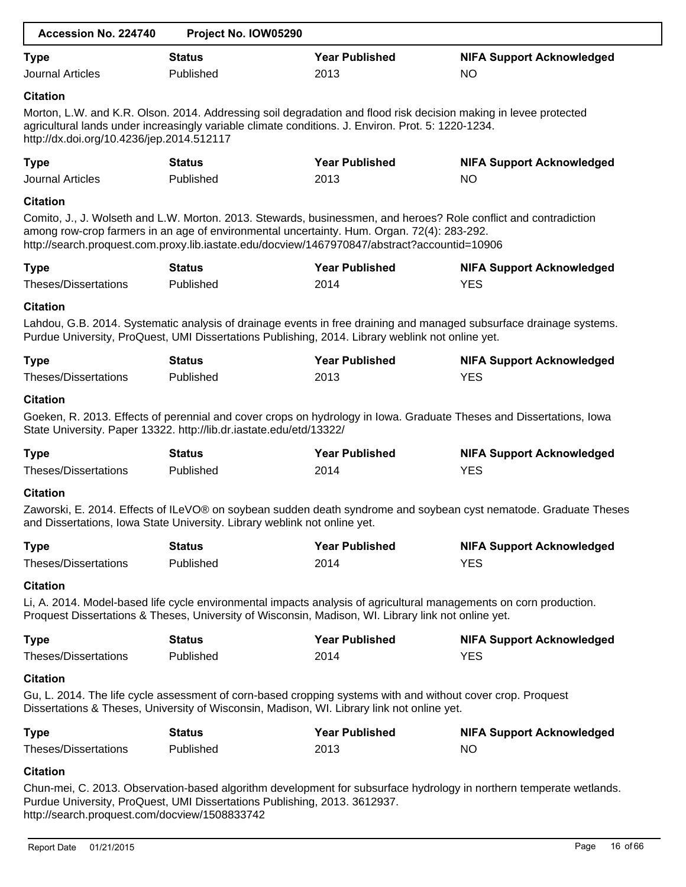| Accession No. 224740                                         | Project No. IOW05290                                                                                                                                                                                                   |                               |                                                                                                                     |
|--------------------------------------------------------------|------------------------------------------------------------------------------------------------------------------------------------------------------------------------------------------------------------------------|-------------------------------|---------------------------------------------------------------------------------------------------------------------|
| <b>Type</b>                                                  | <b>Status</b>                                                                                                                                                                                                          | <b>Year Published</b>         | <b>NIFA Support Acknowledged</b>                                                                                    |
| <b>Journal Articles</b>                                      | Published                                                                                                                                                                                                              | 2013                          | <b>NO</b>                                                                                                           |
| <b>Citation</b><br>http://dx.doi.org/10.4236/jep.2014.512117 | Morton, L.W. and K.R. Olson. 2014. Addressing soil degradation and flood risk decision making in levee protected<br>agricultural lands under increasingly variable climate conditions. J. Environ. Prot. 5: 1220-1234. |                               |                                                                                                                     |
| <b>Type</b><br><b>Journal Articles</b>                       | <b>Status</b><br>Published                                                                                                                                                                                             | <b>Year Published</b><br>2013 | <b>NIFA Support Acknowledged</b><br><b>NO</b>                                                                       |
| <b>Citation</b>                                              | among row-crop farmers in an age of environmental uncertainty. Hum. Organ. 72(4): 283-292.<br>http://search.proquest.com.proxy.lib.iastate.edu/docview/1467970847/abstract?accountid=10906                             |                               | Comito, J., J. Wolseth and L.W. Morton. 2013. Stewards, businessmen, and heroes? Role conflict and contradiction    |
| <b>Type</b><br>Theses/Dissertations                          | <b>Status</b><br>Published                                                                                                                                                                                             | <b>Year Published</b><br>2014 | <b>NIFA Support Acknowledged</b><br><b>YES</b>                                                                      |
| <b>Citation</b>                                              | Purdue University, ProQuest, UMI Dissertations Publishing, 2014. Library weblink not online yet.                                                                                                                       |                               | Lahdou, G.B. 2014. Systematic analysis of drainage events in free draining and managed subsurface drainage systems. |
| <b>Type</b><br>Theses/Dissertations                          | <b>Status</b><br>Published                                                                                                                                                                                             | <b>Year Published</b><br>2013 | <b>NIFA Support Acknowledged</b><br><b>YES</b>                                                                      |
| <b>Citation</b>                                              | State University. Paper 13322. http://lib.dr.iastate.edu/etd/13322/                                                                                                                                                    |                               | Goeken, R. 2013. Effects of perennial and cover crops on hydrology in Iowa. Graduate Theses and Dissertations, Iowa |
| <b>Type</b>                                                  | <b>Status</b>                                                                                                                                                                                                          | <b>Year Published</b>         | <b>NIFA Support Acknowledged</b>                                                                                    |
| <b>Theses/Dissertations</b>                                  | Published                                                                                                                                                                                                              | 2014                          | <b>YES</b>                                                                                                          |
| <b>Citation</b>                                              | and Dissertations, Iowa State University. Library weblink not online yet.                                                                                                                                              |                               | Zaworski, E. 2014. Effects of ILeVO® on soybean sudden death syndrome and soybean cyst nematode. Graduate Theses    |
| <b>Type</b><br><b>Theses/Dissertations</b>                   | <b>Status</b><br>Published                                                                                                                                                                                             | <b>Year Published</b><br>2014 | <b>NIFA Support Acknowledged</b><br><b>YES</b>                                                                      |
| <b>Citation</b>                                              | Proquest Dissertations & Theses, University of Wisconsin, Madison, WI. Library link not online yet.                                                                                                                    |                               | Li, A. 2014. Model-based life cycle environmental impacts analysis of agricultural managements on corn production.  |
| <b>Type</b><br>Theses/Dissertations                          | <b>Status</b><br>Published                                                                                                                                                                                             | <b>Year Published</b><br>2014 | <b>NIFA Support Acknowledged</b><br><b>YES</b>                                                                      |
| <b>Citation</b>                                              | Gu, L. 2014. The life cycle assessment of corn-based cropping systems with and without cover crop. Proquest<br>Dissertations & Theses, University of Wisconsin, Madison, WI. Library link not online yet.              |                               |                                                                                                                     |
| <b>Type</b><br>Theses/Dissertations                          | <b>Status</b><br>Published                                                                                                                                                                                             | <b>Year Published</b><br>2013 | <b>NIFA Support Acknowledged</b><br><b>NO</b>                                                                       |
|                                                              |                                                                                                                                                                                                                        |                               |                                                                                                                     |
| <b>Citation</b>                                              | Purdue University, ProQuest, UMI Dissertations Publishing, 2013. 3612937.                                                                                                                                              |                               | Chun-mei, C. 2013. Observation-based algorithm development for subsurface hydrology in northern temperate wetlands. |

http://search.proquest.com/docview/1508833742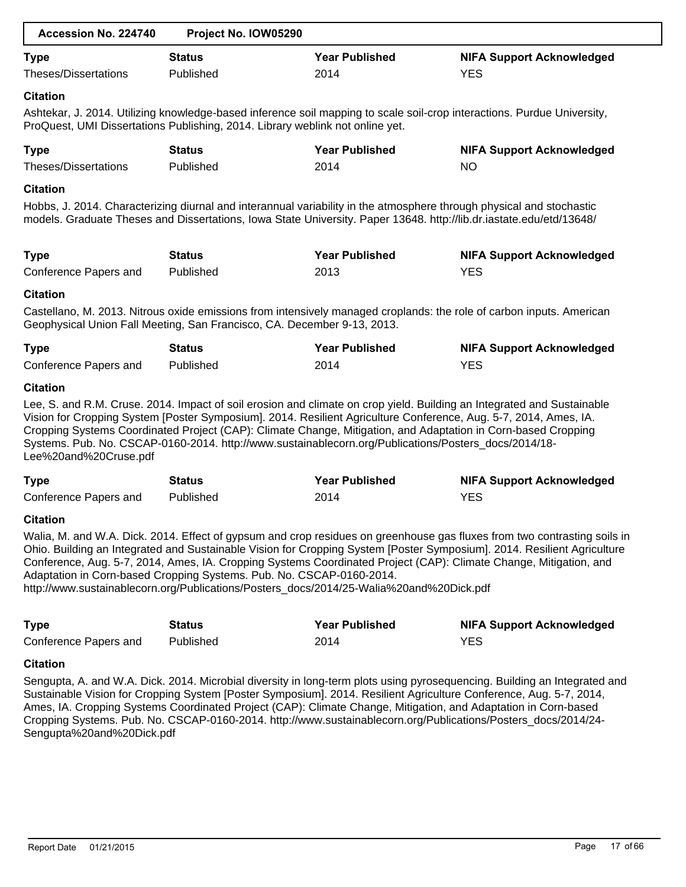| Accession No. 224740        | Project No. IOW05290                                                          |                                                                                                                                                                                                                                                                                                                                           |                                                                                                                                                                                                                                                                                                                                                                          |
|-----------------------------|-------------------------------------------------------------------------------|-------------------------------------------------------------------------------------------------------------------------------------------------------------------------------------------------------------------------------------------------------------------------------------------------------------------------------------------|--------------------------------------------------------------------------------------------------------------------------------------------------------------------------------------------------------------------------------------------------------------------------------------------------------------------------------------------------------------------------|
| <b>Type</b>                 | <b>Status</b>                                                                 | <b>Year Published</b>                                                                                                                                                                                                                                                                                                                     | <b>NIFA Support Acknowledged</b>                                                                                                                                                                                                                                                                                                                                         |
| <b>Theses/Dissertations</b> | Published                                                                     | 2014                                                                                                                                                                                                                                                                                                                                      | <b>YES</b>                                                                                                                                                                                                                                                                                                                                                               |
| <b>Citation</b>             |                                                                               |                                                                                                                                                                                                                                                                                                                                           |                                                                                                                                                                                                                                                                                                                                                                          |
|                             | ProQuest, UMI Dissertations Publishing, 2014. Library weblink not online yet. |                                                                                                                                                                                                                                                                                                                                           | Ashtekar, J. 2014. Utilizing knowledge-based inference soil mapping to scale soil-crop interactions. Purdue University,                                                                                                                                                                                                                                                  |
| <b>Type</b>                 | <b>Status</b>                                                                 | <b>Year Published</b>                                                                                                                                                                                                                                                                                                                     | <b>NIFA Support Acknowledged</b>                                                                                                                                                                                                                                                                                                                                         |
| <b>Theses/Dissertations</b> | Published                                                                     | 2014                                                                                                                                                                                                                                                                                                                                      | <b>NO</b>                                                                                                                                                                                                                                                                                                                                                                |
| <b>Citation</b>             |                                                                               |                                                                                                                                                                                                                                                                                                                                           |                                                                                                                                                                                                                                                                                                                                                                          |
|                             |                                                                               | Hobbs, J. 2014. Characterizing diurnal and interannual variability in the atmosphere through physical and stochastic<br>models. Graduate Theses and Dissertations, Iowa State University. Paper 13648. http://lib.dr.iastate.edu/etd/13648/                                                                                               |                                                                                                                                                                                                                                                                                                                                                                          |
| <b>Type</b>                 | <b>Status</b>                                                                 | <b>Year Published</b>                                                                                                                                                                                                                                                                                                                     | <b>NIFA Support Acknowledged</b>                                                                                                                                                                                                                                                                                                                                         |
| Conference Papers and       | Published                                                                     | 2013                                                                                                                                                                                                                                                                                                                                      | <b>YES</b>                                                                                                                                                                                                                                                                                                                                                               |
| <b>Citation</b>             |                                                                               |                                                                                                                                                                                                                                                                                                                                           |                                                                                                                                                                                                                                                                                                                                                                          |
|                             | Geophysical Union Fall Meeting, San Francisco, CA. December 9-13, 2013.       |                                                                                                                                                                                                                                                                                                                                           | Castellano, M. 2013. Nitrous oxide emissions from intensively managed croplands: the role of carbon inputs. American                                                                                                                                                                                                                                                     |
| <b>Type</b>                 | <b>Status</b>                                                                 | <b>Year Published</b>                                                                                                                                                                                                                                                                                                                     | <b>NIFA Support Acknowledged</b>                                                                                                                                                                                                                                                                                                                                         |
| Conference Papers and       | Published                                                                     | 2014                                                                                                                                                                                                                                                                                                                                      | <b>YES</b>                                                                                                                                                                                                                                                                                                                                                               |
| <b>Citation</b>             |                                                                               |                                                                                                                                                                                                                                                                                                                                           |                                                                                                                                                                                                                                                                                                                                                                          |
| Lee%20and%20Cruse.pdf       |                                                                               | Vision for Cropping System [Poster Symposium]. 2014. Resilient Agriculture Conference, Aug. 5-7, 2014, Ames, IA.<br>Cropping Systems Coordinated Project (CAP): Climate Change, Mitigation, and Adaptation in Corn-based Cropping<br>Systems. Pub. No. CSCAP-0160-2014. http://www.sustainablecorn.org/Publications/Posters_docs/2014/18- | Lee, S. and R.M. Cruse. 2014. Impact of soil erosion and climate on crop yield. Building an Integrated and Sustainable                                                                                                                                                                                                                                                   |
| <b>Type</b>                 | <b>Status</b>                                                                 | <b>Year Published</b>                                                                                                                                                                                                                                                                                                                     | <b>NIFA Support Acknowledged</b>                                                                                                                                                                                                                                                                                                                                         |
| Conference Papers and       | Published                                                                     | 2014                                                                                                                                                                                                                                                                                                                                      | <b>YES</b>                                                                                                                                                                                                                                                                                                                                                               |
| <b>Citation</b>             |                                                                               |                                                                                                                                                                                                                                                                                                                                           |                                                                                                                                                                                                                                                                                                                                                                          |
|                             | Adaptation in Corn-based Cropping Systems. Pub. No. CSCAP-0160-2014.          | http://www.sustainablecorn.org/Publications/Posters_docs/2014/25-Walia%20and%20Dick.pdf                                                                                                                                                                                                                                                   | Walia, M. and W.A. Dick. 2014. Effect of gypsum and crop residues on greenhouse gas fluxes from two contrasting soils in<br>Ohio. Building an Integrated and Sustainable Vision for Cropping System [Poster Symposium]. 2014. Resilient Agriculture<br>Conference, Aug. 5-7, 2014, Ames, IA. Cropping Systems Coordinated Project (CAP): Climate Change, Mitigation, and |
| <b>Type</b>                 | <b>Status</b>                                                                 | <b>Year Published</b>                                                                                                                                                                                                                                                                                                                     | <b>NIFA Support Acknowledged</b>                                                                                                                                                                                                                                                                                                                                         |
| Conference Papers and       | Published                                                                     | 2014                                                                                                                                                                                                                                                                                                                                      | <b>YES</b>                                                                                                                                                                                                                                                                                                                                                               |
| <b>Citation</b>             |                                                                               |                                                                                                                                                                                                                                                                                                                                           |                                                                                                                                                                                                                                                                                                                                                                          |
| Sengupta%20and%20Dick.pdf   |                                                                               | Ames, IA. Cropping Systems Coordinated Project (CAP): Climate Change, Mitigation, and Adaptation in Corn-based                                                                                                                                                                                                                            | Sengupta, A. and W.A. Dick. 2014. Microbial diversity in long-term plots using pyrosequencing. Building an Integrated and<br>Sustainable Vision for Cropping System [Poster Symposium]. 2014. Resilient Agriculture Conference, Aug. 5-7, 2014,<br>Cropping Systems. Pub. No. CSCAP-0160-2014. http://www.sustainablecorn.org/Publications/Posters_docs/2014/24-         |
|                             |                                                                               |                                                                                                                                                                                                                                                                                                                                           |                                                                                                                                                                                                                                                                                                                                                                          |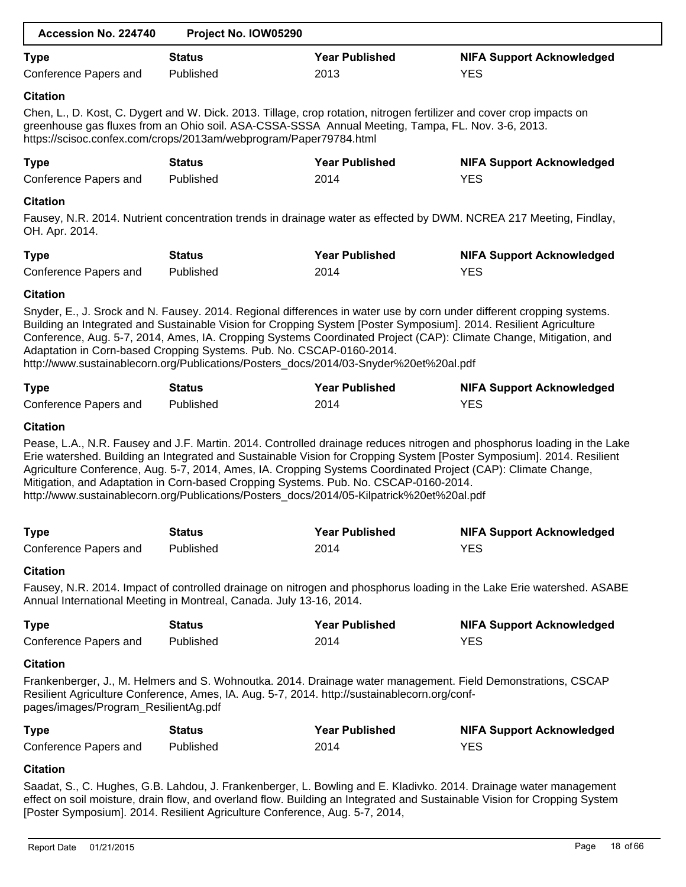| Accession No. 224740                                    | Project No. IOW05290                                                                                                                                                              |                               |                                                                                                                                                                                                                                                                                                                                                                   |
|---------------------------------------------------------|-----------------------------------------------------------------------------------------------------------------------------------------------------------------------------------|-------------------------------|-------------------------------------------------------------------------------------------------------------------------------------------------------------------------------------------------------------------------------------------------------------------------------------------------------------------------------------------------------------------|
| <b>Type</b>                                             | <b>Status</b>                                                                                                                                                                     | <b>Year Published</b>         | <b>NIFA Support Acknowledged</b>                                                                                                                                                                                                                                                                                                                                  |
| <b>Conference Papers and</b>                            | Published                                                                                                                                                                         | 2013                          | <b>YES</b>                                                                                                                                                                                                                                                                                                                                                        |
| <b>Citation</b>                                         | greenhouse gas fluxes from an Ohio soil. ASA-CSSA-SSSA Annual Meeting, Tampa, FL. Nov. 3-6, 2013.<br>https://scisoc.confex.com/crops/2013am/webprogram/Paper79784.html            |                               | Chen, L., D. Kost, C. Dygert and W. Dick. 2013. Tillage, crop rotation, nitrogen fertilizer and cover crop impacts on                                                                                                                                                                                                                                             |
| <b>Type</b>                                             | <b>Status</b>                                                                                                                                                                     | <b>Year Published</b>         | <b>NIFA Support Acknowledged</b>                                                                                                                                                                                                                                                                                                                                  |
| Conference Papers and                                   | Published                                                                                                                                                                         | 2014                          | <b>YES</b>                                                                                                                                                                                                                                                                                                                                                        |
| <b>Citation</b>                                         |                                                                                                                                                                                   |                               |                                                                                                                                                                                                                                                                                                                                                                   |
| OH. Apr. 2014.                                          |                                                                                                                                                                                   |                               | Fausey, N.R. 2014. Nutrient concentration trends in drainage water as effected by DWM. NCREA 217 Meeting, Findlay,                                                                                                                                                                                                                                                |
| <b>Type</b>                                             | <b>Status</b>                                                                                                                                                                     | <b>Year Published</b>         | <b>NIFA Support Acknowledged</b>                                                                                                                                                                                                                                                                                                                                  |
| Conference Papers and                                   | Published                                                                                                                                                                         | 2014                          | <b>YES</b>                                                                                                                                                                                                                                                                                                                                                        |
| <b>Citation</b>                                         |                                                                                                                                                                                   |                               |                                                                                                                                                                                                                                                                                                                                                                   |
|                                                         | Adaptation in Corn-based Cropping Systems. Pub. No. CSCAP-0160-2014.<br>http://www.sustainablecorn.org/Publications/Posters_docs/2014/03-Snyder%20et%20al.pdf                     |                               | Snyder, E., J. Srock and N. Fausey. 2014. Regional differences in water use by corn under different cropping systems.<br>Building an Integrated and Sustainable Vision for Cropping System [Poster Symposium]. 2014. Resilient Agriculture<br>Conference, Aug. 5-7, 2014, Ames, IA. Cropping Systems Coordinated Project (CAP): Climate Change, Mitigation, and   |
| <b>Type</b>                                             | <b>Status</b>                                                                                                                                                                     | <b>Year Published</b>         | <b>NIFA Support Acknowledged</b>                                                                                                                                                                                                                                                                                                                                  |
| Conference Papers and                                   | Published                                                                                                                                                                         | 2014                          | <b>YES</b>                                                                                                                                                                                                                                                                                                                                                        |
| <b>Citation</b>                                         |                                                                                                                                                                                   |                               |                                                                                                                                                                                                                                                                                                                                                                   |
|                                                         | Mitigation, and Adaptation in Corn-based Cropping Systems. Pub. No. CSCAP-0160-2014.<br>http://www.sustainablecorn.org/Publications/Posters_docs/2014/05-Kilpatrick%20et%20al.pdf |                               | Pease, L.A., N.R. Fausey and J.F. Martin. 2014. Controlled drainage reduces nitrogen and phosphorus loading in the Lake<br>Erie watershed. Building an Integrated and Sustainable Vision for Cropping System [Poster Symposium]. 2014. Resilient<br>Agriculture Conference, Aug. 5-7, 2014, Ames, IA. Cropping Systems Coordinated Project (CAP): Climate Change, |
| <b>Type</b>                                             | <b>Status</b>                                                                                                                                                                     | <b>Year Published</b>         | <b>NIFA Support Acknowledged</b>                                                                                                                                                                                                                                                                                                                                  |
| Conference Papers and                                   | Published                                                                                                                                                                         | 2014                          | <b>YES</b>                                                                                                                                                                                                                                                                                                                                                        |
| <b>Citation</b>                                         |                                                                                                                                                                                   |                               |                                                                                                                                                                                                                                                                                                                                                                   |
|                                                         | Annual International Meeting in Montreal, Canada. July 13-16, 2014.                                                                                                               |                               | Fausey, N.R. 2014. Impact of controlled drainage on nitrogen and phosphorus loading in the Lake Erie watershed. ASABE                                                                                                                                                                                                                                             |
| <b>Type</b><br>Conference Papers and                    | <b>Status</b><br>Published                                                                                                                                                        | <b>Year Published</b><br>2014 | <b>NIFA Support Acknowledged</b><br><b>YES</b>                                                                                                                                                                                                                                                                                                                    |
|                                                         |                                                                                                                                                                                   |                               |                                                                                                                                                                                                                                                                                                                                                                   |
| <b>Citation</b><br>pages/images/Program_ResilientAg.pdf | Resilient Agriculture Conference, Ames, IA. Aug. 5-7, 2014. http://sustainablecorn.org/conf-                                                                                      |                               | Frankenberger, J., M. Helmers and S. Wohnoutka. 2014. Drainage water management. Field Demonstrations, CSCAP                                                                                                                                                                                                                                                      |
| <b>Type</b>                                             | <b>Status</b>                                                                                                                                                                     | <b>Year Published</b>         | <b>NIFA Support Acknowledged</b>                                                                                                                                                                                                                                                                                                                                  |
| Conference Papers and                                   | Published                                                                                                                                                                         | 2014                          | <b>YES</b>                                                                                                                                                                                                                                                                                                                                                        |
| <b>Citation</b>                                         |                                                                                                                                                                                   |                               |                                                                                                                                                                                                                                                                                                                                                                   |
|                                                         |                                                                                                                                                                                   |                               |                                                                                                                                                                                                                                                                                                                                                                   |

Saadat, S., C. Hughes, G.B. Lahdou, J. Frankenberger, L. Bowling and E. Kladivko. 2014. Drainage water management effect on soil moisture, drain flow, and overland flow. Building an Integrated and Sustainable Vision for Cropping System [Poster Symposium]. 2014. Resilient Agriculture Conference, Aug. 5-7, 2014,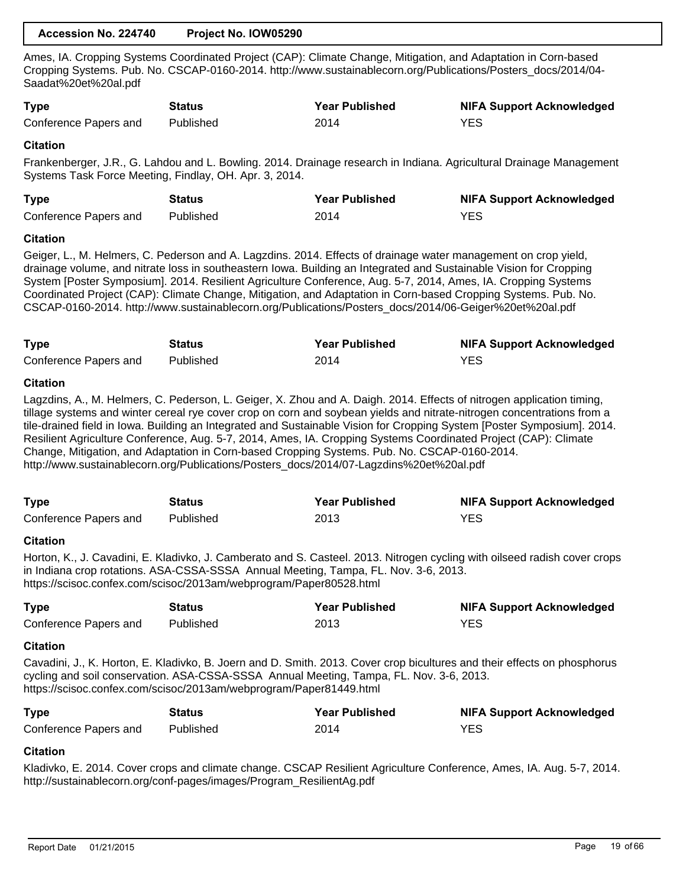| Accession No. 224740 | Project No. IOW05290 |
|----------------------|----------------------|
|----------------------|----------------------|

Ames, IA. Cropping Systems Coordinated Project (CAP): Climate Change, Mitigation, and Adaptation in Corn-based Cropping Systems. Pub. No. CSCAP-0160-2014. http://www.sustainablecorn.org/Publications/Posters\_docs/2014/04- Saadat%20et%20al.pdf

| <b>Type</b>           | <b>Status</b> | <b>Year Published</b> | <b>NIFA Support Acknowledged</b> |
|-----------------------|---------------|-----------------------|----------------------------------|
| Conference Papers and | Published     | 2014                  | <b>YES</b>                       |

# **Citation**

Frankenberger, J.R., G. Lahdou and L. Bowling. 2014. Drainage research in Indiana. Agricultural Drainage Management Systems Task Force Meeting, Findlay, OH. Apr. 3, 2014.

| <b>Type</b>           | Status    | <b>Year Published</b> | <b>NIFA Support Acknowledged</b> |
|-----------------------|-----------|-----------------------|----------------------------------|
| Conference Papers and | Published | 2014                  | <b>YES</b>                       |

# **Citation**

Geiger, L., M. Helmers, C. Pederson and A. Lagzdins. 2014. Effects of drainage water management on crop yield, drainage volume, and nitrate loss in southeastern Iowa. Building an Integrated and Sustainable Vision for Cropping System [Poster Symposium]. 2014. Resilient Agriculture Conference, Aug. 5-7, 2014, Ames, IA. Cropping Systems Coordinated Project (CAP): Climate Change, Mitigation, and Adaptation in Corn-based Cropping Systems. Pub. No. CSCAP-0160-2014. http://www.sustainablecorn.org/Publications/Posters\_docs/2014/06-Geiger%20et%20al.pdf

| <b>Type</b>           | Status    | <b>Year Published</b> | <b>NIFA Support Acknowledged</b> |
|-----------------------|-----------|-----------------------|----------------------------------|
| Conference Papers and | Published | 2014                  | <b>YES</b>                       |

# **Citation**

Lagzdins, A., M. Helmers, C. Pederson, L. Geiger, X. Zhou and A. Daigh. 2014. Effects of nitrogen application timing, tillage systems and winter cereal rye cover crop on corn and soybean yields and nitrate-nitrogen concentrations from a tile-drained field in Iowa. Building an Integrated and Sustainable Vision for Cropping System [Poster Symposium]. 2014. Resilient Agriculture Conference, Aug. 5-7, 2014, Ames, IA. Cropping Systems Coordinated Project (CAP): Climate Change, Mitigation, and Adaptation in Corn-based Cropping Systems. Pub. No. CSCAP-0160-2014. http://www.sustainablecorn.org/Publications/Posters\_docs/2014/07-Lagzdins%20et%20al.pdf

| <b>Type</b>           | Status    | <b>Year Published</b> | <b>NIFA Support Acknowledged</b> |
|-----------------------|-----------|-----------------------|----------------------------------|
| Conference Papers and | Published | 2013                  | <b>YES</b>                       |

#### **Citation**

Horton, K., J. Cavadini, E. Kladivko, J. Camberato and S. Casteel. 2013. Nitrogen cycling with oilseed radish cover crops in Indiana crop rotations. ASA-CSSA-SSSA Annual Meeting, Tampa, FL. Nov. 3-6, 2013. https://scisoc.confex.com/scisoc/2013am/webprogram/Paper80528.html

| <b>Type</b>           | Status    | <b>Year Published</b> | <b>NIFA Support Acknowledged</b> |
|-----------------------|-----------|-----------------------|----------------------------------|
| Conference Papers and | Published | 2013                  | <b>YES</b>                       |

# **Citation**

Cavadini, J., K. Horton, E. Kladivko, B. Joern and D. Smith. 2013. Cover crop bicultures and their effects on phosphorus cycling and soil conservation. ASA-CSSA-SSSA Annual Meeting, Tampa, FL. Nov. 3-6, 2013. https://scisoc.confex.com/scisoc/2013am/webprogram/Paper81449.html

| <b>Type</b>           | Status    | <b>Year Published</b> | <b>NIFA Support Acknowledged</b> |
|-----------------------|-----------|-----------------------|----------------------------------|
| Conference Papers and | Published | 2014                  | <b>YES</b>                       |

# **Citation**

Kladivko, E. 2014. Cover crops and climate change. CSCAP Resilient Agriculture Conference, Ames, IA. Aug. 5-7, 2014. http://sustainablecorn.org/conf-pages/images/Program\_ResilientAg.pdf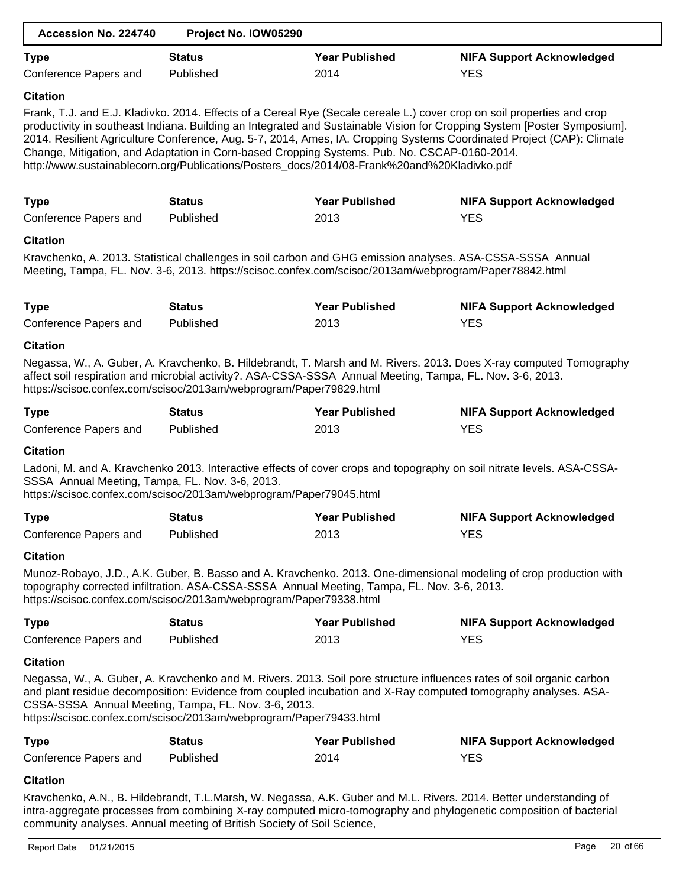| Accession No. 224740                                                                                                       | Project No. IOW05290 |                                                                                                                                                                                             |                                                                                                                                                                                                                                                                                                                                                                              |
|----------------------------------------------------------------------------------------------------------------------------|----------------------|---------------------------------------------------------------------------------------------------------------------------------------------------------------------------------------------|------------------------------------------------------------------------------------------------------------------------------------------------------------------------------------------------------------------------------------------------------------------------------------------------------------------------------------------------------------------------------|
| <b>Type</b>                                                                                                                | <b>Status</b>        | <b>Year Published</b>                                                                                                                                                                       | <b>NIFA Support Acknowledged</b>                                                                                                                                                                                                                                                                                                                                             |
| Conference Papers and                                                                                                      | Published            | 2014                                                                                                                                                                                        | <b>YES</b>                                                                                                                                                                                                                                                                                                                                                                   |
| <b>Citation</b>                                                                                                            |                      |                                                                                                                                                                                             |                                                                                                                                                                                                                                                                                                                                                                              |
|                                                                                                                            |                      | Change, Mitigation, and Adaptation in Corn-based Cropping Systems. Pub. No. CSCAP-0160-2014.<br>http://www.sustainablecorn.org/Publications/Posters_docs/2014/08-Frank%20and%20Kladivko.pdf | Frank, T.J. and E.J. Kladivko. 2014. Effects of a Cereal Rye (Secale cereale L.) cover crop on soil properties and crop<br>productivity in southeast Indiana. Building an Integrated and Sustainable Vision for Cropping System [Poster Symposium].<br>2014. Resilient Agriculture Conference, Aug. 5-7, 2014, Ames, IA. Cropping Systems Coordinated Project (CAP): Climate |
| <b>Type</b>                                                                                                                | <b>Status</b>        | <b>Year Published</b>                                                                                                                                                                       | <b>NIFA Support Acknowledged</b>                                                                                                                                                                                                                                                                                                                                             |
| Conference Papers and                                                                                                      | Published            | 2013                                                                                                                                                                                        | <b>YES</b>                                                                                                                                                                                                                                                                                                                                                                   |
| <b>Citation</b>                                                                                                            |                      |                                                                                                                                                                                             |                                                                                                                                                                                                                                                                                                                                                                              |
|                                                                                                                            |                      | Meeting, Tampa, FL. Nov. 3-6, 2013. https://scisoc.confex.com/scisoc/2013am/webprogram/Paper78842.html                                                                                      | Kravchenko, A. 2013. Statistical challenges in soil carbon and GHG emission analyses. ASA-CSSA-SSSA Annual                                                                                                                                                                                                                                                                   |
| <b>Type</b>                                                                                                                | <b>Status</b>        | <b>Year Published</b>                                                                                                                                                                       | <b>NIFA Support Acknowledged</b>                                                                                                                                                                                                                                                                                                                                             |
| Conference Papers and                                                                                                      | Published            | 2013                                                                                                                                                                                        | <b>YES</b>                                                                                                                                                                                                                                                                                                                                                                   |
| <b>Citation</b>                                                                                                            |                      |                                                                                                                                                                                             |                                                                                                                                                                                                                                                                                                                                                                              |
| https://scisoc.confex.com/scisoc/2013am/webprogram/Paper79829.html                                                         |                      | affect soil respiration and microbial activity?. ASA-CSSA-SSSA Annual Meeting, Tampa, FL. Nov. 3-6, 2013.                                                                                   | Negassa, W., A. Guber, A. Kravchenko, B. Hildebrandt, T. Marsh and M. Rivers. 2013. Does X-ray computed Tomography                                                                                                                                                                                                                                                           |
| <b>Type</b>                                                                                                                | <b>Status</b>        | <b>Year Published</b>                                                                                                                                                                       | <b>NIFA Support Acknowledged</b>                                                                                                                                                                                                                                                                                                                                             |
| Conference Papers and                                                                                                      | Published            | 2013                                                                                                                                                                                        | <b>YES</b>                                                                                                                                                                                                                                                                                                                                                                   |
| <b>Citation</b>                                                                                                            |                      |                                                                                                                                                                                             |                                                                                                                                                                                                                                                                                                                                                                              |
| SSSA Annual Meeting, Tampa, FL. Nov. 3-6, 2013.<br>https://scisoc.confex.com/scisoc/2013am/webprogram/Paper79045.html      |                      |                                                                                                                                                                                             | Ladoni, M. and A. Kravchenko 2013. Interactive effects of cover crops and topography on soil nitrate levels. ASA-CSSA-                                                                                                                                                                                                                                                       |
| <b>Type</b>                                                                                                                | <b>Status</b>        | <b>Year Published</b>                                                                                                                                                                       | <b>NIFA Support Acknowledged</b>                                                                                                                                                                                                                                                                                                                                             |
| Conference Papers and                                                                                                      | Published            | 2013                                                                                                                                                                                        | <b>YES</b>                                                                                                                                                                                                                                                                                                                                                                   |
| <b>Citation</b>                                                                                                            |                      |                                                                                                                                                                                             |                                                                                                                                                                                                                                                                                                                                                                              |
| https://scisoc.confex.com/scisoc/2013am/webprogram/Paper79338.html                                                         |                      | topography corrected infiltration. ASA-CSSA-SSSA Annual Meeting, Tampa, FL. Nov. 3-6, 2013.                                                                                                 | Munoz-Robayo, J.D., A.K. Guber, B. Basso and A. Kravchenko. 2013. One-dimensional modeling of crop production with                                                                                                                                                                                                                                                           |
| <b>Type</b>                                                                                                                | <b>Status</b>        | <b>Year Published</b>                                                                                                                                                                       | <b>NIFA Support Acknowledged</b>                                                                                                                                                                                                                                                                                                                                             |
| Conference Papers and                                                                                                      | Published            | 2013                                                                                                                                                                                        | <b>YES</b>                                                                                                                                                                                                                                                                                                                                                                   |
| <b>Citation</b>                                                                                                            |                      |                                                                                                                                                                                             |                                                                                                                                                                                                                                                                                                                                                                              |
| CSSA-SSSA Annual Meeting, Tampa, FL. Nov. 3-6, 2013.<br>https://scisoc.confex.com/scisoc/2013am/webprogram/Paper79433.html |                      |                                                                                                                                                                                             | Negassa, W., A. Guber, A. Kravchenko and M. Rivers. 2013. Soil pore structure influences rates of soil organic carbon<br>and plant residue decomposition: Evidence from coupled incubation and X-Ray computed tomography analyses. ASA-                                                                                                                                      |
| <b>Type</b>                                                                                                                | <b>Status</b>        | <b>Year Published</b>                                                                                                                                                                       | <b>NIFA Support Acknowledged</b>                                                                                                                                                                                                                                                                                                                                             |
| Conference Papers and                                                                                                      | Published            | 2014                                                                                                                                                                                        | <b>YES</b>                                                                                                                                                                                                                                                                                                                                                                   |
| <b>Citation</b>                                                                                                            |                      |                                                                                                                                                                                             |                                                                                                                                                                                                                                                                                                                                                                              |
|                                                                                                                            |                      |                                                                                                                                                                                             | Kravchenko, A.N., B. Hildebrandt, T.L.Marsh, W. Negassa, A.K. Guber and M.L. Rivers. 2014. Better understanding of                                                                                                                                                                                                                                                           |

intra-aggregate processes from combining X-ray computed micro-tomography and phylogenetic composition of bacterial community analyses. Annual meeting of British Society of Soil Science,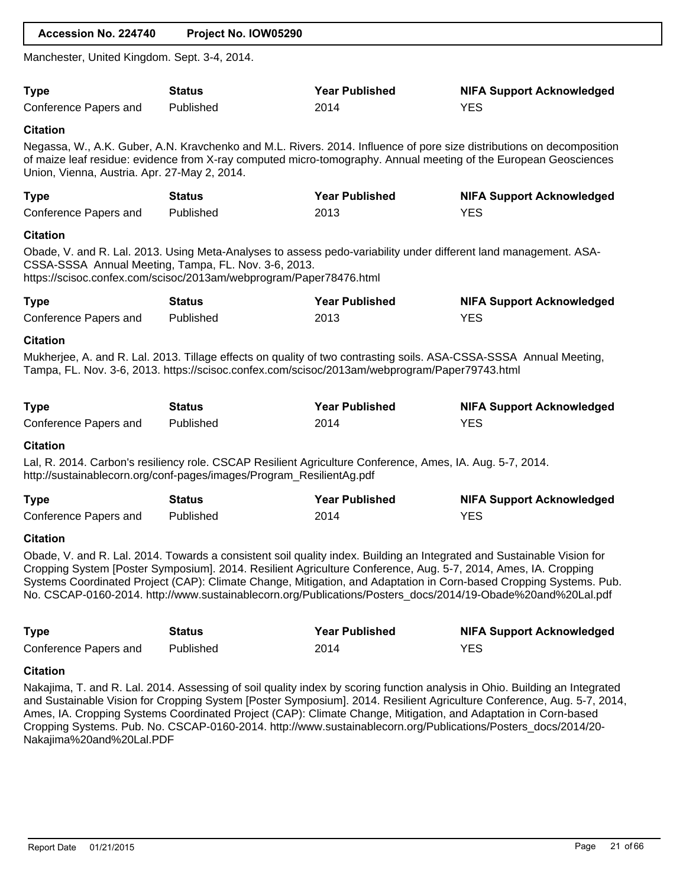| Accession No. 224740                                            | Project No. IOW05290                                                                                                       |                                                                                                                |                                                                                                                                                                                                                                                                                                                                                                        |
|-----------------------------------------------------------------|----------------------------------------------------------------------------------------------------------------------------|----------------------------------------------------------------------------------------------------------------|------------------------------------------------------------------------------------------------------------------------------------------------------------------------------------------------------------------------------------------------------------------------------------------------------------------------------------------------------------------------|
| Manchester, United Kingdom. Sept. 3-4, 2014.                    |                                                                                                                            |                                                                                                                |                                                                                                                                                                                                                                                                                                                                                                        |
| <b>Type</b><br>Conference Papers and                            | <b>Status</b><br>Published                                                                                                 | <b>Year Published</b><br>2014                                                                                  | <b>NIFA Support Acknowledged</b><br><b>YES</b>                                                                                                                                                                                                                                                                                                                         |
| <b>Citation</b><br>Union, Vienna, Austria. Apr. 27-May 2, 2014. |                                                                                                                            |                                                                                                                | Negassa, W., A.K. Guber, A.N. Kravchenko and M.L. Rivers. 2014. Influence of pore size distributions on decomposition<br>of maize leaf residue: evidence from X-ray computed micro-tomography. Annual meeting of the European Geosciences                                                                                                                              |
| <b>Type</b><br>Conference Papers and                            | <b>Status</b><br>Published                                                                                                 | <b>Year Published</b><br>2013                                                                                  | <b>NIFA Support Acknowledged</b><br><b>YES</b>                                                                                                                                                                                                                                                                                                                         |
| <b>Citation</b>                                                 | CSSA-SSSA Annual Meeting, Tampa, FL. Nov. 3-6, 2013.<br>https://scisoc.confex.com/scisoc/2013am/webprogram/Paper78476.html |                                                                                                                | Obade, V. and R. Lal. 2013. Using Meta-Analyses to assess pedo-variability under different land management. ASA-                                                                                                                                                                                                                                                       |
| <b>Type</b><br>Conference Papers and                            | <b>Status</b><br>Published                                                                                                 | <b>Year Published</b><br>2013                                                                                  | <b>NIFA Support Acknowledged</b><br><b>YES</b>                                                                                                                                                                                                                                                                                                                         |
| <b>Citation</b>                                                 |                                                                                                                            | Tampa, FL. Nov. 3-6, 2013. https://scisoc.confex.com/scisoc/2013am/webprogram/Paper79743.html                  | Mukherjee, A. and R. Lal. 2013. Tillage effects on quality of two contrasting soils. ASA-CSSA-SSSA Annual Meeting,                                                                                                                                                                                                                                                     |
| <b>Type</b><br>Conference Papers and                            | <b>Status</b><br>Published                                                                                                 | <b>Year Published</b><br>2014                                                                                  | <b>NIFA Support Acknowledged</b><br><b>YES</b>                                                                                                                                                                                                                                                                                                                         |
| <b>Citation</b>                                                 | http://sustainablecorn.org/conf-pages/images/Program_ResilientAg.pdf                                                       | Lal, R. 2014. Carbon's resiliency role. CSCAP Resilient Agriculture Conference, Ames, IA. Aug. 5-7, 2014.      |                                                                                                                                                                                                                                                                                                                                                                        |
| <b>Type</b><br>Conference Papers and                            | <b>Status</b><br>Published                                                                                                 | <b>Year Published</b><br>2014                                                                                  | <b>NIFA Support Acknowledged</b><br><b>YES</b>                                                                                                                                                                                                                                                                                                                         |
| <b>Citation</b>                                                 |                                                                                                                            | Cropping System [Poster Symposium]. 2014. Resilient Agriculture Conference, Aug. 5-7, 2014, Ames, IA. Cropping | Obade, V. and R. Lal. 2014. Towards a consistent soil quality index. Building an Integrated and Sustainable Vision for<br>Systems Coordinated Project (CAP): Climate Change, Mitigation, and Adaptation in Corn-based Cropping Systems. Pub.<br>No. CSCAP-0160-2014. http://www.sustainablecorn.org/Publications/Posters_docs/2014/19-Obade%20and%20Lal.pdf            |
| <b>Type</b><br>Conference Papers and                            | <b>Status</b><br>Published                                                                                                 | <b>Year Published</b><br>2014                                                                                  | <b>NIFA Support Acknowledged</b><br><b>YES</b>                                                                                                                                                                                                                                                                                                                         |
| <b>Citation</b>                                                 |                                                                                                                            |                                                                                                                |                                                                                                                                                                                                                                                                                                                                                                        |
| Nakajima%20and%20Lal.PDF                                        |                                                                                                                            | Ames, IA. Cropping Systems Coordinated Project (CAP): Climate Change, Mitigation, and Adaptation in Corn-based | Nakajima, T. and R. Lal. 2014. Assessing of soil quality index by scoring function analysis in Ohio. Building an Integrated<br>and Sustainable Vision for Cropping System [Poster Symposium]. 2014. Resilient Agriculture Conference, Aug. 5-7, 2014,<br>Cropping Systems. Pub. No. CSCAP-0160-2014. http://www.sustainablecorn.org/Publications/Posters_docs/2014/20- |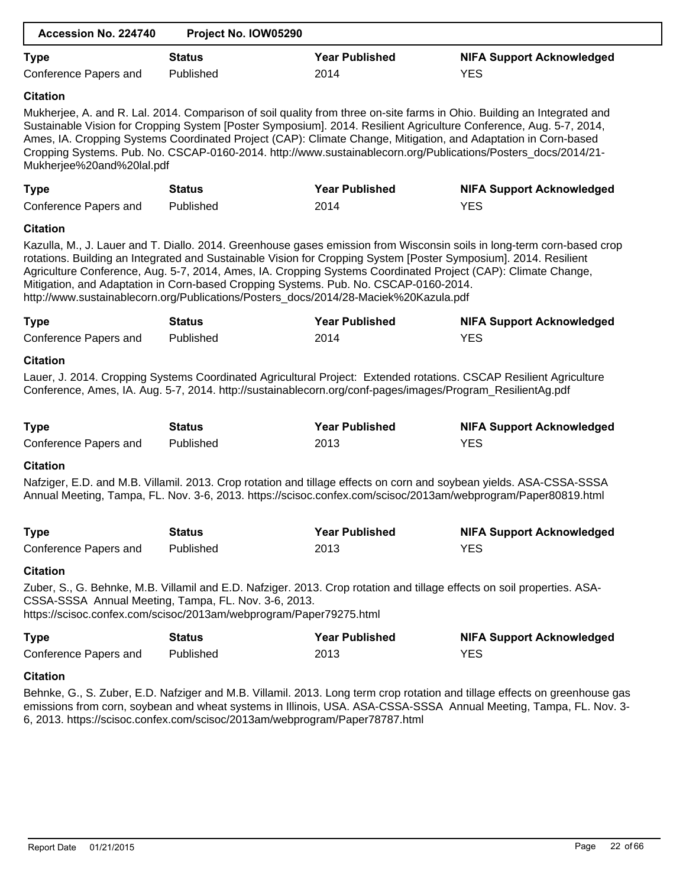| Accession No. 224740      | Project No. IOW05290                                                                                                                                                         |                       |                                                                                                                                                                                                                                                                                                                                                                                                                                                                                  |
|---------------------------|------------------------------------------------------------------------------------------------------------------------------------------------------------------------------|-----------------------|----------------------------------------------------------------------------------------------------------------------------------------------------------------------------------------------------------------------------------------------------------------------------------------------------------------------------------------------------------------------------------------------------------------------------------------------------------------------------------|
| <b>Type</b>               | <b>Status</b>                                                                                                                                                                | <b>Year Published</b> | <b>NIFA Support Acknowledged</b>                                                                                                                                                                                                                                                                                                                                                                                                                                                 |
| Conference Papers and     | Published                                                                                                                                                                    | 2014                  | <b>YES</b>                                                                                                                                                                                                                                                                                                                                                                                                                                                                       |
| <b>Citation</b>           |                                                                                                                                                                              |                       |                                                                                                                                                                                                                                                                                                                                                                                                                                                                                  |
| Mukherjee%20and%20lal.pdf |                                                                                                                                                                              |                       | Mukherjee, A. and R. Lal. 2014. Comparison of soil quality from three on-site farms in Ohio. Building an Integrated and<br>Sustainable Vision for Cropping System [Poster Symposium]. 2014. Resilient Agriculture Conference, Aug. 5-7, 2014,<br>Ames, IA. Cropping Systems Coordinated Project (CAP): Climate Change, Mitigation, and Adaptation in Corn-based<br>Cropping Systems. Pub. No. CSCAP-0160-2014. http://www.sustainablecorn.org/Publications/Posters_docs/2014/21- |
| <b>Type</b>               | <b>Status</b>                                                                                                                                                                | <b>Year Published</b> | <b>NIFA Support Acknowledged</b>                                                                                                                                                                                                                                                                                                                                                                                                                                                 |
| Conference Papers and     | Published                                                                                                                                                                    | 2014                  | <b>YES</b>                                                                                                                                                                                                                                                                                                                                                                                                                                                                       |
| <b>Citation</b>           |                                                                                                                                                                              |                       |                                                                                                                                                                                                                                                                                                                                                                                                                                                                                  |
|                           | Mitigation, and Adaptation in Corn-based Cropping Systems. Pub. No. CSCAP-0160-2014.<br>http://www.sustainablecorn.org/Publications/Posters_docs/2014/28-Maciek%20Kazula.pdf |                       | Kazulla, M., J. Lauer and T. Diallo. 2014. Greenhouse gases emission from Wisconsin soils in long-term corn-based crop<br>rotations. Building an Integrated and Sustainable Vision for Cropping System [Poster Symposium]. 2014. Resilient<br>Agriculture Conference, Aug. 5-7, 2014, Ames, IA. Cropping Systems Coordinated Project (CAP): Climate Change,                                                                                                                      |
| <b>Type</b>               | <b>Status</b>                                                                                                                                                                | <b>Year Published</b> | <b>NIFA Support Acknowledged</b>                                                                                                                                                                                                                                                                                                                                                                                                                                                 |
| Conference Papers and     | Published                                                                                                                                                                    | 2014                  | <b>YES</b>                                                                                                                                                                                                                                                                                                                                                                                                                                                                       |
| <b>Citation</b>           |                                                                                                                                                                              |                       |                                                                                                                                                                                                                                                                                                                                                                                                                                                                                  |
|                           | Conference, Ames, IA. Aug. 5-7, 2014. http://sustainablecorn.org/conf-pages/images/Program_ResilientAg.pdf                                                                   |                       | Lauer, J. 2014. Cropping Systems Coordinated Agricultural Project: Extended rotations. CSCAP Resilient Agriculture                                                                                                                                                                                                                                                                                                                                                               |
| <b>Type</b>               | <b>Status</b>                                                                                                                                                                | <b>Year Published</b> | <b>NIFA Support Acknowledged</b>                                                                                                                                                                                                                                                                                                                                                                                                                                                 |
| Conference Papers and     | Published                                                                                                                                                                    | 2013                  | <b>YES</b>                                                                                                                                                                                                                                                                                                                                                                                                                                                                       |
| <b>Citation</b>           |                                                                                                                                                                              |                       |                                                                                                                                                                                                                                                                                                                                                                                                                                                                                  |
|                           |                                                                                                                                                                              |                       | Nafziger, E.D. and M.B. Villamil. 2013. Crop rotation and tillage effects on corn and soybean yields. ASA-CSSA-SSSA<br>Annual Meeting, Tampa, FL. Nov. 3-6, 2013. https://scisoc.confex.com/scisoc/2013am/webprogram/Paper80819.html                                                                                                                                                                                                                                             |
| <b>Type</b>               | <b>Status</b>                                                                                                                                                                | <b>Year Published</b> | <b>NIFA Support Acknowledged</b>                                                                                                                                                                                                                                                                                                                                                                                                                                                 |
| Conference Papers and     | Published                                                                                                                                                                    | 2013                  | <b>YES</b>                                                                                                                                                                                                                                                                                                                                                                                                                                                                       |
| <b>Citation</b>           |                                                                                                                                                                              |                       |                                                                                                                                                                                                                                                                                                                                                                                                                                                                                  |
|                           | CSSA-SSSA Annual Meeting, Tampa, FL. Nov. 3-6, 2013.<br>https://scisoc.confex.com/scisoc/2013am/webprogram/Paper79275.html                                                   |                       | Zuber, S., G. Behnke, M.B. Villamil and E.D. Nafziger. 2013. Crop rotation and tillage effects on soil properties. ASA-                                                                                                                                                                                                                                                                                                                                                          |
| <b>Type</b>               | <b>Status</b>                                                                                                                                                                | <b>Year Published</b> | <b>NIFA Support Acknowledged</b>                                                                                                                                                                                                                                                                                                                                                                                                                                                 |
| Conference Papers and     | Published                                                                                                                                                                    | 2013                  | <b>YES</b>                                                                                                                                                                                                                                                                                                                                                                                                                                                                       |
| <b>Citation</b>           |                                                                                                                                                                              |                       |                                                                                                                                                                                                                                                                                                                                                                                                                                                                                  |
|                           |                                                                                                                                                                              |                       | Roberto C. S. Zuber E.D. Natziger and M.R. Villamil 2012, Long term erep retation and tillage effects on greenbeyse gas                                                                                                                                                                                                                                                                                                                                                          |

Behnke, G., S. Zuber, E.D. Nafziger and M.B. Villamil. 2013. Long term crop rotation and tillage effects on greenhouse gas emissions from corn, soybean and wheat systems in Illinois, USA. ASA-CSSA-SSSA Annual Meeting, Tampa, FL. Nov. 3- 6, 2013. https://scisoc.confex.com/scisoc/2013am/webprogram/Paper78787.html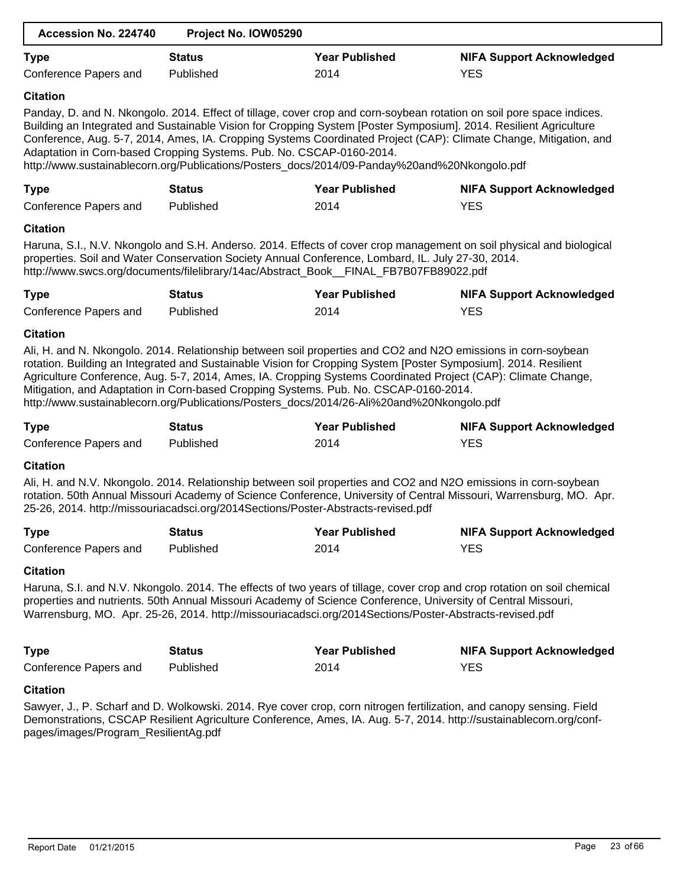| Accession No. 224740                                                                                                                                                                                                                                                                                                                                 | Project No. IOW05290                                                              |                                                                                                                                                                                                                                                                                                                                                                                                                                                                                                                                        |                                                                                                                                                                                                                                            |  |
|------------------------------------------------------------------------------------------------------------------------------------------------------------------------------------------------------------------------------------------------------------------------------------------------------------------------------------------------------|-----------------------------------------------------------------------------------|----------------------------------------------------------------------------------------------------------------------------------------------------------------------------------------------------------------------------------------------------------------------------------------------------------------------------------------------------------------------------------------------------------------------------------------------------------------------------------------------------------------------------------------|--------------------------------------------------------------------------------------------------------------------------------------------------------------------------------------------------------------------------------------------|--|
| <b>Type</b>                                                                                                                                                                                                                                                                                                                                          | <b>Status</b>                                                                     | <b>Year Published</b>                                                                                                                                                                                                                                                                                                                                                                                                                                                                                                                  | <b>NIFA Support Acknowledged</b>                                                                                                                                                                                                           |  |
| Conference Papers and                                                                                                                                                                                                                                                                                                                                | Published                                                                         | 2014                                                                                                                                                                                                                                                                                                                                                                                                                                                                                                                                   | <b>YES</b>                                                                                                                                                                                                                                 |  |
| <b>Citation</b>                                                                                                                                                                                                                                                                                                                                      |                                                                                   |                                                                                                                                                                                                                                                                                                                                                                                                                                                                                                                                        |                                                                                                                                                                                                                                            |  |
|                                                                                                                                                                                                                                                                                                                                                      | Adaptation in Corn-based Cropping Systems. Pub. No. CSCAP-0160-2014.              | Building an Integrated and Sustainable Vision for Cropping System [Poster Symposium]. 2014. Resilient Agriculture<br>http://www.sustainablecorn.org/Publications/Posters_docs/2014/09-Panday%20and%20Nkongolo.pdf                                                                                                                                                                                                                                                                                                                      | Panday, D. and N. Nkongolo. 2014. Effect of tillage, cover crop and corn-soybean rotation on soil pore space indices.<br>Conference, Aug. 5-7, 2014, Ames, IA. Cropping Systems Coordinated Project (CAP): Climate Change, Mitigation, and |  |
| <b>Type</b>                                                                                                                                                                                                                                                                                                                                          | <b>Status</b>                                                                     | <b>Year Published</b>                                                                                                                                                                                                                                                                                                                                                                                                                                                                                                                  | <b>NIFA Support Acknowledged</b>                                                                                                                                                                                                           |  |
| Conference Papers and                                                                                                                                                                                                                                                                                                                                | Published                                                                         | 2014                                                                                                                                                                                                                                                                                                                                                                                                                                                                                                                                   | <b>YES</b>                                                                                                                                                                                                                                 |  |
| <b>Citation</b>                                                                                                                                                                                                                                                                                                                                      |                                                                                   |                                                                                                                                                                                                                                                                                                                                                                                                                                                                                                                                        |                                                                                                                                                                                                                                            |  |
|                                                                                                                                                                                                                                                                                                                                                      |                                                                                   | properties. Soil and Water Conservation Society Annual Conference, Lombard, IL. July 27-30, 2014.<br>http://www.swcs.org/documents/filelibrary/14ac/Abstract_Book__FINAL_FB7B07FB89022.pdf                                                                                                                                                                                                                                                                                                                                             | Haruna, S.I., N.V. Nkongolo and S.H. Anderso. 2014. Effects of cover crop management on soil physical and biological                                                                                                                       |  |
| <b>Type</b>                                                                                                                                                                                                                                                                                                                                          | <b>Status</b>                                                                     | <b>Year Published</b>                                                                                                                                                                                                                                                                                                                                                                                                                                                                                                                  | <b>NIFA Support Acknowledged</b>                                                                                                                                                                                                           |  |
| Conference Papers and                                                                                                                                                                                                                                                                                                                                | Published                                                                         | 2014                                                                                                                                                                                                                                                                                                                                                                                                                                                                                                                                   | <b>YES</b>                                                                                                                                                                                                                                 |  |
| <b>Citation</b>                                                                                                                                                                                                                                                                                                                                      |                                                                                   |                                                                                                                                                                                                                                                                                                                                                                                                                                                                                                                                        |                                                                                                                                                                                                                                            |  |
|                                                                                                                                                                                                                                                                                                                                                      |                                                                                   | Ali, H. and N. Nkongolo. 2014. Relationship between soil properties and CO2 and N2O emissions in corn-soybean<br>rotation. Building an Integrated and Sustainable Vision for Cropping System [Poster Symposium]. 2014. Resilient<br>Agriculture Conference, Aug. 5-7, 2014, Ames, IA. Cropping Systems Coordinated Project (CAP): Climate Change,<br>Mitigation, and Adaptation in Corn-based Cropping Systems. Pub. No. CSCAP-0160-2014.<br>http://www.sustainablecorn.org/Publications/Posters_docs/2014/26-Ali%20and%20Nkongolo.pdf |                                                                                                                                                                                                                                            |  |
| <b>Type</b>                                                                                                                                                                                                                                                                                                                                          | <b>Status</b>                                                                     | <b>Year Published</b>                                                                                                                                                                                                                                                                                                                                                                                                                                                                                                                  | <b>NIFA Support Acknowledged</b>                                                                                                                                                                                                           |  |
| Conference Papers and                                                                                                                                                                                                                                                                                                                                | Published                                                                         | 2014                                                                                                                                                                                                                                                                                                                                                                                                                                                                                                                                   | <b>YES</b>                                                                                                                                                                                                                                 |  |
| <b>Citation</b>                                                                                                                                                                                                                                                                                                                                      |                                                                                   |                                                                                                                                                                                                                                                                                                                                                                                                                                                                                                                                        |                                                                                                                                                                                                                                            |  |
|                                                                                                                                                                                                                                                                                                                                                      | 25-26, 2014. http://missouriacadsci.org/2014Sections/Poster-Abstracts-revised.pdf | Ali, H. and N.V. Nkongolo. 2014. Relationship between soil properties and CO2 and N2O emissions in corn-soybean                                                                                                                                                                                                                                                                                                                                                                                                                        | rotation. 50th Annual Missouri Academy of Science Conference, University of Central Missouri, Warrensburg, MO. Apr.                                                                                                                        |  |
| <b>Type</b>                                                                                                                                                                                                                                                                                                                                          | <b>Status</b>                                                                     | <b>Year Published</b>                                                                                                                                                                                                                                                                                                                                                                                                                                                                                                                  | <b>NIFA Support Acknowledged</b>                                                                                                                                                                                                           |  |
| Conference Papers and                                                                                                                                                                                                                                                                                                                                | Published                                                                         | 2014                                                                                                                                                                                                                                                                                                                                                                                                                                                                                                                                   | <b>YES</b>                                                                                                                                                                                                                                 |  |
| <b>Citation</b>                                                                                                                                                                                                                                                                                                                                      |                                                                                   |                                                                                                                                                                                                                                                                                                                                                                                                                                                                                                                                        |                                                                                                                                                                                                                                            |  |
| Haruna, S.I. and N.V. Nkongolo. 2014. The effects of two years of tillage, cover crop and crop rotation on soil chemical<br>properties and nutrients. 50th Annual Missouri Academy of Science Conference, University of Central Missouri,<br>Warrensburg, MO. Apr. 25-26, 2014. http://missouriacadsci.org/2014Sections/Poster-Abstracts-revised.pdf |                                                                                   |                                                                                                                                                                                                                                                                                                                                                                                                                                                                                                                                        |                                                                                                                                                                                                                                            |  |
| <b>Type</b>                                                                                                                                                                                                                                                                                                                                          | <b>Status</b>                                                                     | <b>Year Published</b>                                                                                                                                                                                                                                                                                                                                                                                                                                                                                                                  | <b>NIFA Support Acknowledged</b>                                                                                                                                                                                                           |  |
| Conference Papers and                                                                                                                                                                                                                                                                                                                                | Published                                                                         | 2014                                                                                                                                                                                                                                                                                                                                                                                                                                                                                                                                   | <b>YES</b>                                                                                                                                                                                                                                 |  |
| <b>Citation</b>                                                                                                                                                                                                                                                                                                                                      |                                                                                   |                                                                                                                                                                                                                                                                                                                                                                                                                                                                                                                                        |                                                                                                                                                                                                                                            |  |
| pages/images/Program_ResilientAg.pdf                                                                                                                                                                                                                                                                                                                 |                                                                                   | Sawyer, J., P. Scharf and D. Wolkowski. 2014. Rye cover crop, corn nitrogen fertilization, and canopy sensing. Field                                                                                                                                                                                                                                                                                                                                                                                                                   | Demonstrations, CSCAP Resilient Agriculture Conference, Ames, IA. Aug. 5-7, 2014. http://sustainablecorn.org/conf-                                                                                                                         |  |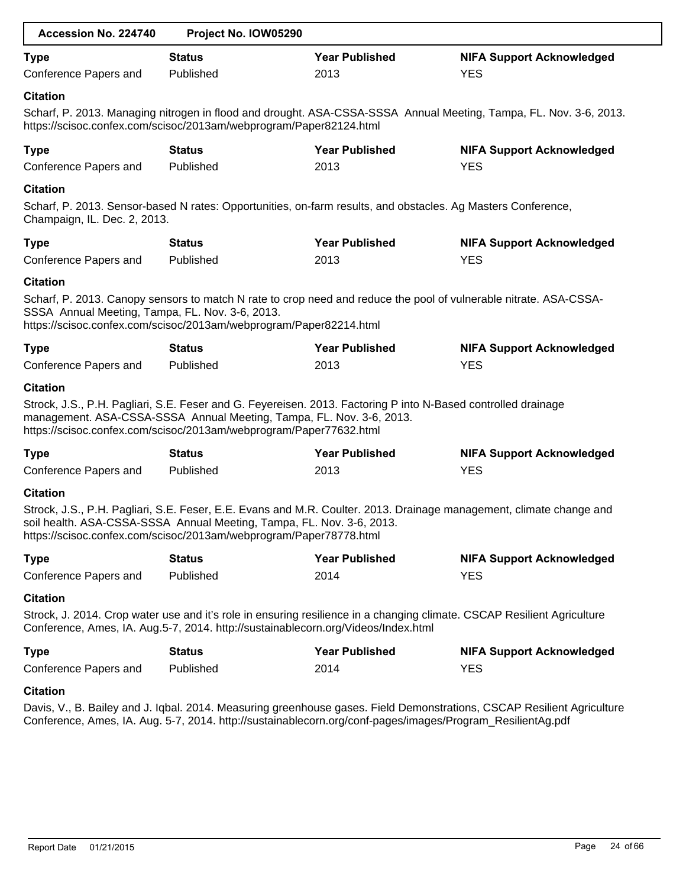| Accession No. 224740                                               | Project No. IOW05290                                                                                                                                                                                                                                        |                       |                                                                                                                         |
|--------------------------------------------------------------------|-------------------------------------------------------------------------------------------------------------------------------------------------------------------------------------------------------------------------------------------------------------|-----------------------|-------------------------------------------------------------------------------------------------------------------------|
| <b>Type</b>                                                        | <b>Status</b>                                                                                                                                                                                                                                               | <b>Year Published</b> | <b>NIFA Support Acknowledged</b>                                                                                        |
| Conference Papers and                                              | Published                                                                                                                                                                                                                                                   | 2013                  | <b>YES</b>                                                                                                              |
| <b>Citation</b>                                                    |                                                                                                                                                                                                                                                             |                       |                                                                                                                         |
|                                                                    | https://scisoc.confex.com/scisoc/2013am/webprogram/Paper82124.html                                                                                                                                                                                          |                       | Scharf, P. 2013. Managing nitrogen in flood and drought. ASA-CSSA-SSSA Annual Meeting, Tampa, FL. Nov. 3-6, 2013.       |
| <b>Type</b>                                                        | <b>Status</b>                                                                                                                                                                                                                                               | <b>Year Published</b> | <b>NIFA Support Acknowledged</b>                                                                                        |
| Conference Papers and                                              | Published                                                                                                                                                                                                                                                   | 2013                  | <b>YES</b>                                                                                                              |
| <b>Citation</b><br>Champaign, IL. Dec. 2, 2013.                    | Scharf, P. 2013. Sensor-based N rates: Opportunities, on-farm results, and obstacles. Ag Masters Conference,                                                                                                                                                |                       |                                                                                                                         |
| <b>Type</b>                                                        | <b>Status</b>                                                                                                                                                                                                                                               | <b>Year Published</b> | <b>NIFA Support Acknowledged</b>                                                                                        |
| Conference Papers and                                              | Published                                                                                                                                                                                                                                                   | 2013                  | <b>YES</b>                                                                                                              |
| <b>Citation</b><br>SSSA Annual Meeting, Tampa, FL. Nov. 3-6, 2013. | https://scisoc.confex.com/scisoc/2013am/webprogram/Paper82214.html                                                                                                                                                                                          |                       | Scharf, P. 2013. Canopy sensors to match N rate to crop need and reduce the pool of vulnerable nitrate. ASA-CSSA-       |
| <b>Type</b>                                                        | <b>Status</b>                                                                                                                                                                                                                                               | <b>Year Published</b> | <b>NIFA Support Acknowledged</b>                                                                                        |
| Conference Papers and                                              | Published                                                                                                                                                                                                                                                   | 2013                  | <b>YES</b>                                                                                                              |
| <b>Citation</b>                                                    |                                                                                                                                                                                                                                                             |                       |                                                                                                                         |
|                                                                    | Strock, J.S., P.H. Pagliari, S.E. Feser and G. Feyereisen. 2013. Factoring P into N-Based controlled drainage<br>management. ASA-CSSA-SSSA Annual Meeting, Tampa, FL. Nov. 3-6, 2013.<br>https://scisoc.confex.com/scisoc/2013am/webprogram/Paper77632.html |                       |                                                                                                                         |
| <b>Type</b>                                                        | <b>Status</b>                                                                                                                                                                                                                                               | <b>Year Published</b> | <b>NIFA Support Acknowledged</b>                                                                                        |
| Conference Papers and                                              | Published                                                                                                                                                                                                                                                   | 2013                  | <b>YES</b>                                                                                                              |
| <b>Citation</b>                                                    | soil health. ASA-CSSA-SSSA Annual Meeting, Tampa, FL. Nov. 3-6, 2013.<br>https://scisoc.confex.com/scisoc/2013am/webprogram/Paper78778.html                                                                                                                 |                       | Strock, J.S., P.H. Pagliari, S.E. Feser, E.E. Evans and M.R. Coulter. 2013. Drainage management, climate change and     |
| <b>Type</b>                                                        | <b>Status</b>                                                                                                                                                                                                                                               | <b>Year Published</b> | <b>NIFA Support Acknowledged</b>                                                                                        |
| Conference Papers and                                              | Published                                                                                                                                                                                                                                                   | 2014                  | <b>YES</b>                                                                                                              |
| <b>Citation</b>                                                    |                                                                                                                                                                                                                                                             |                       |                                                                                                                         |
|                                                                    | Conference, Ames, IA. Aug.5-7, 2014. http://sustainablecorn.org/Videos/Index.html                                                                                                                                                                           |                       | Strock, J. 2014. Crop water use and it's role in ensuring resilience in a changing climate. CSCAP Resilient Agriculture |
| <b>Type</b>                                                        | <b>Status</b>                                                                                                                                                                                                                                               | <b>Year Published</b> | <b>NIFA Support Acknowledged</b>                                                                                        |
| Conference Papers and                                              | Published                                                                                                                                                                                                                                                   | 2014                  | <b>YES</b>                                                                                                              |
| <b>Citation</b>                                                    |                                                                                                                                                                                                                                                             |                       |                                                                                                                         |
|                                                                    | Conference, Ames, IA. Aug. 5-7, 2014. http://sustainablecorn.org/conf-pages/images/Program_ResilientAg.pdf                                                                                                                                                  |                       | Davis, V., B. Bailey and J. Iqbal. 2014. Measuring greenhouse gases. Field Demonstrations, CSCAP Resilient Agriculture  |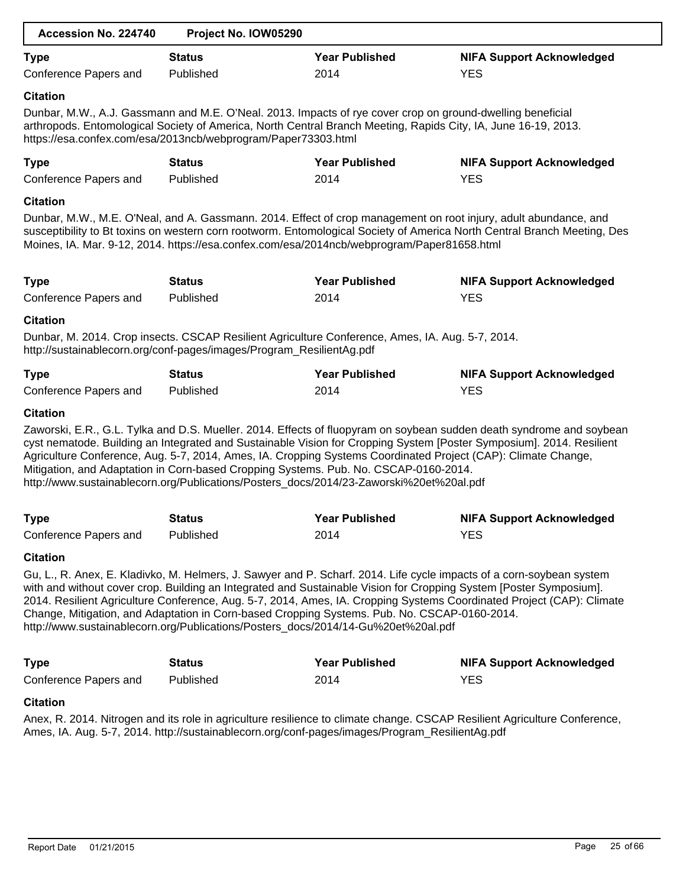| Accession No. 224740                 | Project No. IOW05290                                                                                                                                                              |                               |                                                                                                                                                                                                                                                                                                                                                                     |
|--------------------------------------|-----------------------------------------------------------------------------------------------------------------------------------------------------------------------------------|-------------------------------|---------------------------------------------------------------------------------------------------------------------------------------------------------------------------------------------------------------------------------------------------------------------------------------------------------------------------------------------------------------------|
| <b>Type</b><br>Conference Papers and | <b>Status</b><br>Published                                                                                                                                                        | <b>Year Published</b><br>2014 | <b>NIFA Support Acknowledged</b><br><b>YES</b>                                                                                                                                                                                                                                                                                                                      |
| <b>Citation</b>                      | Dunbar, M.W., A.J. Gassmann and M.E. O'Neal. 2013. Impacts of rye cover crop on ground-dwelling beneficial<br>https://esa.confex.com/esa/2013ncb/webprogram/Paper73303.html       |                               | arthropods. Entomological Society of America, North Central Branch Meeting, Rapids City, IA, June 16-19, 2013.                                                                                                                                                                                                                                                      |
| <b>Type</b><br>Conference Papers and | <b>Status</b><br>Published                                                                                                                                                        | <b>Year Published</b><br>2014 | <b>NIFA Support Acknowledged</b><br><b>YES</b>                                                                                                                                                                                                                                                                                                                      |
| <b>Citation</b>                      | Moines, IA. Mar. 9-12, 2014. https://esa.confex.com/esa/2014ncb/webprogram/Paper81658.html                                                                                        |                               | Dunbar, M.W., M.E. O'Neal, and A. Gassmann. 2014. Effect of crop management on root injury, adult abundance, and<br>susceptibility to Bt toxins on western corn rootworm. Entomological Society of America North Central Branch Meeting, Des                                                                                                                        |
| <b>Type</b><br>Conference Papers and | <b>Status</b><br>Published                                                                                                                                                        | <b>Year Published</b><br>2014 | <b>NIFA Support Acknowledged</b><br><b>YES</b>                                                                                                                                                                                                                                                                                                                      |
| <b>Citation</b>                      | Dunbar, M. 2014. Crop insects. CSCAP Resilient Agriculture Conference, Ames, IA. Aug. 5-7, 2014.<br>http://sustainablecorn.org/conf-pages/images/Program_ResilientAg.pdf          |                               |                                                                                                                                                                                                                                                                                                                                                                     |
| <b>Type</b><br>Conference Papers and | <b>Status</b><br>Published                                                                                                                                                        | <b>Year Published</b><br>2014 | <b>NIFA Support Acknowledged</b><br><b>YES</b>                                                                                                                                                                                                                                                                                                                      |
| <b>Citation</b>                      | Mitigation, and Adaptation in Corn-based Cropping Systems. Pub. No. CSCAP-0160-2014.<br>http://www.sustainablecorn.org/Publications/Posters_docs/2014/23-Zaworski%20et%20al.pdf   |                               | Zaworski, E.R., G.L. Tylka and D.S. Mueller. 2014. Effects of fluopyram on soybean sudden death syndrome and soybean<br>cyst nematode. Building an Integrated and Sustainable Vision for Cropping System [Poster Symposium]. 2014. Resilient<br>Agriculture Conference, Aug. 5-7, 2014, Ames, IA. Cropping Systems Coordinated Project (CAP): Climate Change,       |
| <b>Type</b>                          | <b>Status</b>                                                                                                                                                                     | <b>Year Published</b>         | <b>NIFA Support Acknowledged</b>                                                                                                                                                                                                                                                                                                                                    |
| Conference Papers and                | Published                                                                                                                                                                         | 2014                          | <b>YES</b>                                                                                                                                                                                                                                                                                                                                                          |
| <b>Citation</b>                      | Change, Mitigation, and Adaptation in Corn-based Cropping Systems. Pub. No. CSCAP-0160-2014.<br>http://www.sustainablecorn.org/Publications/Posters_docs/2014/14-Gu%20et%20al.pdf |                               | Gu, L., R. Anex, E. Kladivko, M. Helmers, J. Sawyer and P. Scharf. 2014. Life cycle impacts of a corn-soybean system<br>with and without cover crop. Building an Integrated and Sustainable Vision for Cropping System [Poster Symposium].<br>2014. Resilient Agriculture Conference, Aug. 5-7, 2014, Ames, IA. Cropping Systems Coordinated Project (CAP): Climate |
| <b>Type</b><br>Conference Papers and | <b>Status</b><br>Published                                                                                                                                                        | <b>Year Published</b><br>2014 | <b>NIFA Support Acknowledged</b><br><b>YES</b>                                                                                                                                                                                                                                                                                                                      |
| <b>Citation</b>                      | Ames, IA. Aug. 5-7, 2014. http://sustainablecorn.org/conf-pages/images/Program_ResilientAg.pdf                                                                                    |                               | Anex, R. 2014. Nitrogen and its role in agriculture resilience to climate change. CSCAP Resilient Agriculture Conference,                                                                                                                                                                                                                                           |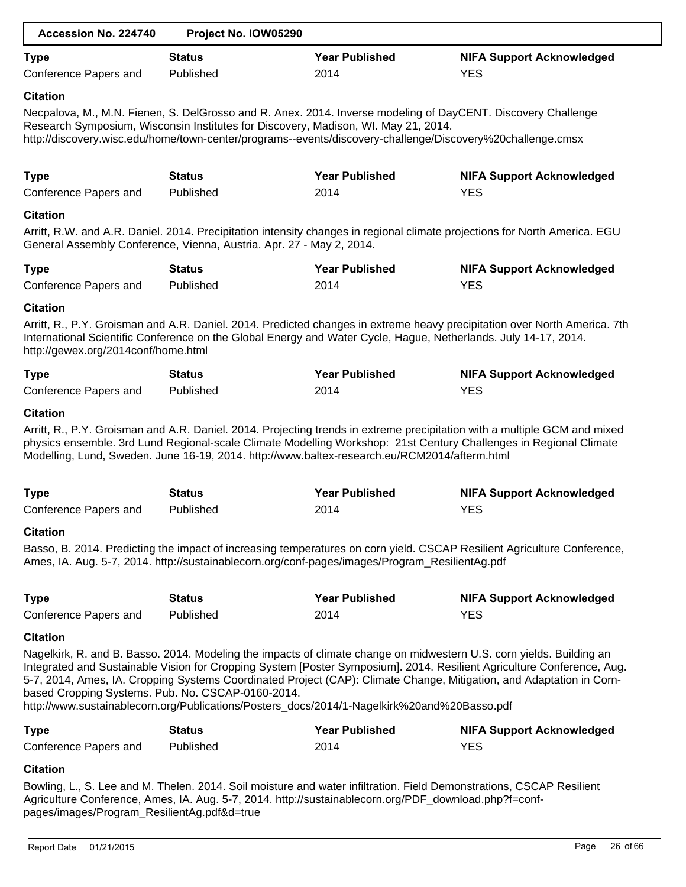| Accession No. 224740                                   | Project No. IOW05290                                                                                                                                                                                                                                                                                             |                       |                                                                                                                                                                                                                                                                                                                                                                        |
|--------------------------------------------------------|------------------------------------------------------------------------------------------------------------------------------------------------------------------------------------------------------------------------------------------------------------------------------------------------------------------|-----------------------|------------------------------------------------------------------------------------------------------------------------------------------------------------------------------------------------------------------------------------------------------------------------------------------------------------------------------------------------------------------------|
| <b>Type</b>                                            | <b>Status</b>                                                                                                                                                                                                                                                                                                    | <b>Year Published</b> | <b>NIFA Support Acknowledged</b>                                                                                                                                                                                                                                                                                                                                       |
| Conference Papers and                                  | Published                                                                                                                                                                                                                                                                                                        | 2014                  | <b>YES</b>                                                                                                                                                                                                                                                                                                                                                             |
| <b>Citation</b>                                        |                                                                                                                                                                                                                                                                                                                  |                       |                                                                                                                                                                                                                                                                                                                                                                        |
|                                                        | Necpalova, M., M.N. Fienen, S. DelGrosso and R. Anex. 2014. Inverse modeling of DayCENT. Discovery Challenge<br>Research Symposium, Wisconsin Institutes for Discovery, Madison, WI. May 21, 2014.<br>http://discovery.wisc.edu/home/town-center/programs--events/discovery-challenge/Discovery%20challenge.cmsx |                       |                                                                                                                                                                                                                                                                                                                                                                        |
| <b>Type</b>                                            | <b>Status</b>                                                                                                                                                                                                                                                                                                    | <b>Year Published</b> | <b>NIFA Support Acknowledged</b>                                                                                                                                                                                                                                                                                                                                       |
| Conference Papers and                                  | Published                                                                                                                                                                                                                                                                                                        | 2014                  | <b>YES</b>                                                                                                                                                                                                                                                                                                                                                             |
| <b>Citation</b>                                        |                                                                                                                                                                                                                                                                                                                  |                       |                                                                                                                                                                                                                                                                                                                                                                        |
|                                                        | General Assembly Conference, Vienna, Austria. Apr. 27 - May 2, 2014.                                                                                                                                                                                                                                             |                       | Arritt, R.W. and A.R. Daniel. 2014. Precipitation intensity changes in regional climate projections for North America. EGU                                                                                                                                                                                                                                             |
| <b>Type</b>                                            | <b>Status</b>                                                                                                                                                                                                                                                                                                    | <b>Year Published</b> | <b>NIFA Support Acknowledged</b>                                                                                                                                                                                                                                                                                                                                       |
| Conference Papers and                                  | Published                                                                                                                                                                                                                                                                                                        | 2014                  | <b>YES</b>                                                                                                                                                                                                                                                                                                                                                             |
| <b>Citation</b><br>http://gewex.org/2014conf/home.html | International Scientific Conference on the Global Energy and Water Cycle, Hague, Netherlands. July 14-17, 2014.                                                                                                                                                                                                  |                       | Arritt, R., P.Y. Groisman and A.R. Daniel. 2014. Predicted changes in extreme heavy precipitation over North America. 7th                                                                                                                                                                                                                                              |
| <b>Type</b>                                            | <b>Status</b>                                                                                                                                                                                                                                                                                                    | <b>Year Published</b> | <b>NIFA Support Acknowledged</b>                                                                                                                                                                                                                                                                                                                                       |
| Conference Papers and                                  | Published                                                                                                                                                                                                                                                                                                        | 2014                  | <b>YES</b>                                                                                                                                                                                                                                                                                                                                                             |
|                                                        | Modelling, Lund, Sweden. June 16-19, 2014. http://www.baltex-research.eu/RCM2014/afterm.html                                                                                                                                                                                                                     |                       | Arritt, R., P.Y. Groisman and A.R. Daniel. 2014. Projecting trends in extreme precipitation with a multiple GCM and mixed<br>physics ensemble. 3rd Lund Regional-scale Climate Modelling Workshop: 21st Century Challenges in Regional Climate                                                                                                                         |
| <b>Type</b>                                            | <b>Status</b>                                                                                                                                                                                                                                                                                                    | <b>Year Published</b> | <b>NIFA Support Acknowledged</b>                                                                                                                                                                                                                                                                                                                                       |
| Conference Papers and                                  | Published                                                                                                                                                                                                                                                                                                        | 2014                  | <b>YES</b>                                                                                                                                                                                                                                                                                                                                                             |
| <b>Citation</b>                                        |                                                                                                                                                                                                                                                                                                                  |                       |                                                                                                                                                                                                                                                                                                                                                                        |
|                                                        | Ames, IA. Aug. 5-7, 2014. http://sustainablecorn.org/conf-pages/images/Program_ResilientAg.pdf                                                                                                                                                                                                                   |                       | Basso, B. 2014. Predicting the impact of increasing temperatures on corn yield. CSCAP Resilient Agriculture Conference,                                                                                                                                                                                                                                                |
| <b>Type</b>                                            | <b>Status</b>                                                                                                                                                                                                                                                                                                    | <b>Year Published</b> | <b>NIFA Support Acknowledged</b>                                                                                                                                                                                                                                                                                                                                       |
| Conference Papers and                                  | Published                                                                                                                                                                                                                                                                                                        | 2014                  | <b>YES</b>                                                                                                                                                                                                                                                                                                                                                             |
| <b>Citation</b>                                        |                                                                                                                                                                                                                                                                                                                  |                       |                                                                                                                                                                                                                                                                                                                                                                        |
| based Cropping Systems. Pub. No. CSCAP-0160-2014.      | http://www.sustainablecorn.org/Publications/Posters_docs/2014/1-Nagelkirk%20and%20Basso.pdf                                                                                                                                                                                                                      |                       | Nagelkirk, R. and B. Basso. 2014. Modeling the impacts of climate change on midwestern U.S. corn yields. Building an<br>Integrated and Sustainable Vision for Cropping System [Poster Symposium]. 2014. Resilient Agriculture Conference, Aug.<br>5-7, 2014, Ames, IA. Cropping Systems Coordinated Project (CAP): Climate Change, Mitigation, and Adaptation in Corn- |
| <b>Type</b>                                            | <b>Status</b>                                                                                                                                                                                                                                                                                                    | <b>Year Published</b> | <b>NIFA Support Acknowledged</b>                                                                                                                                                                                                                                                                                                                                       |
| Conference Papers and                                  | Published                                                                                                                                                                                                                                                                                                        | 2014                  | <b>YES</b>                                                                                                                                                                                                                                                                                                                                                             |
| <b>Citation</b>                                        |                                                                                                                                                                                                                                                                                                                  |                       |                                                                                                                                                                                                                                                                                                                                                                        |
| pages/images/Program_ResilientAg.pdf&d=true            | Bowling, L., S. Lee and M. Thelen. 2014. Soil moisture and water infiltration. Field Demonstrations, CSCAP Resilient<br>Agriculture Conference, Ames, IA. Aug. 5-7, 2014. http://sustainablecorn.org/PDF_download.php?f=conf-                                                                                    |                       |                                                                                                                                                                                                                                                                                                                                                                        |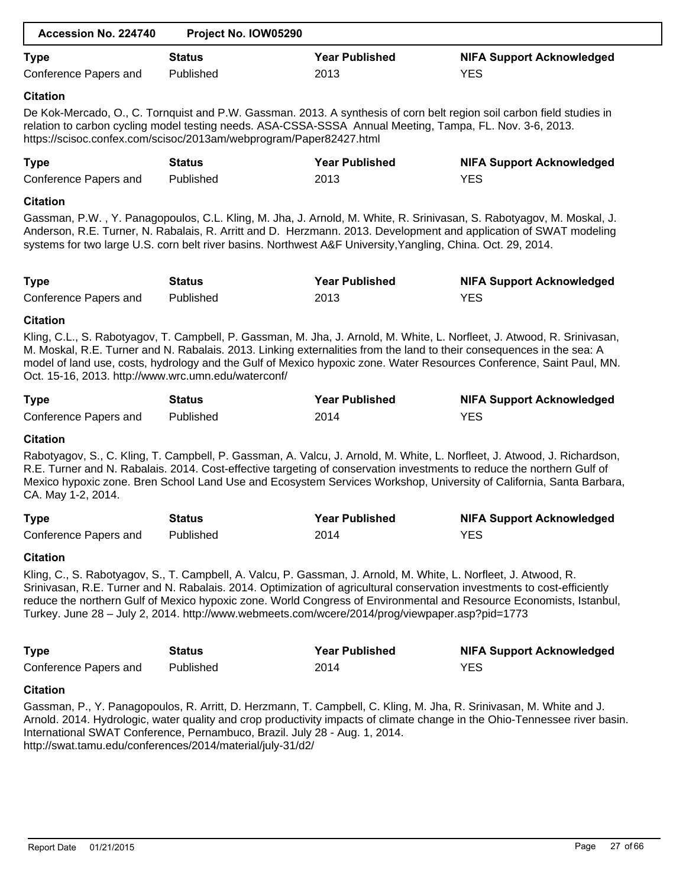| Accession No. 224740                                                                        | Project No. IOW05290 |                                                                                                                                                                                                                    |                                                                                                                                                                                                                                                                                                                                                                           |
|---------------------------------------------------------------------------------------------|----------------------|--------------------------------------------------------------------------------------------------------------------------------------------------------------------------------------------------------------------|---------------------------------------------------------------------------------------------------------------------------------------------------------------------------------------------------------------------------------------------------------------------------------------------------------------------------------------------------------------------------|
| <b>Type</b>                                                                                 | <b>Status</b>        | <b>Year Published</b>                                                                                                                                                                                              | <b>NIFA Support Acknowledged</b>                                                                                                                                                                                                                                                                                                                                          |
| Conference Papers and                                                                       | Published            | 2013                                                                                                                                                                                                               | <b>YES</b>                                                                                                                                                                                                                                                                                                                                                                |
| <b>Citation</b>                                                                             |                      |                                                                                                                                                                                                                    |                                                                                                                                                                                                                                                                                                                                                                           |
| https://scisoc.confex.com/scisoc/2013am/webprogram/Paper82427.html                          |                      | relation to carbon cycling model testing needs. ASA-CSSA-SSSA Annual Meeting, Tampa, FL. Nov. 3-6, 2013.                                                                                                           | De Kok-Mercado, O., C. Tornquist and P.W. Gassman. 2013. A synthesis of corn belt region soil carbon field studies in                                                                                                                                                                                                                                                     |
| <b>Type</b>                                                                                 | <b>Status</b>        | <b>Year Published</b>                                                                                                                                                                                              | <b>NIFA Support Acknowledged</b>                                                                                                                                                                                                                                                                                                                                          |
| Conference Papers and                                                                       | Published            | 2013                                                                                                                                                                                                               | <b>YES</b>                                                                                                                                                                                                                                                                                                                                                                |
| <b>Citation</b>                                                                             |                      |                                                                                                                                                                                                                    |                                                                                                                                                                                                                                                                                                                                                                           |
|                                                                                             |                      | systems for two large U.S. corn belt river basins. Northwest A&F University, Yangling, China. Oct. 29, 2014.                                                                                                       | Gassman, P.W., Y. Panagopoulos, C.L. Kling, M. Jha, J. Arnold, M. White, R. Srinivasan, S. Rabotyagov, M. Moskal, J.<br>Anderson, R.E. Turner, N. Rabalais, R. Arritt and D. Herzmann. 2013. Development and application of SWAT modeling                                                                                                                                 |
| <b>Type</b>                                                                                 | <b>Status</b>        | <b>Year Published</b>                                                                                                                                                                                              | <b>NIFA Support Acknowledged</b>                                                                                                                                                                                                                                                                                                                                          |
| Conference Papers and                                                                       | Published            | 2013                                                                                                                                                                                                               | <b>YES</b>                                                                                                                                                                                                                                                                                                                                                                |
| <b>Citation</b>                                                                             |                      |                                                                                                                                                                                                                    |                                                                                                                                                                                                                                                                                                                                                                           |
|                                                                                             |                      |                                                                                                                                                                                                                    |                                                                                                                                                                                                                                                                                                                                                                           |
|                                                                                             |                      |                                                                                                                                                                                                                    | Kling, C.L., S. Rabotyagov, T. Campbell, P. Gassman, M. Jha, J. Arnold, M. White, L. Norfleet, J. Atwood, R. Srinivasan,<br>M. Moskal, R.E. Turner and N. Rabalais. 2013. Linking externalities from the land to their consequences in the sea: A<br>model of land use, costs, hydrology and the Gulf of Mexico hypoxic zone. Water Resources Conference, Saint Paul, MN. |
|                                                                                             | <b>Status</b>        | <b>Year Published</b>                                                                                                                                                                                              | <b>NIFA Support Acknowledged</b>                                                                                                                                                                                                                                                                                                                                          |
| Oct. 15-16, 2013. http://www.wrc.umn.edu/waterconf/<br><b>Type</b><br>Conference Papers and | Published            | 2014                                                                                                                                                                                                               | <b>YES</b>                                                                                                                                                                                                                                                                                                                                                                |
| <b>Citation</b>                                                                             |                      |                                                                                                                                                                                                                    |                                                                                                                                                                                                                                                                                                                                                                           |
| CA. May 1-2, 2014.                                                                          |                      |                                                                                                                                                                                                                    | Rabotyagov, S., C. Kling, T. Campbell, P. Gassman, A. Valcu, J. Arnold, M. White, L. Norfleet, J. Atwood, J. Richardson,<br>R.E. Turner and N. Rabalais. 2014. Cost-effective targeting of conservation investments to reduce the northern Gulf of<br>Mexico hypoxic zone. Bren School Land Use and Ecosystem Services Workshop, University of California, Santa Barbara, |
|                                                                                             | <b>Status</b>        | <b>Year Published</b>                                                                                                                                                                                              | <b>NIFA Support Acknowledged</b>                                                                                                                                                                                                                                                                                                                                          |
|                                                                                             | Published            | 2014                                                                                                                                                                                                               | <b>YES</b>                                                                                                                                                                                                                                                                                                                                                                |
| <b>Type</b><br>Conference Papers and<br><b>Citation</b>                                     |                      |                                                                                                                                                                                                                    |                                                                                                                                                                                                                                                                                                                                                                           |
|                                                                                             |                      | Kling, C., S. Rabotyagov, S., T. Campbell, A. Valcu, P. Gassman, J. Arnold, M. White, L. Norfleet, J. Atwood, R.<br>Turkey. June 28 - July 2, 2014. http://www.webmeets.com/wcere/2014/prog/viewpaper.asp?pid=1773 | Srinivasan, R.E. Turner and N. Rabalais. 2014. Optimization of agricultural conservation investments to cost-efficiently<br>reduce the northern Gulf of Mexico hypoxic zone. World Congress of Environmental and Resource Economists, Istanbul,                                                                                                                           |
| <b>Type</b>                                                                                 | <b>Status</b>        | <b>Year Published</b>                                                                                                                                                                                              |                                                                                                                                                                                                                                                                                                                                                                           |
| Conference Papers and                                                                       | Published            | 2014                                                                                                                                                                                                               | <b>NIFA Support Acknowledged</b><br><b>YES</b>                                                                                                                                                                                                                                                                                                                            |

Arnold. 2014. Hydrologic, water quality and crop productivity impacts of climate change in the Ohio-Tennessee river basin. International SWAT Conference, Pernambuco, Brazil. July 28 - Aug. 1, 2014. http://swat.tamu.edu/conferences/2014/material/july-31/d2/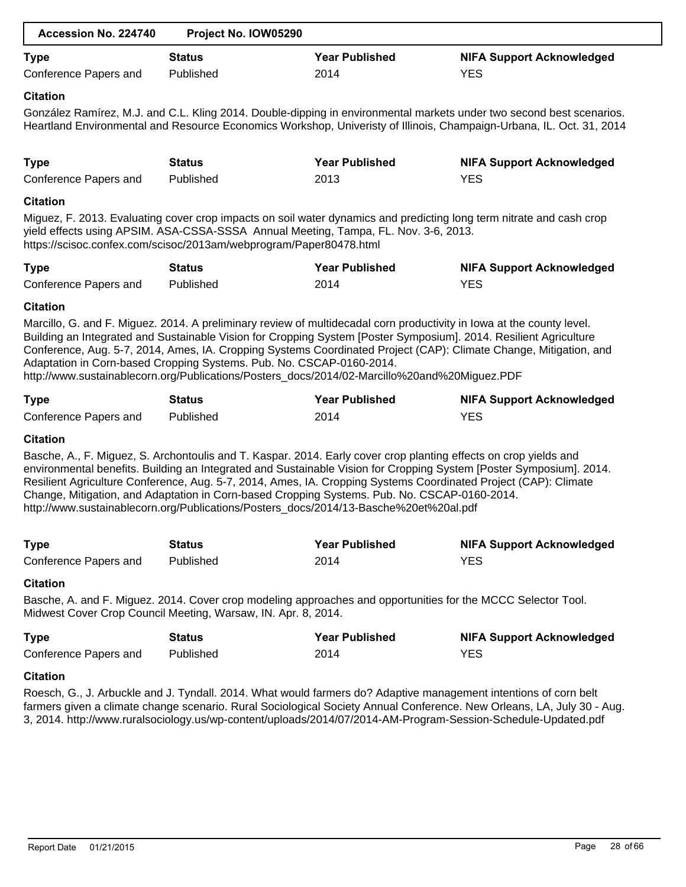| Accession No. 224740  | Project No. IOW05290 |                       |                                  |
|-----------------------|----------------------|-----------------------|----------------------------------|
| <b>Type</b>           | <b>Status</b>        | <b>Year Published</b> | <b>NIFA Support Acknowledged</b> |
| Conference Papers and | Published            | 2014                  | YES                              |

# **Citation**

González Ramírez, M.J. and C.L. Kling 2014. Double-dipping in environmental markets under two second best scenarios. Heartland Environmental and Resource Economics Workshop, Univeristy of Illinois, Champaign-Urbana, IL. Oct. 31, 2014

| <b>Type</b>           | Status    | <b>Year Published</b> | <b>NIFA Support Acknowledged</b> |
|-----------------------|-----------|-----------------------|----------------------------------|
| Conference Papers and | Published | 2013                  | <b>YES</b>                       |

# **Citation**

Miguez, F. 2013. Evaluating cover crop impacts on soil water dynamics and predicting long term nitrate and cash crop yield effects using APSIM. ASA-CSSA-SSSA Annual Meeting, Tampa, FL. Nov. 3-6, 2013. https://scisoc.confex.com/scisoc/2013am/webprogram/Paper80478.html

| <b>Type</b>           | Status    | <b>Year Published</b> | <b>NIFA Support Acknowledged</b> |
|-----------------------|-----------|-----------------------|----------------------------------|
| Conference Papers and | Published | 2014                  | YES                              |

# **Citation**

Marcillo, G. and F. Miguez. 2014. A preliminary review of multidecadal corn productivity in Iowa at the county level. Building an Integrated and Sustainable Vision for Cropping System [Poster Symposium]. 2014. Resilient Agriculture Conference, Aug. 5-7, 2014, Ames, IA. Cropping Systems Coordinated Project (CAP): Climate Change, Mitigation, and Adaptation in Corn-based Cropping Systems. Pub. No. CSCAP-0160-2014. http://www.sustainablecorn.org/Publications/Posters\_docs/2014/02-Marcillo%20and%20Miguez.PDF

| <b>Type</b>           | Status    | <b>Year Published</b> | <b>NIFA Support Acknowledged</b> |
|-----------------------|-----------|-----------------------|----------------------------------|
| Conference Papers and | Published | 2014                  | YES                              |

# **Citation**

Basche, A., F. Miguez, S. Archontoulis and T. Kaspar. 2014. Early cover crop planting effects on crop yields and environmental benefits. Building an Integrated and Sustainable Vision for Cropping System [Poster Symposium]. 2014. Resilient Agriculture Conference, Aug. 5-7, 2014, Ames, IA. Cropping Systems Coordinated Project (CAP): Climate Change, Mitigation, and Adaptation in Corn-based Cropping Systems. Pub. No. CSCAP-0160-2014. http://www.sustainablecorn.org/Publications/Posters\_docs/2014/13-Basche%20et%20al.pdf

| <b>Type</b>           | <b>Status</b> | <b>Year Published</b> | <b>NIFA Support Acknowledged</b> |
|-----------------------|---------------|-----------------------|----------------------------------|
| Conference Papers and | Published     | 2014                  | <b>YES</b>                       |

# **Citation**

Basche, A. and F. Miguez. 2014. Cover crop modeling approaches and opportunities for the MCCC Selector Tool. Midwest Cover Crop Council Meeting, Warsaw, IN. Apr. 8, 2014.

| <b>Type</b>           | Status    | <b>Year Published</b> | <b>NIFA Support Acknowledged</b> |
|-----------------------|-----------|-----------------------|----------------------------------|
| Conference Papers and | Published | 2014                  | YES                              |

#### **Citation**

Roesch, G., J. Arbuckle and J. Tyndall. 2014. What would farmers do? Adaptive management intentions of corn belt farmers given a climate change scenario. Rural Sociological Society Annual Conference. New Orleans, LA, July 30 - Aug. 3, 2014. http://www.ruralsociology.us/wp-content/uploads/2014/07/2014-AM-Program-Session-Schedule-Updated.pdf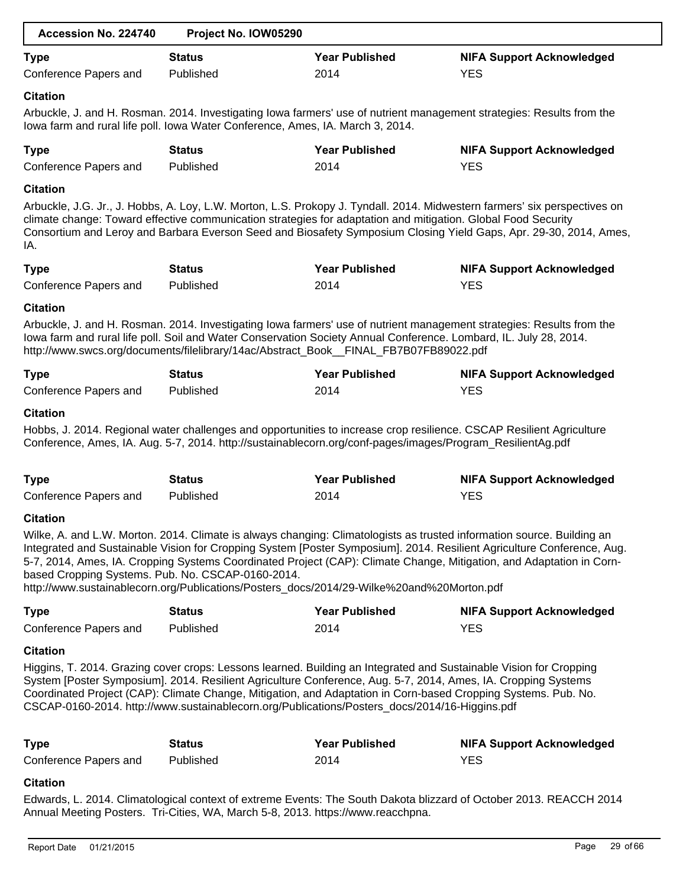| Accession No. 224740                              | Project No. IOW05290                                                                                                                                                                                      |                       |                                                                                                                                                                                                                                                                                                                                                                          |
|---------------------------------------------------|-----------------------------------------------------------------------------------------------------------------------------------------------------------------------------------------------------------|-----------------------|--------------------------------------------------------------------------------------------------------------------------------------------------------------------------------------------------------------------------------------------------------------------------------------------------------------------------------------------------------------------------|
| <b>Type</b>                                       | <b>Status</b>                                                                                                                                                                                             | <b>Year Published</b> | <b>NIFA Support Acknowledged</b>                                                                                                                                                                                                                                                                                                                                         |
| Conference Papers and                             | Published                                                                                                                                                                                                 | 2014                  | <b>YES</b>                                                                                                                                                                                                                                                                                                                                                               |
| <b>Citation</b>                                   |                                                                                                                                                                                                           |                       |                                                                                                                                                                                                                                                                                                                                                                          |
|                                                   | lowa farm and rural life poll. Iowa Water Conference, Ames, IA. March 3, 2014.                                                                                                                            |                       | Arbuckle, J. and H. Rosman. 2014. Investigating lowa farmers' use of nutrient management strategies: Results from the                                                                                                                                                                                                                                                    |
| <b>Type</b>                                       | <b>Status</b>                                                                                                                                                                                             | <b>Year Published</b> | <b>NIFA Support Acknowledged</b>                                                                                                                                                                                                                                                                                                                                         |
| Conference Papers and                             | Published                                                                                                                                                                                                 | 2014                  | <b>YES</b>                                                                                                                                                                                                                                                                                                                                                               |
| <b>Citation</b>                                   |                                                                                                                                                                                                           |                       |                                                                                                                                                                                                                                                                                                                                                                          |
| IA.                                               | climate change: Toward effective communication strategies for adaptation and mitigation. Global Food Security                                                                                             |                       | Arbuckle, J.G. Jr., J. Hobbs, A. Loy, L.W. Morton, L.S. Prokopy J. Tyndall. 2014. Midwestern farmers' six perspectives on<br>Consortium and Leroy and Barbara Everson Seed and Biosafety Symposium Closing Yield Gaps, Apr. 29-30, 2014, Ames,                                                                                                                           |
| <b>Type</b>                                       | <b>Status</b>                                                                                                                                                                                             | <b>Year Published</b> | <b>NIFA Support Acknowledged</b>                                                                                                                                                                                                                                                                                                                                         |
| Conference Papers and                             | Published                                                                                                                                                                                                 | 2014                  | <b>YES</b>                                                                                                                                                                                                                                                                                                                                                               |
| <b>Citation</b>                                   |                                                                                                                                                                                                           |                       |                                                                                                                                                                                                                                                                                                                                                                          |
|                                                   | lowa farm and rural life poll. Soil and Water Conservation Society Annual Conference. Lombard, IL. July 28, 2014.<br>http://www.swcs.org/documents/filelibrary/14ac/Abstract_Book_FINAL_FB7B07FB89022.pdf |                       | Arbuckle, J. and H. Rosman. 2014. Investigating lowa farmers' use of nutrient management strategies: Results from the                                                                                                                                                                                                                                                    |
| <b>Type</b>                                       | <b>Status</b>                                                                                                                                                                                             | <b>Year Published</b> | <b>NIFA Support Acknowledged</b>                                                                                                                                                                                                                                                                                                                                         |
| Conference Papers and                             | Published                                                                                                                                                                                                 | 2014                  | <b>YES</b>                                                                                                                                                                                                                                                                                                                                                               |
|                                                   | Conference, Ames, IA. Aug. 5-7, 2014. http://sustainablecorn.org/conf-pages/images/Program_ResilientAg.pdf                                                                                                |                       | Hobbs, J. 2014. Regional water challenges and opportunities to increase crop resilience. CSCAP Resilient Agriculture                                                                                                                                                                                                                                                     |
| <b>Type</b>                                       | <b>Status</b>                                                                                                                                                                                             | <b>Year Published</b> | <b>NIFA Support Acknowledged</b>                                                                                                                                                                                                                                                                                                                                         |
| Conference Papers and                             | Published                                                                                                                                                                                                 | 2014                  | <b>YES</b>                                                                                                                                                                                                                                                                                                                                                               |
| <b>Citation</b>                                   |                                                                                                                                                                                                           |                       |                                                                                                                                                                                                                                                                                                                                                                          |
| based Cropping Systems. Pub. No. CSCAP-0160-2014. | http://www.sustainablecorn.org/Publications/Posters_docs/2014/29-Wilke%20and%20Morton.pdf                                                                                                                 |                       | Wilke, A. and L.W. Morton. 2014. Climate is always changing: Climatologists as trusted information source. Building an<br>Integrated and Sustainable Vision for Cropping System [Poster Symposium]. 2014. Resilient Agriculture Conference, Aug.<br>5-7, 2014, Ames, IA. Cropping Systems Coordinated Project (CAP): Climate Change, Mitigation, and Adaptation in Corn- |
| <b>Type</b>                                       | <b>Status</b>                                                                                                                                                                                             | <b>Year Published</b> | <b>NIFA Support Acknowledged</b>                                                                                                                                                                                                                                                                                                                                         |
| Conference Papers and                             | Published                                                                                                                                                                                                 | 2014                  | <b>YES</b>                                                                                                                                                                                                                                                                                                                                                               |
| <b>Citation</b>                                   |                                                                                                                                                                                                           |                       |                                                                                                                                                                                                                                                                                                                                                                          |
|                                                   | CSCAP-0160-2014. http://www.sustainablecorn.org/Publications/Posters_docs/2014/16-Higgins.pdf                                                                                                             |                       | Higgins, T. 2014. Grazing cover crops: Lessons learned. Building an Integrated and Sustainable Vision for Cropping<br>System [Poster Symposium]. 2014. Resilient Agriculture Conference, Aug. 5-7, 2014, Ames, IA. Cropping Systems<br>Coordinated Project (CAP): Climate Change, Mitigation, and Adaptation in Corn-based Cropping Systems. Pub. No.                    |
| <b>Type</b>                                       | <b>Status</b>                                                                                                                                                                                             | <b>Year Published</b> | <b>NIFA Support Acknowledged</b>                                                                                                                                                                                                                                                                                                                                         |
| Conference Papers and                             | Published                                                                                                                                                                                                 | 2014                  | <b>YES</b>                                                                                                                                                                                                                                                                                                                                                               |
| <b>Citation</b>                                   |                                                                                                                                                                                                           |                       |                                                                                                                                                                                                                                                                                                                                                                          |
|                                                   |                                                                                                                                                                                                           |                       | Edwards, L. 2014. Climatological context of extreme Events: The South Dakota blizzard of October 2013. REACCH 2014                                                                                                                                                                                                                                                       |
|                                                   | Annual Meeting Posters. Tri-Cities, WA, March 5-8, 2013. https://www.reacchpna.                                                                                                                           |                       |                                                                                                                                                                                                                                                                                                                                                                          |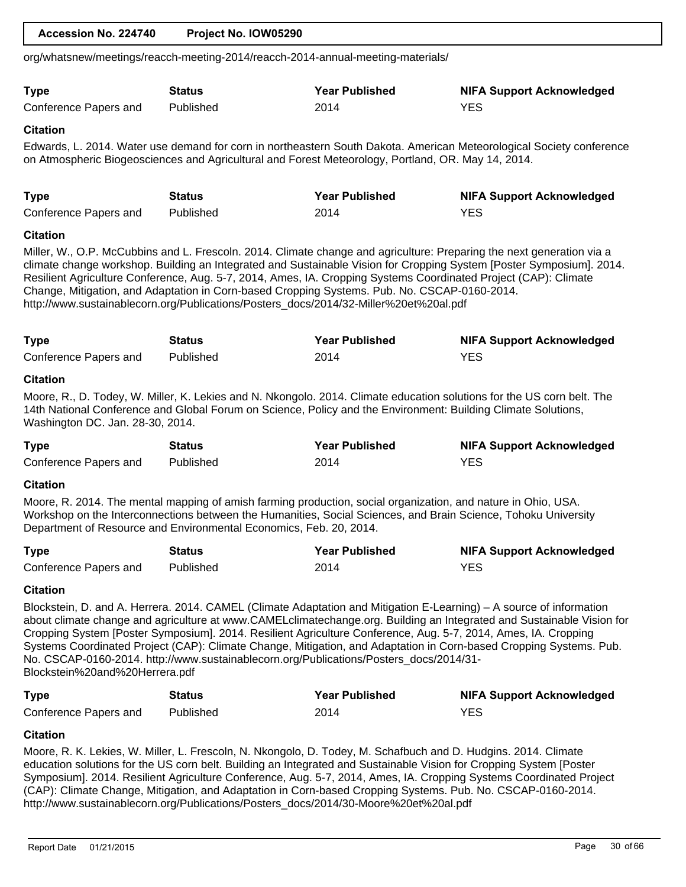|                                                                    |               | org/whatsnew/meetings/reacch-meeting-2014/reacch-2014-annual-meeting-materials/                                                                                                       |                                                                                                                                                                                                                                                                                                                                                                                                                                                                                      |
|--------------------------------------------------------------------|---------------|---------------------------------------------------------------------------------------------------------------------------------------------------------------------------------------|--------------------------------------------------------------------------------------------------------------------------------------------------------------------------------------------------------------------------------------------------------------------------------------------------------------------------------------------------------------------------------------------------------------------------------------------------------------------------------------|
| <b>Type</b>                                                        | <b>Status</b> | <b>Year Published</b>                                                                                                                                                                 | <b>NIFA Support Acknowledged</b>                                                                                                                                                                                                                                                                                                                                                                                                                                                     |
| Conference Papers and                                              | Published     | 2014                                                                                                                                                                                  | <b>YES</b>                                                                                                                                                                                                                                                                                                                                                                                                                                                                           |
| <b>Citation</b>                                                    |               |                                                                                                                                                                                       |                                                                                                                                                                                                                                                                                                                                                                                                                                                                                      |
|                                                                    |               | on Atmospheric Biogeosciences and Agricultural and Forest Meteorology, Portland, OR. May 14, 2014.                                                                                    | Edwards, L. 2014. Water use demand for corn in northeastern South Dakota. American Meteorological Society conference                                                                                                                                                                                                                                                                                                                                                                 |
| <b>Type</b>                                                        | <b>Status</b> | <b>Year Published</b>                                                                                                                                                                 | <b>NIFA Support Acknowledged</b>                                                                                                                                                                                                                                                                                                                                                                                                                                                     |
| Conference Papers and                                              | Published     | 2014                                                                                                                                                                                  | <b>YES</b>                                                                                                                                                                                                                                                                                                                                                                                                                                                                           |
| <b>Citation</b>                                                    |               |                                                                                                                                                                                       |                                                                                                                                                                                                                                                                                                                                                                                                                                                                                      |
|                                                                    |               | Change, Mitigation, and Adaptation in Corn-based Cropping Systems. Pub. No. CSCAP-0160-2014.<br>http://www.sustainablecorn.org/Publications/Posters_docs/2014/32-Miller%20et%20al.pdf | Miller, W., O.P. McCubbins and L. Frescoln. 2014. Climate change and agriculture: Preparing the next generation via a<br>climate change workshop. Building an Integrated and Sustainable Vision for Cropping System [Poster Symposium]. 2014.<br>Resilient Agriculture Conference, Aug. 5-7, 2014, Ames, IA. Cropping Systems Coordinated Project (CAP): Climate                                                                                                                     |
| <b>Type</b>                                                        | <b>Status</b> | <b>Year Published</b>                                                                                                                                                                 | <b>NIFA Support Acknowledged</b>                                                                                                                                                                                                                                                                                                                                                                                                                                                     |
| Conference Papers and                                              | Published     | 2014                                                                                                                                                                                  | <b>YES</b>                                                                                                                                                                                                                                                                                                                                                                                                                                                                           |
| <b>Citation</b>                                                    |               |                                                                                                                                                                                       |                                                                                                                                                                                                                                                                                                                                                                                                                                                                                      |
| Washington DC. Jan. 28-30, 2014.                                   |               | 14th National Conference and Global Forum on Science, Policy and the Environment: Building Climate Solutions,                                                                         | Moore, R., D. Todey, W. Miller, K. Lekies and N. Nkongolo. 2014. Climate education solutions for the US corn belt. The                                                                                                                                                                                                                                                                                                                                                               |
| <b>Type</b>                                                        | <b>Status</b> | <b>Year Published</b>                                                                                                                                                                 | <b>NIFA Support Acknowledged</b>                                                                                                                                                                                                                                                                                                                                                                                                                                                     |
| Conference Papers and                                              | Published     | 2014                                                                                                                                                                                  | <b>YES</b>                                                                                                                                                                                                                                                                                                                                                                                                                                                                           |
| <b>Citation</b>                                                    |               |                                                                                                                                                                                       |                                                                                                                                                                                                                                                                                                                                                                                                                                                                                      |
| Department of Resource and Environmental Economics, Feb. 20, 2014. |               | Moore, R. 2014. The mental mapping of amish farming production, social organization, and nature in Ohio, USA.                                                                         | Workshop on the Interconnections between the Humanities, Social Sciences, and Brain Science, Tohoku University                                                                                                                                                                                                                                                                                                                                                                       |
| <b>Type</b>                                                        | <b>Status</b> | <b>Year Published</b>                                                                                                                                                                 | <b>NIFA Support Acknowledged</b>                                                                                                                                                                                                                                                                                                                                                                                                                                                     |
| Conference Papers and                                              | Published     | 2014                                                                                                                                                                                  | <b>YES</b>                                                                                                                                                                                                                                                                                                                                                                                                                                                                           |
| <b>Citation</b>                                                    |               |                                                                                                                                                                                       |                                                                                                                                                                                                                                                                                                                                                                                                                                                                                      |
| Blockstein%20and%20Herrera.pdf                                     |               | No. CSCAP-0160-2014. http://www.sustainablecorn.org/Publications/Posters_docs/2014/31-                                                                                                | Blockstein, D. and A. Herrera. 2014. CAMEL (Climate Adaptation and Mitigation E-Learning) - A source of information<br>about climate change and agriculture at www.CAMELclimatechange.org. Building an Integrated and Sustainable Vision for<br>Cropping System [Poster Symposium]. 2014. Resilient Agriculture Conference, Aug. 5-7, 2014, Ames, IA. Cropping<br>Systems Coordinated Project (CAP): Climate Change, Mitigation, and Adaptation in Corn-based Cropping Systems. Pub. |
| <b>Type</b>                                                        | <b>Status</b> | <b>Year Published</b>                                                                                                                                                                 | <b>NIFA Support Acknowledged</b>                                                                                                                                                                                                                                                                                                                                                                                                                                                     |
| Conference Papers and                                              | Published     | 2014                                                                                                                                                                                  | <b>YES</b>                                                                                                                                                                                                                                                                                                                                                                                                                                                                           |

 **Accession No. 224740 Project No. IOW05290**

# **Citation**

Moore, R. K. Lekies, W. Miller, L. Frescoln, N. Nkongolo, D. Todey, M. Schafbuch and D. Hudgins. 2014. Climate education solutions for the US corn belt. Building an Integrated and Sustainable Vision for Cropping System [Poster Symposium]. 2014. Resilient Agriculture Conference, Aug. 5-7, 2014, Ames, IA. Cropping Systems Coordinated Project (CAP): Climate Change, Mitigation, and Adaptation in Corn-based Cropping Systems. Pub. No. CSCAP-0160-2014. http://www.sustainablecorn.org/Publications/Posters\_docs/2014/30-Moore%20et%20al.pdf

Conference Papers and Published 2014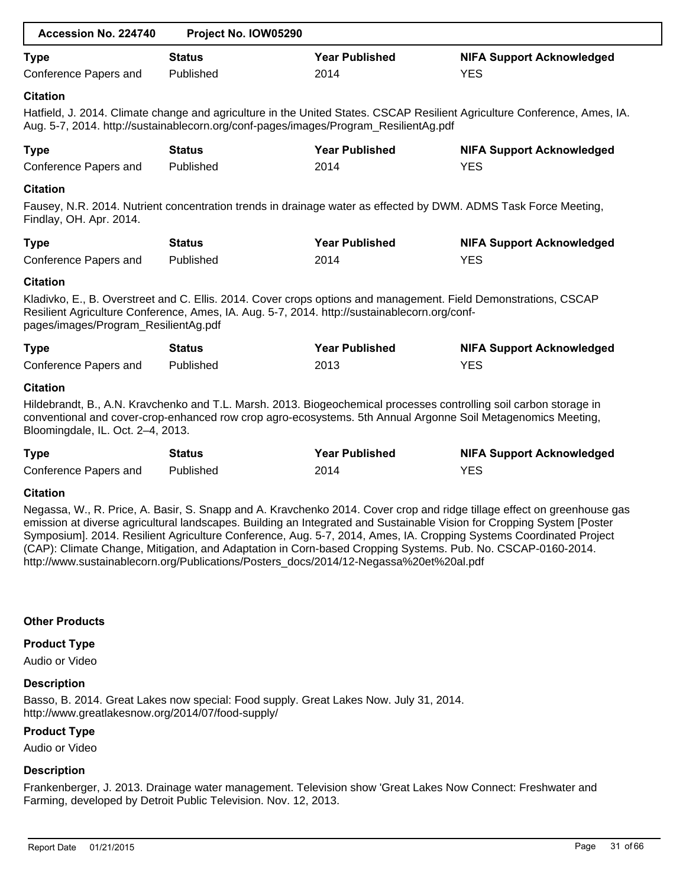| Accession No. 224740                                    | Project No. IOW05290                                                                         |                       |                                                                                                                                                                                                                                    |
|---------------------------------------------------------|----------------------------------------------------------------------------------------------|-----------------------|------------------------------------------------------------------------------------------------------------------------------------------------------------------------------------------------------------------------------------|
| <b>Type</b>                                             | <b>Status</b>                                                                                | <b>Year Published</b> | <b>NIFA Support Acknowledged</b>                                                                                                                                                                                                   |
| Conference Papers and                                   | Published                                                                                    | 2014                  | <b>YES</b>                                                                                                                                                                                                                         |
| <b>Citation</b>                                         | Aug. 5-7, 2014. http://sustainablecorn.org/conf-pages/images/Program_ResilientAg.pdf         |                       | Hatfield, J. 2014. Climate change and agriculture in the United States. CSCAP Resilient Agriculture Conference, Ames, IA.                                                                                                          |
| <b>Type</b>                                             | <b>Status</b>                                                                                | <b>Year Published</b> | <b>NIFA Support Acknowledged</b>                                                                                                                                                                                                   |
| Conference Papers and                                   | Published                                                                                    | 2014                  | <b>YES</b>                                                                                                                                                                                                                         |
| <b>Citation</b><br>Findlay, OH. Apr. 2014.              |                                                                                              |                       | Fausey, N.R. 2014. Nutrient concentration trends in drainage water as effected by DWM. ADMS Task Force Meeting,                                                                                                                    |
| <b>Type</b>                                             | <b>Status</b>                                                                                | <b>Year Published</b> | <b>NIFA Support Acknowledged</b>                                                                                                                                                                                                   |
| Conference Papers and                                   | Published                                                                                    | 2014                  | <b>YES</b>                                                                                                                                                                                                                         |
| <b>Citation</b><br>pages/images/Program_ResilientAg.pdf | Resilient Agriculture Conference, Ames, IA. Aug. 5-7, 2014. http://sustainablecorn.org/conf- |                       | Kladivko, E., B. Overstreet and C. Ellis. 2014. Cover crops options and management. Field Demonstrations, CSCAP                                                                                                                    |
| <b>Type</b>                                             | <b>Status</b>                                                                                | <b>Year Published</b> | <b>NIFA Support Acknowledged</b>                                                                                                                                                                                                   |
| Conference Papers and                                   | Published                                                                                    | 2013                  | <b>YES</b>                                                                                                                                                                                                                         |
| <b>Citation</b><br>Bloomingdale, IL. Oct. 2-4, 2013.    |                                                                                              |                       | Hildebrandt, B., A.N. Kravchenko and T.L. Marsh. 2013. Biogeochemical processes controlling soil carbon storage in<br>conventional and cover-crop-enhanced row crop agro-ecosystems. 5th Annual Argonne Soil Metagenomics Meeting, |
| <b>Type</b>                                             | <b>Status</b>                                                                                | <b>Year Published</b> | <b>NIFA Support Acknowledged</b>                                                                                                                                                                                                   |
| Conference Papers and                                   | Published                                                                                    | 2014                  | <b>YES</b>                                                                                                                                                                                                                         |
| <b>Citation</b>                                         |                                                                                              |                       |                                                                                                                                                                                                                                    |
|                                                         |                                                                                              |                       | Negassa, W., R. Price, A. Basir, S. Snapp and A. Kravchenko 2014. Cover crop and ridge tillage effect on greenhouse gas                                                                                                            |

emission at diverse agricultural landscapes. Building an Integrated and Sustainable Vision for Cropping System [Poster Symposium]. 2014. Resilient Agriculture Conference, Aug. 5-7, 2014, Ames, IA. Cropping Systems Coordinated Project (CAP): Climate Change, Mitigation, and Adaptation in Corn-based Cropping Systems. Pub. No. CSCAP-0160-2014. http://www.sustainablecorn.org/Publications/Posters\_docs/2014/12-Negassa%20et%20al.pdf

# **Other Products**

# **Product Type**

Audio or Video

# **Description**

Basso, B. 2014. Great Lakes now special: Food supply. Great Lakes Now. July 31, 2014. http://www.greatlakesnow.org/2014/07/food-supply/

# **Product Type**

Audio or Video

# **Description**

Frankenberger, J. 2013. Drainage water management. Television show 'Great Lakes Now Connect: Freshwater and Farming, developed by Detroit Public Television. Nov. 12, 2013.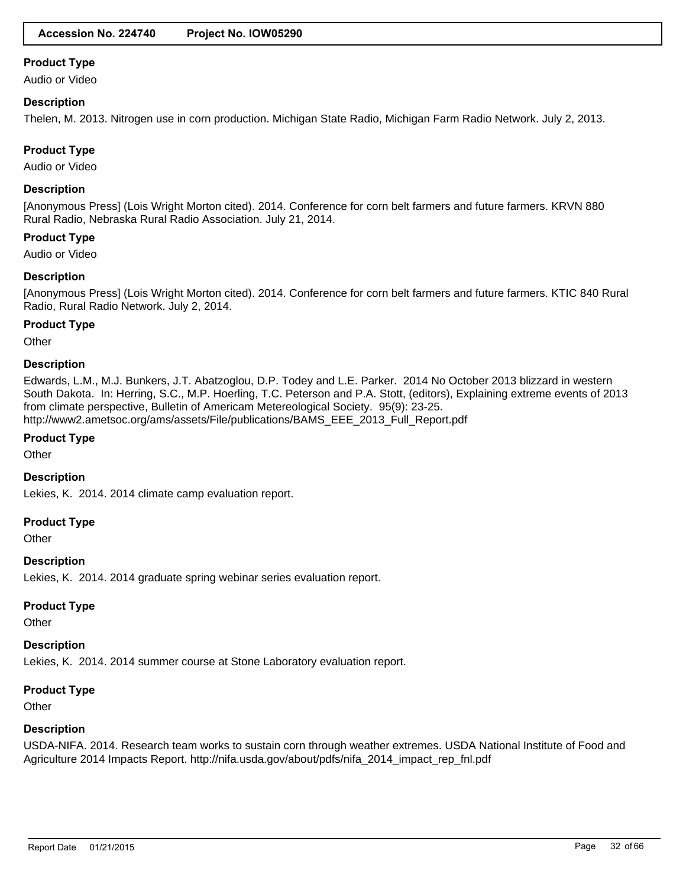Audio or Video

### **Description**

Thelen, M. 2013. Nitrogen use in corn production. Michigan State Radio, Michigan Farm Radio Network. July 2, 2013.

# **Product Type**

Audio or Video

### **Description**

[Anonymous Press] (Lois Wright Morton cited). 2014. Conference for corn belt farmers and future farmers. KRVN 880 Rural Radio, Nebraska Rural Radio Association. July 21, 2014.

#### **Product Type**

Audio or Video

# **Description**

[Anonymous Press] (Lois Wright Morton cited). 2014. Conference for corn belt farmers and future farmers. KTIC 840 Rural Radio, Rural Radio Network. July 2, 2014.

#### **Product Type**

**Other** 

#### **Description**

Edwards, L.M., M.J. Bunkers, J.T. Abatzoglou, D.P. Todey and L.E. Parker. 2014 No October 2013 blizzard in western South Dakota. In: Herring, S.C., M.P. Hoerling, T.C. Peterson and P.A. Stott, (editors), Explaining extreme events of 2013 from climate perspective, Bulletin of Americam Metereological Society. 95(9): 23-25. http://www2.ametsoc.org/ams/assets/File/publications/BAMS\_EEE\_2013\_Full\_Report.pdf

### **Product Type**

**Other** 

# **Description**

Lekies, K. 2014. 2014 climate camp evaluation report.

#### **Product Type**

**Other** 

# **Description**

Lekies, K. 2014. 2014 graduate spring webinar series evaluation report.

#### **Product Type**

**Other** 

#### **Description**

Lekies, K. 2014. 2014 summer course at Stone Laboratory evaluation report.

### **Product Type**

**Other** 

#### **Description**

USDA-NIFA. 2014. Research team works to sustain corn through weather extremes. USDA National Institute of Food and Agriculture 2014 Impacts Report. http://nifa.usda.gov/about/pdfs/nifa\_2014\_impact\_rep\_fnl.pdf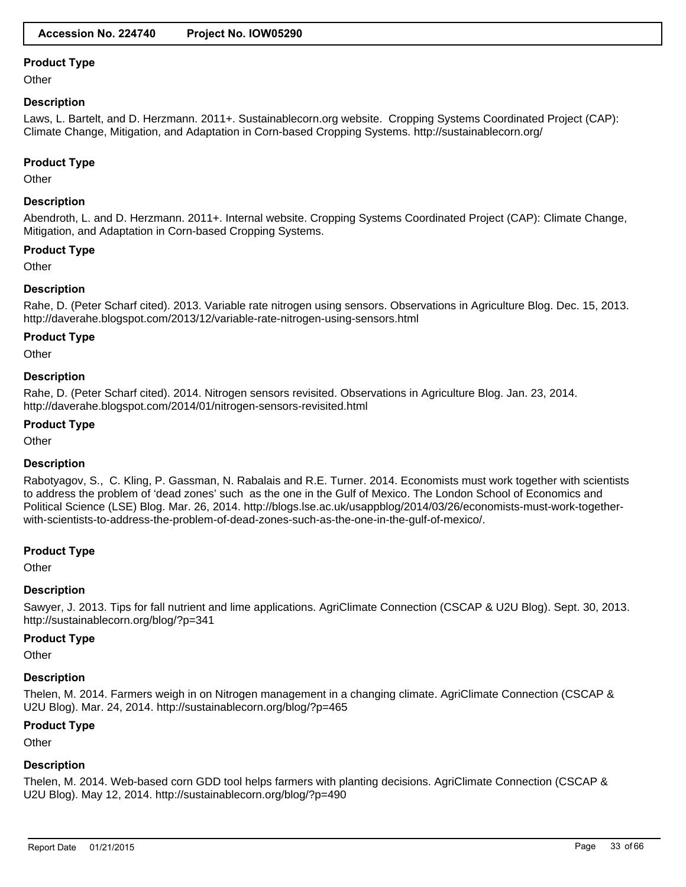**Other** 

# **Description**

Laws, L. Bartelt, and D. Herzmann. 2011+. Sustainablecorn.org website. Cropping Systems Coordinated Project (CAP): Climate Change, Mitigation, and Adaptation in Corn-based Cropping Systems. http://sustainablecorn.org/

#### **Product Type**

**Other** 

# **Description**

Abendroth, L. and D. Herzmann. 2011+. Internal website. Cropping Systems Coordinated Project (CAP): Climate Change, Mitigation, and Adaptation in Corn-based Cropping Systems.

# **Product Type**

**Other** 

# **Description**

Rahe, D. (Peter Scharf cited). 2013. Variable rate nitrogen using sensors. Observations in Agriculture Blog. Dec. 15, 2013. http://daverahe.blogspot.com/2013/12/variable-rate-nitrogen-using-sensors.html

#### **Product Type**

**Other** 

# **Description**

Rahe, D. (Peter Scharf cited). 2014. Nitrogen sensors revisited. Observations in Agriculture Blog. Jan. 23, 2014. http://daverahe.blogspot.com/2014/01/nitrogen-sensors-revisited.html

# **Product Type**

**Other** 

#### **Description**

Rabotyagov, S., C. Kling, P. Gassman, N. Rabalais and R.E. Turner. 2014. Economists must work together with scientists to address the problem of 'dead zones' such as the one in the Gulf of Mexico. The London School of Economics and Political Science (LSE) Blog. Mar. 26, 2014. http://blogs.lse.ac.uk/usappblog/2014/03/26/economists-must-work-togetherwith-scientists-to-address-the-problem-of-dead-zones-such-as-the-one-in-the-gulf-of-mexico/.

#### **Product Type**

**Other** 

#### **Description**

Sawyer, J. 2013. Tips for fall nutrient and lime applications. AgriClimate Connection (CSCAP & U2U Blog). Sept. 30, 2013. http://sustainablecorn.org/blog/?p=341

#### **Product Type**

**Other** 

#### **Description**

Thelen, M. 2014. Farmers weigh in on Nitrogen management in a changing climate. AgriClimate Connection (CSCAP & U2U Blog). Mar. 24, 2014. http://sustainablecorn.org/blog/?p=465

#### **Product Type**

**Other** 

# **Description**

Thelen, M. 2014. Web-based corn GDD tool helps farmers with planting decisions. AgriClimate Connection (CSCAP & U2U Blog). May 12, 2014. http://sustainablecorn.org/blog/?p=490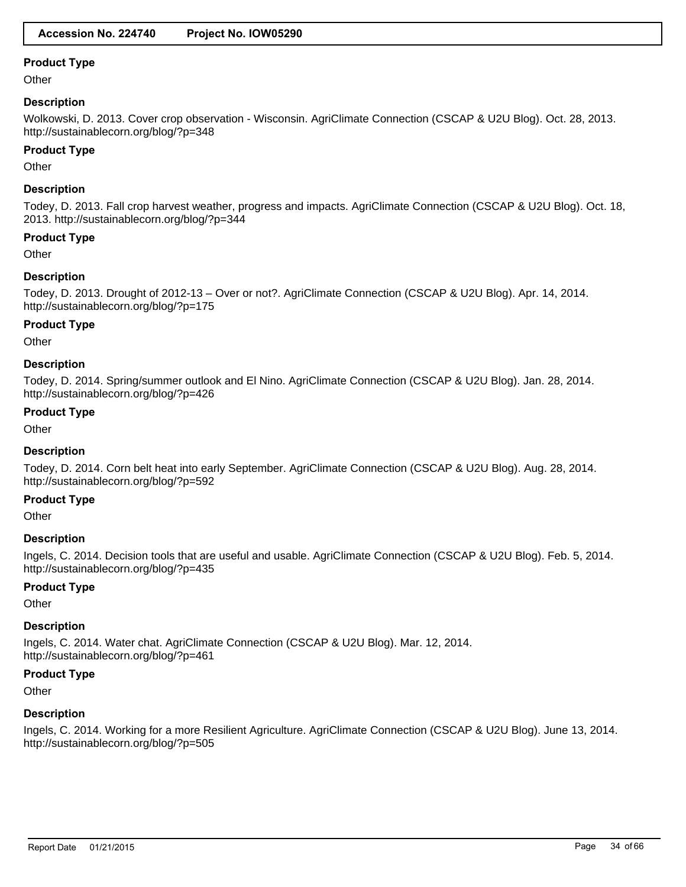**Other** 

# **Description**

Wolkowski, D. 2013. Cover crop observation - Wisconsin. AgriClimate Connection (CSCAP & U2U Blog). Oct. 28, 2013. http://sustainablecorn.org/blog/?p=348

#### **Product Type**

**Other** 

# **Description**

Todey, D. 2013. Fall crop harvest weather, progress and impacts. AgriClimate Connection (CSCAP & U2U Blog). Oct. 18, 2013. http://sustainablecorn.org/blog/?p=344

# **Product Type**

**Other** 

# **Description**

Todey, D. 2013. Drought of 2012-13 – Over or not?. AgriClimate Connection (CSCAP & U2U Blog). Apr. 14, 2014. http://sustainablecorn.org/blog/?p=175

# **Product Type**

**Other** 

# **Description**

Todey, D. 2014. Spring/summer outlook and El Nino. AgriClimate Connection (CSCAP & U2U Blog). Jan. 28, 2014. http://sustainablecorn.org/blog/?p=426

# **Product Type**

**Other** 

# **Description**

Todey, D. 2014. Corn belt heat into early September. AgriClimate Connection (CSCAP & U2U Blog). Aug. 28, 2014. http://sustainablecorn.org/blog/?p=592

#### **Product Type**

**Other** 

#### **Description**

Ingels, C. 2014. Decision tools that are useful and usable. AgriClimate Connection (CSCAP & U2U Blog). Feb. 5, 2014. http://sustainablecorn.org/blog/?p=435

# **Product Type**

**Other** 

# **Description**

Ingels, C. 2014. Water chat. AgriClimate Connection (CSCAP & U2U Blog). Mar. 12, 2014. http://sustainablecorn.org/blog/?p=461

#### **Product Type**

**Other** 

#### **Description**

Ingels, C. 2014. Working for a more Resilient Agriculture. AgriClimate Connection (CSCAP & U2U Blog). June 13, 2014. http://sustainablecorn.org/blog/?p=505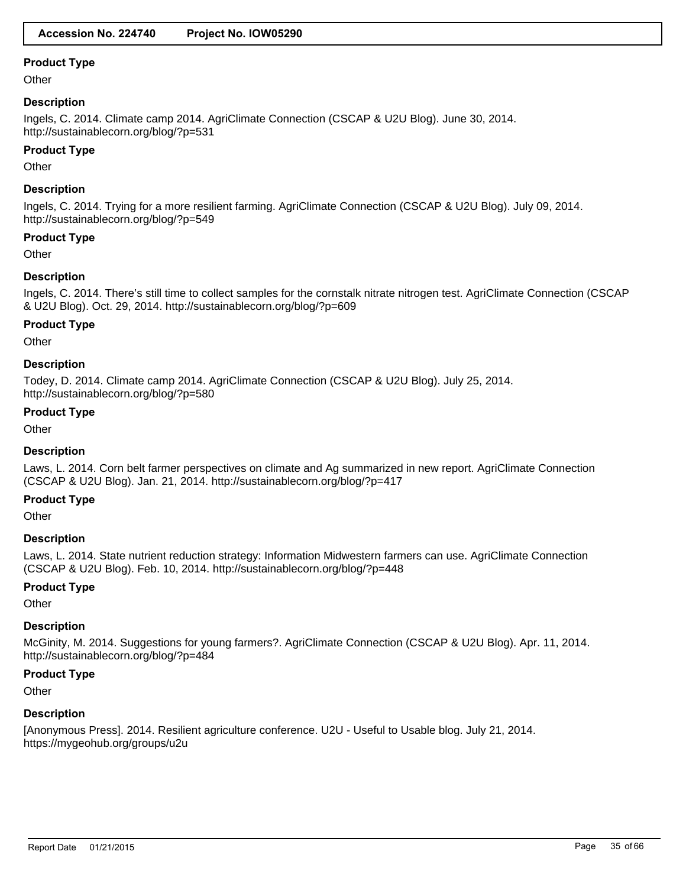**Other** 

# **Description**

Ingels, C. 2014. Climate camp 2014. AgriClimate Connection (CSCAP & U2U Blog). June 30, 2014. http://sustainablecorn.org/blog/?p=531

### **Product Type**

**Other** 

# **Description**

Ingels, C. 2014. Trying for a more resilient farming. AgriClimate Connection (CSCAP & U2U Blog). July 09, 2014. http://sustainablecorn.org/blog/?p=549

# **Product Type**

**Other** 

# **Description**

Ingels, C. 2014. There's still time to collect samples for the cornstalk nitrate nitrogen test. AgriClimate Connection (CSCAP & U2U Blog). Oct. 29, 2014. http://sustainablecorn.org/blog/?p=609

# **Product Type**

**Other** 

# **Description**

Todey, D. 2014. Climate camp 2014. AgriClimate Connection (CSCAP & U2U Blog). July 25, 2014. http://sustainablecorn.org/blog/?p=580

# **Product Type**

**Other** 

# **Description**

Laws, L. 2014. Corn belt farmer perspectives on climate and Ag summarized in new report. AgriClimate Connection (CSCAP & U2U Blog). Jan. 21, 2014. http://sustainablecorn.org/blog/?p=417

# **Product Type**

**Other** 

#### **Description**

Laws, L. 2014. State nutrient reduction strategy: Information Midwestern farmers can use. AgriClimate Connection (CSCAP & U2U Blog). Feb. 10, 2014. http://sustainablecorn.org/blog/?p=448

# **Product Type**

**Other** 

# **Description**

McGinity, M. 2014. Suggestions for young farmers?. AgriClimate Connection (CSCAP & U2U Blog). Apr. 11, 2014. http://sustainablecorn.org/blog/?p=484

#### **Product Type**

**Other** 

#### **Description**

[Anonymous Press]. 2014. Resilient agriculture conference. U2U - Useful to Usable blog. July 21, 2014. https://mygeohub.org/groups/u2u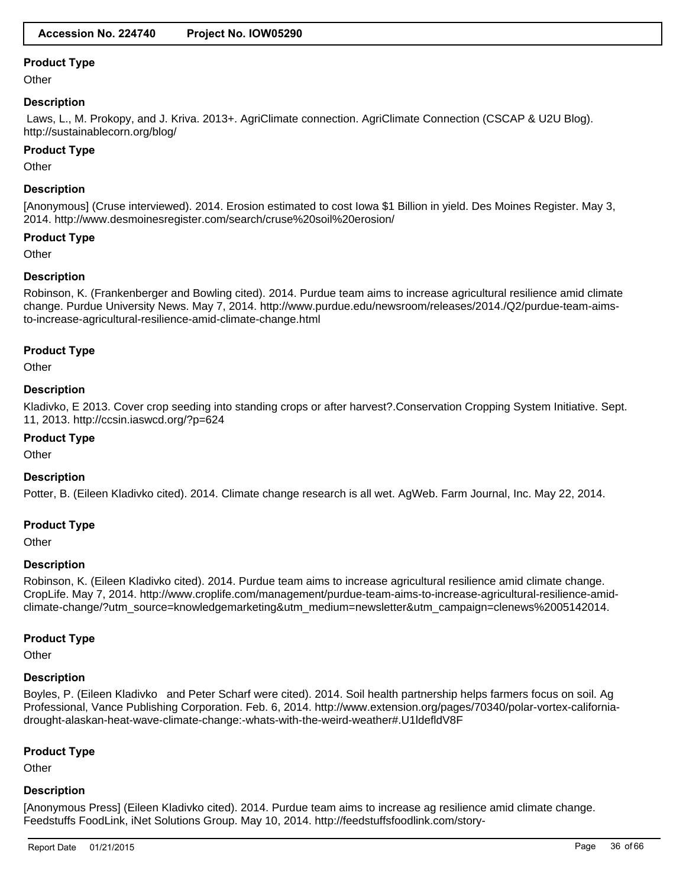**Other** 

# **Description**

 Laws, L., M. Prokopy, and J. Kriva. 2013+. AgriClimate connection. AgriClimate Connection (CSCAP & U2U Blog). http://sustainablecorn.org/blog/

#### **Product Type**

**Other** 

### **Description**

[Anonymous] (Cruse interviewed). 2014. Erosion estimated to cost Iowa \$1 Billion in yield. Des Moines Register. May 3, 2014. http://www.desmoinesregister.com/search/cruse%20soil%20erosion/

### **Product Type**

**Other** 

# **Description**

Robinson, K. (Frankenberger and Bowling cited). 2014. Purdue team aims to increase agricultural resilience amid climate change. Purdue University News. May 7, 2014. http://www.purdue.edu/newsroom/releases/2014./Q2/purdue-team-aimsto-increase-agricultural-resilience-amid-climate-change.html

#### **Product Type**

**Other** 

#### **Description**

Kladivko, E 2013. Cover crop seeding into standing crops or after harvest?.Conservation Cropping System Initiative. Sept. 11, 2013. http://ccsin.iaswcd.org/?p=624

### **Product Type**

**Other** 

#### **Description**

Potter, B. (Eileen Kladivko cited). 2014. Climate change research is all wet. AgWeb. Farm Journal, Inc. May 22, 2014.

#### **Product Type**

**Other** 

#### **Description**

Robinson, K. (Eileen Kladivko cited). 2014. Purdue team aims to increase agricultural resilience amid climate change. CropLife. May 7, 2014. http://www.croplife.com/management/purdue-team-aims-to-increase-agricultural-resilience-amidclimate-change/?utm\_source=knowledgemarketing&utm\_medium=newsletter&utm\_campaign=clenews%2005142014.

#### **Product Type**

**Other** 

#### **Description**

Boyles, P. (Eileen Kladivko and Peter Scharf were cited). 2014. Soil health partnership helps farmers focus on soil. Ag Professional, Vance Publishing Corporation. Feb. 6, 2014. http://www.extension.org/pages/70340/polar-vortex-californiadrought-alaskan-heat-wave-climate-change:-whats-with-the-weird-weather#.U1ldefldV8F

#### **Product Type**

**Other** 

#### **Description**

[Anonymous Press] (Eileen Kladivko cited). 2014. Purdue team aims to increase ag resilience amid climate change. Feedstuffs FoodLink, iNet Solutions Group. May 10, 2014. http://feedstuffsfoodlink.com/story-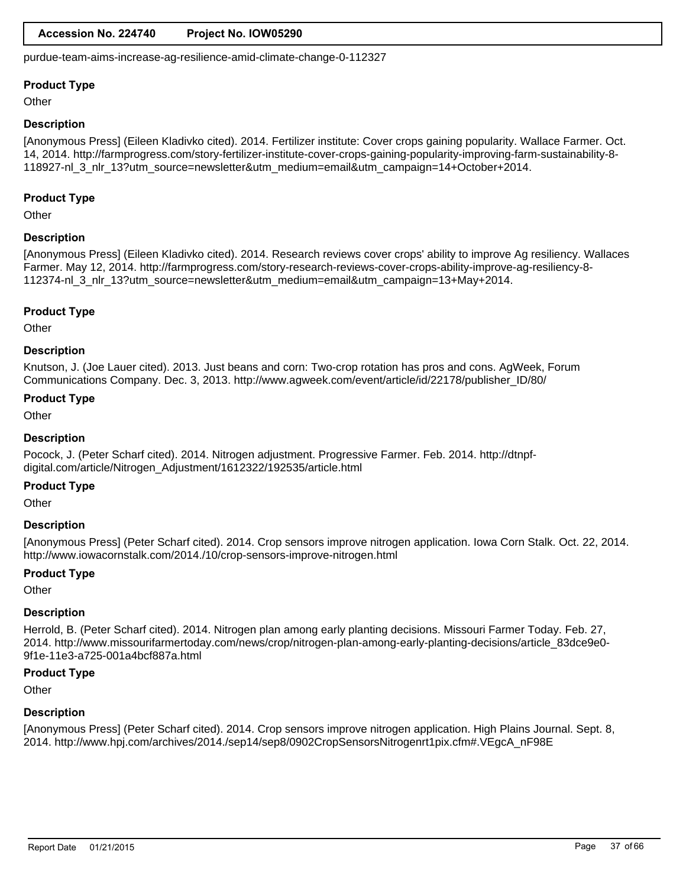# **Accession No. 224740 Project No. IOW05290**

purdue-team-aims-increase-ag-resilience-amid-climate-change-0-112327

### **Product Type**

**Other** 

### **Description**

[Anonymous Press] (Eileen Kladivko cited). 2014. Fertilizer institute: Cover crops gaining popularity. Wallace Farmer. Oct. 14, 2014. http://farmprogress.com/story-fertilizer-institute-cover-crops-gaining-popularity-improving-farm-sustainability-8- 118927-nl\_3\_nlr\_13?utm\_source=newsletter&utm\_medium=email&utm\_campaign=14+October+2014.

### **Product Type**

**Other** 

# **Description**

[Anonymous Press] (Eileen Kladivko cited). 2014. Research reviews cover crops' ability to improve Ag resiliency. Wallaces Farmer. May 12, 2014. http://farmprogress.com/story-research-reviews-cover-crops-ability-improve-ag-resiliency-8- 112374-nl\_3\_nlr\_13?utm\_source=newsletter&utm\_medium=email&utm\_campaign=13+May+2014.

# **Product Type**

**Other** 

# **Description**

Knutson, J. (Joe Lauer cited). 2013. Just beans and corn: Two-crop rotation has pros and cons. AgWeek, Forum Communications Company. Dec. 3, 2013. http://www.agweek.com/event/article/id/22178/publisher\_ID/80/

# **Product Type**

**Other** 

# **Description**

Pocock, J. (Peter Scharf cited). 2014. Nitrogen adjustment. Progressive Farmer. Feb. 2014. http://dtnpfdigital.com/article/Nitrogen\_Adjustment/1612322/192535/article.html

# **Product Type**

**Other** 

# **Description**

[Anonymous Press] (Peter Scharf cited). 2014. Crop sensors improve nitrogen application. Iowa Corn Stalk. Oct. 22, 2014. http://www.iowacornstalk.com/2014./10/crop-sensors-improve-nitrogen.html

# **Product Type**

**Other** 

# **Description**

Herrold, B. (Peter Scharf cited). 2014. Nitrogen plan among early planting decisions. Missouri Farmer Today. Feb. 27, 2014. http://www.missourifarmertoday.com/news/crop/nitrogen-plan-among-early-planting-decisions/article\_83dce9e0- 9f1e-11e3-a725-001a4bcf887a.html

#### **Product Type**

**Other** 

# **Description**

[Anonymous Press] (Peter Scharf cited). 2014. Crop sensors improve nitrogen application. High Plains Journal. Sept. 8, 2014. http://www.hpj.com/archives/2014./sep14/sep8/0902CropSensorsNitrogenrt1pix.cfm#.VEgcA\_nF98E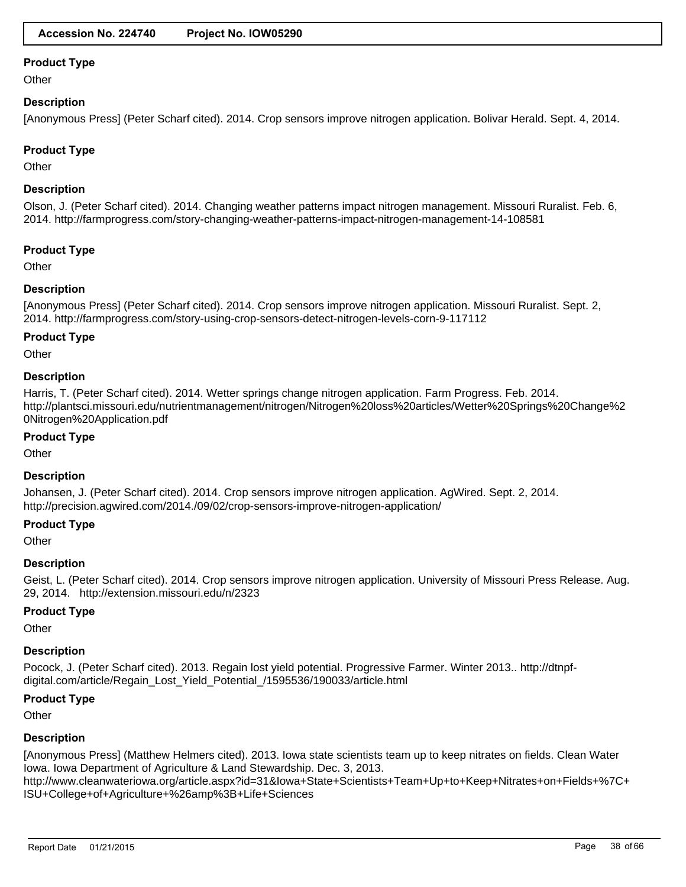**Other** 

### **Description**

[Anonymous Press] (Peter Scharf cited). 2014. Crop sensors improve nitrogen application. Bolivar Herald. Sept. 4, 2014.

# **Product Type**

**Other** 

# **Description**

Olson, J. (Peter Scharf cited). 2014. Changing weather patterns impact nitrogen management. Missouri Ruralist. Feb. 6, 2014. http://farmprogress.com/story-changing-weather-patterns-impact-nitrogen-management-14-108581

# **Product Type**

**Other** 

# **Description**

[Anonymous Press] (Peter Scharf cited). 2014. Crop sensors improve nitrogen application. Missouri Ruralist. Sept. 2, 2014. http://farmprogress.com/story-using-crop-sensors-detect-nitrogen-levels-corn-9-117112

#### **Product Type**

**Other** 

#### **Description**

Harris, T. (Peter Scharf cited). 2014. Wetter springs change nitrogen application. Farm Progress. Feb. 2014. http://plantsci.missouri.edu/nutrientmanagement/nitrogen/Nitrogen%20loss%20articles/Wetter%20Springs%20Change%2 0Nitrogen%20Application.pdf

#### **Product Type**

**Other** 

#### **Description**

Johansen, J. (Peter Scharf cited). 2014. Crop sensors improve nitrogen application. AgWired. Sept. 2, 2014. http://precision.agwired.com/2014./09/02/crop-sensors-improve-nitrogen-application/

#### **Product Type**

**Other** 

#### **Description**

Geist, L. (Peter Scharf cited). 2014. Crop sensors improve nitrogen application. University of Missouri Press Release. Aug. 29, 2014. http://extension.missouri.edu/n/2323

#### **Product Type**

**Other** 

#### **Description**

Pocock, J. (Peter Scharf cited). 2013. Regain lost yield potential. Progressive Farmer. Winter 2013.. http://dtnpfdigital.com/article/Regain\_Lost\_Yield\_Potential\_/1595536/190033/article.html

# **Product Type**

**Other** 

# **Description**

[Anonymous Press] (Matthew Helmers cited). 2013. Iowa state scientists team up to keep nitrates on fields. Clean Water Iowa. Iowa Department of Agriculture & Land Stewardship. Dec. 3, 2013. http://www.cleanwateriowa.org/article.aspx?id=31&Iowa+State+Scientists+Team+Up+to+Keep+Nitrates+on+Fields+%7C+ ISU+College+of+Agriculture+%26amp%3B+Life+Sciences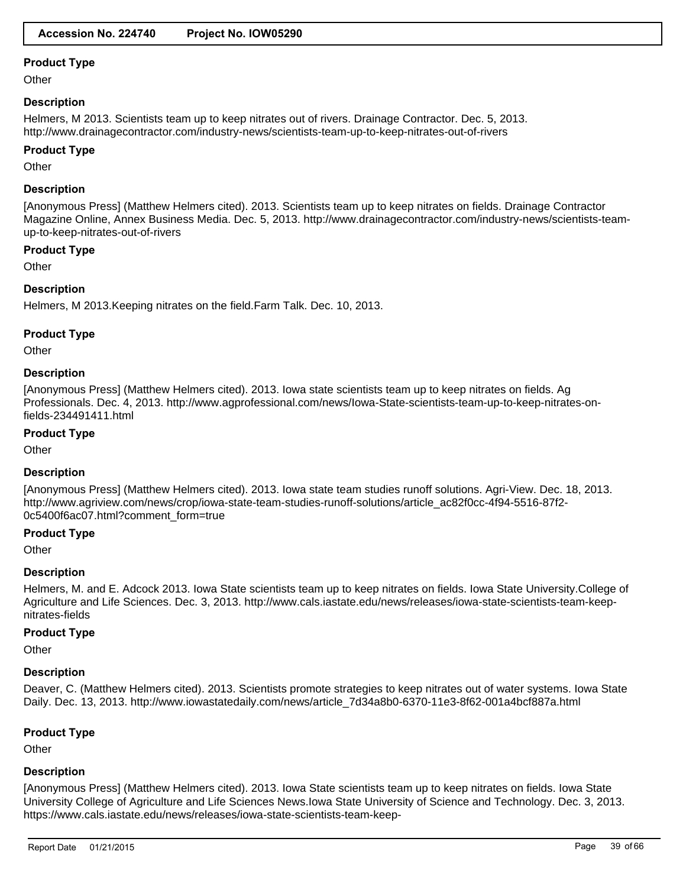**Other** 

# **Description**

Helmers, M 2013. Scientists team up to keep nitrates out of rivers. Drainage Contractor. Dec. 5, 2013. http://www.drainagecontractor.com/industry-news/scientists-team-up-to-keep-nitrates-out-of-rivers

### **Product Type**

**Other** 

# **Description**

[Anonymous Press] (Matthew Helmers cited). 2013. Scientists team up to keep nitrates on fields. Drainage Contractor Magazine Online, Annex Business Media. Dec. 5, 2013. http://www.drainagecontractor.com/industry-news/scientists-teamup-to-keep-nitrates-out-of-rivers

# **Product Type**

**Other** 

# **Description**

Helmers, M 2013.Keeping nitrates on the field.Farm Talk. Dec. 10, 2013.

#### **Product Type**

**Other** 

# **Description**

[Anonymous Press] (Matthew Helmers cited). 2013. Iowa state scientists team up to keep nitrates on fields. Ag Professionals. Dec. 4, 2013. http://www.agprofessional.com/news/Iowa-State-scientists-team-up-to-keep-nitrates-onfields-234491411.html

# **Product Type**

**Other** 

#### **Description**

[Anonymous Press] (Matthew Helmers cited). 2013. Iowa state team studies runoff solutions. Agri-View. Dec. 18, 2013. http://www.agriview.com/news/crop/iowa-state-team-studies-runoff-solutions/article\_ac82f0cc-4f94-5516-87f2-0c5400f6ac07.html?comment\_form=true

# **Product Type**

**Other** 

#### **Description**

Helmers, M. and E. Adcock 2013. Iowa State scientists team up to keep nitrates on fields. Iowa State University.College of Agriculture and Life Sciences. Dec. 3, 2013. http://www.cals.iastate.edu/news/releases/iowa-state-scientists-team-keepnitrates-fields

#### **Product Type**

**Other** 

# **Description**

Deaver, C. (Matthew Helmers cited). 2013. Scientists promote strategies to keep nitrates out of water systems. Iowa State Daily. Dec. 13, 2013. http://www.iowastatedaily.com/news/article\_7d34a8b0-6370-11e3-8f62-001a4bcf887a.html

# **Product Type**

**Other** 

# **Description**

[Anonymous Press] (Matthew Helmers cited). 2013. Iowa State scientists team up to keep nitrates on fields. Iowa State University College of Agriculture and Life Sciences News.Iowa State University of Science and Technology. Dec. 3, 2013. https://www.cals.iastate.edu/news/releases/iowa-state-scientists-team-keep-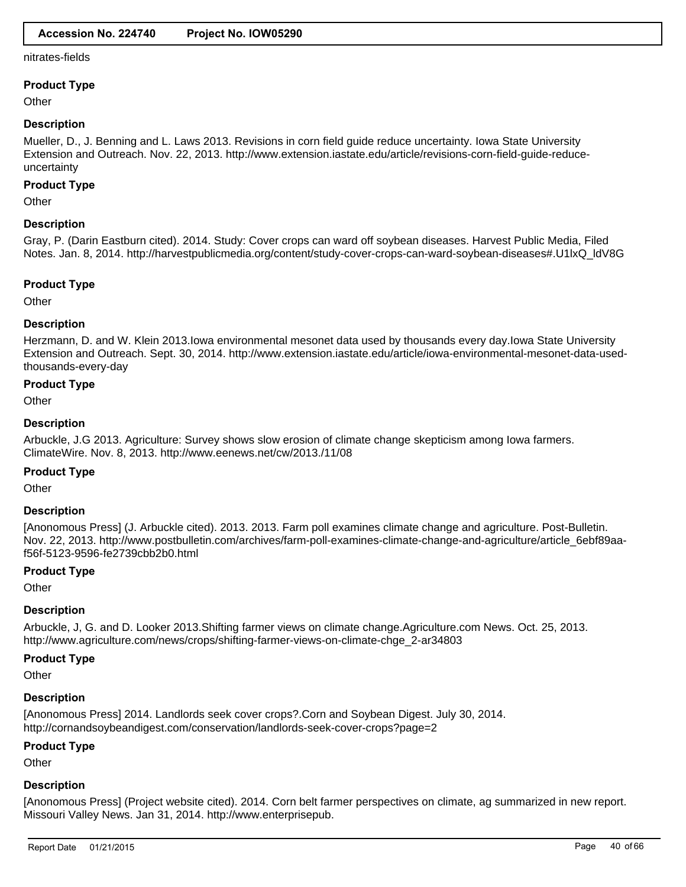#### nitrates-fields

#### **Product Type**

**Other** 

#### **Description**

Mueller, D., J. Benning and L. Laws 2013. Revisions in corn field guide reduce uncertainty. Iowa State University Extension and Outreach. Nov. 22, 2013. http://www.extension.iastate.edu/article/revisions-corn-field-guide-reduceuncertainty

#### **Product Type**

**Other** 

#### **Description**

Gray, P. (Darin Eastburn cited). 2014. Study: Cover crops can ward off soybean diseases. Harvest Public Media, Filed Notes. Jan. 8, 2014. http://harvestpublicmedia.org/content/study-cover-crops-can-ward-soybean-diseases#.U1lxQ\_ldV8G

#### **Product Type**

**Other** 

#### **Description**

Herzmann, D. and W. Klein 2013.Iowa environmental mesonet data used by thousands every day.Iowa State University Extension and Outreach. Sept. 30, 2014. http://www.extension.iastate.edu/article/iowa-environmental-mesonet-data-usedthousands-every-day

#### **Product Type**

**Other** 

#### **Description**

Arbuckle, J.G 2013. Agriculture: Survey shows slow erosion of climate change skepticism among Iowa farmers. ClimateWire. Nov. 8, 2013. http://www.eenews.net/cw/2013./11/08

#### **Product Type**

**Other** 

#### **Description**

[Anonomous Press] (J. Arbuckle cited). 2013. 2013. Farm poll examines climate change and agriculture. Post-Bulletin. Nov. 22, 2013. http://www.postbulletin.com/archives/farm-poll-examines-climate-change-and-agriculture/article\_6ebf89aaf56f-5123-9596-fe2739cbb2b0.html

#### **Product Type**

**Other** 

#### **Description**

Arbuckle, J, G. and D. Looker 2013.Shifting farmer views on climate change.Agriculture.com News. Oct. 25, 2013. http://www.agriculture.com/news/crops/shifting-farmer-views-on-climate-chge\_2-ar34803

#### **Product Type**

**Other** 

#### **Description**

[Anonomous Press] 2014. Landlords seek cover crops?.Corn and Soybean Digest. July 30, 2014. http://cornandsoybeandigest.com/conservation/landlords-seek-cover-crops?page=2

#### **Product Type**

**Other** 

#### **Description**

[Anonomous Press] (Project website cited). 2014. Corn belt farmer perspectives on climate, ag summarized in new report. Missouri Valley News. Jan 31, 2014. http://www.enterprisepub.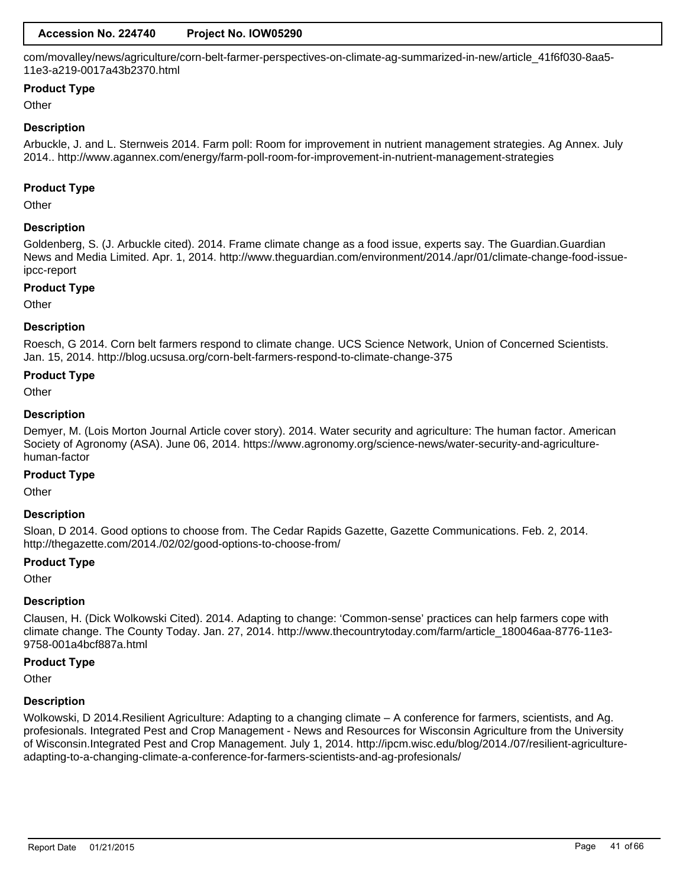com/movalley/news/agriculture/corn-belt-farmer-perspectives-on-climate-ag-summarized-in-new/article\_41f6f030-8aa5- 11e3-a219-0017a43b2370.html

# **Product Type**

**Other** 

### **Description**

Arbuckle, J. and L. Sternweis 2014. Farm poll: Room for improvement in nutrient management strategies. Ag Annex. July 2014.. http://www.agannex.com/energy/farm-poll-room-for-improvement-in-nutrient-management-strategies

#### **Product Type**

**Other** 

# **Description**

Goldenberg, S. (J. Arbuckle cited). 2014. Frame climate change as a food issue, experts say. The Guardian.Guardian News and Media Limited. Apr. 1, 2014. http://www.theguardian.com/environment/2014./apr/01/climate-change-food-issueipcc-report

#### **Product Type**

**Other** 

# **Description**

Roesch, G 2014. Corn belt farmers respond to climate change. UCS Science Network, Union of Concerned Scientists. Jan. 15, 2014. http://blog.ucsusa.org/corn-belt-farmers-respond-to-climate-change-375

#### **Product Type**

**Other** 

# **Description**

Demyer, M. (Lois Morton Journal Article cover story). 2014. Water security and agriculture: The human factor. American Society of Agronomy (ASA). June 06, 2014. https://www.agronomy.org/science-news/water-security-and-agriculturehuman-factor

#### **Product Type**

**Other** 

# **Description**

Sloan, D 2014. Good options to choose from. The Cedar Rapids Gazette, Gazette Communications. Feb. 2, 2014. http://thegazette.com/2014./02/02/good-options-to-choose-from/

#### **Product Type**

**Other** 

#### **Description**

Clausen, H. (Dick Wolkowski Cited). 2014. Adapting to change: 'Common-sense' practices can help farmers cope with climate change. The County Today. Jan. 27, 2014. http://www.thecountrytoday.com/farm/article\_180046aa-8776-11e3- 9758-001a4bcf887a.html

#### **Product Type**

**Other** 

#### **Description**

Wolkowski, D 2014. Resilient Agriculture: Adapting to a changing climate – A conference for farmers, scientists, and Ag. profesionals. Integrated Pest and Crop Management - News and Resources for Wisconsin Agriculture from the University of Wisconsin.Integrated Pest and Crop Management. July 1, 2014. http://ipcm.wisc.edu/blog/2014./07/resilient-agricultureadapting-to-a-changing-climate-a-conference-for-farmers-scientists-and-ag-profesionals/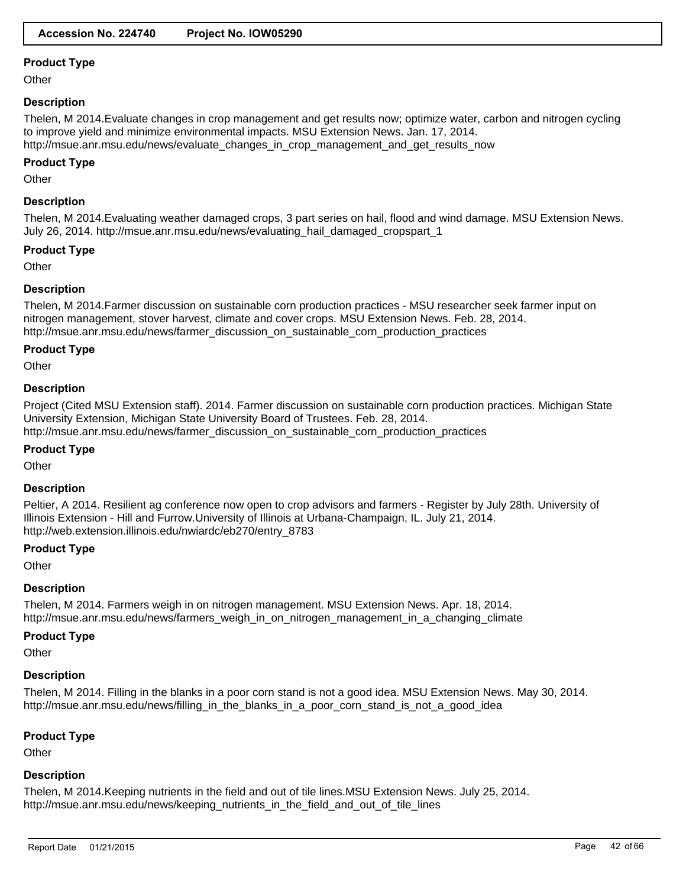**Other** 

# **Description**

Thelen, M 2014.Evaluate changes in crop management and get results now; optimize water, carbon and nitrogen cycling to improve yield and minimize environmental impacts. MSU Extension News. Jan. 17, 2014. http://msue.anr.msu.edu/news/evaluate\_changes\_in\_crop\_management\_and\_get\_results\_now

### **Product Type**

**Other** 

# **Description**

Thelen, M 2014.Evaluating weather damaged crops, 3 part series on hail, flood and wind damage. MSU Extension News. July 26, 2014. http://msue.anr.msu.edu/news/evaluating\_hail\_damaged\_cropspart\_1

#### **Product Type**

**Other** 

# **Description**

Thelen, M 2014.Farmer discussion on sustainable corn production practices - MSU researcher seek farmer input on nitrogen management, stover harvest, climate and cover crops. MSU Extension News. Feb. 28, 2014. http://msue.anr.msu.edu/news/farmer\_discussion\_on\_sustainable\_corn\_production\_practices

#### **Product Type**

**Other** 

#### **Description**

Project (Cited MSU Extension staff). 2014. Farmer discussion on sustainable corn production practices. Michigan State University Extension, Michigan State University Board of Trustees. Feb. 28, 2014. http://msue.anr.msu.edu/news/farmer\_discussion\_on\_sustainable\_corn\_production\_practices

#### **Product Type**

**Other** 

#### **Description**

Peltier, A 2014. Resilient ag conference now open to crop advisors and farmers - Register by July 28th. University of Illinois Extension - Hill and Furrow.University of Illinois at Urbana-Champaign, IL. July 21, 2014. http://web.extension.illinois.edu/nwiardc/eb270/entry\_8783

#### **Product Type**

**Other** 

#### **Description**

Thelen, M 2014. Farmers weigh in on nitrogen management. MSU Extension News. Apr. 18, 2014. http://msue.anr.msu.edu/news/farmers\_weigh\_in\_on\_nitrogen\_management\_in\_a\_changing\_climate

#### **Product Type**

**Other** 

#### **Description**

Thelen, M 2014. Filling in the blanks in a poor corn stand is not a good idea. MSU Extension News. May 30, 2014. http://msue.anr.msu.edu/news/filling\_in\_the\_blanks\_in\_a\_poor\_corn\_stand\_is\_not\_a\_good\_idea

#### **Product Type**

**Other** 

#### **Description**

Thelen, M 2014.Keeping nutrients in the field and out of tile lines.MSU Extension News. July 25, 2014. http://msue.anr.msu.edu/news/keeping\_nutrients\_in\_the\_field\_and\_out\_of\_tile\_lines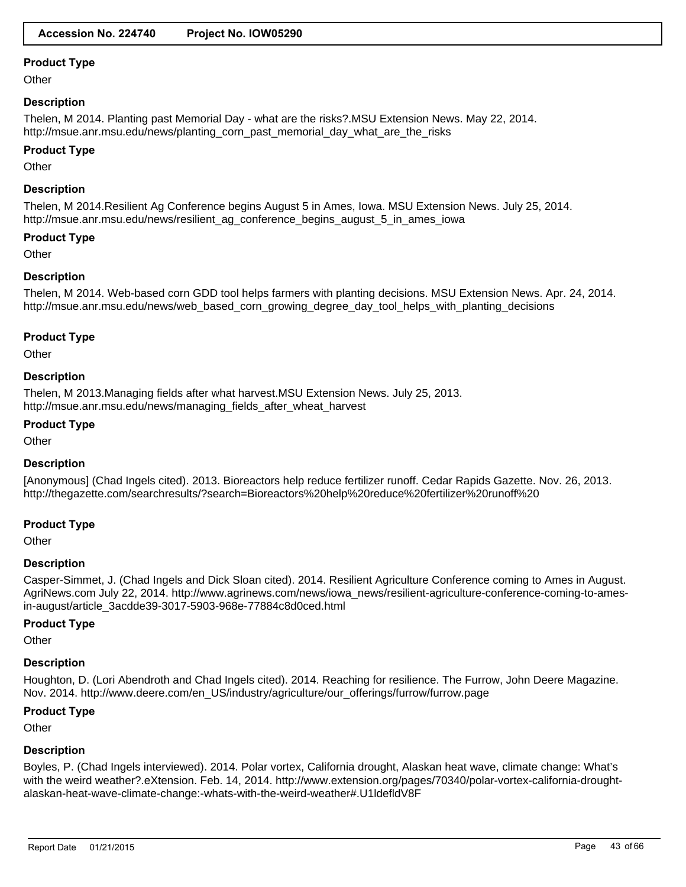**Other** 

# **Description**

Thelen, M 2014. Planting past Memorial Day - what are the risks?.MSU Extension News. May 22, 2014. http://msue.anr.msu.edu/news/planting\_corn\_past\_memorial\_day\_what\_are\_the\_risks

#### **Product Type**

**Other** 

#### **Description**

Thelen, M 2014.Resilient Ag Conference begins August 5 in Ames, Iowa. MSU Extension News. July 25, 2014. http://msue.anr.msu.edu/news/resilient\_ag\_conference\_begins\_august\_5\_in\_ames\_iowa

# **Product Type**

**Other** 

# **Description**

Thelen, M 2014. Web-based corn GDD tool helps farmers with planting decisions. MSU Extension News. Apr. 24, 2014. http://msue.anr.msu.edu/news/web\_based\_corn\_growing\_degree\_day\_tool\_helps\_with\_planting\_decisions

#### **Product Type**

**Other** 

#### **Description**

Thelen, M 2013.Managing fields after what harvest.MSU Extension News. July 25, 2013. http://msue.anr.msu.edu/news/managing\_fields\_after\_wheat\_harvest

#### **Product Type**

**Other** 

#### **Description**

[Anonymous] (Chad Ingels cited). 2013. Bioreactors help reduce fertilizer runoff. Cedar Rapids Gazette. Nov. 26, 2013. http://thegazette.com/searchresults/?search=Bioreactors%20help%20reduce%20fertilizer%20runoff%20

#### **Product Type**

**Other** 

#### **Description**

Casper-Simmet, J. (Chad Ingels and Dick Sloan cited). 2014. Resilient Agriculture Conference coming to Ames in August. AgriNews.com July 22, 2014. http://www.agrinews.com/news/iowa\_news/resilient-agriculture-conference-coming-to-amesin-august/article\_3acdde39-3017-5903-968e-77884c8d0ced.html

#### **Product Type**

Other

#### **Description**

Houghton, D. (Lori Abendroth and Chad Ingels cited). 2014. Reaching for resilience. The Furrow, John Deere Magazine. Nov. 2014. http://www.deere.com/en\_US/industry/agriculture/our\_offerings/furrow/furrow.page

#### **Product Type**

**Other** 

#### **Description**

Boyles, P. (Chad Ingels interviewed). 2014. Polar vortex, California drought, Alaskan heat wave, climate change: What's with the weird weather?.eXtension. Feb. 14, 2014. http://www.extension.org/pages/70340/polar-vortex-california-droughtalaskan-heat-wave-climate-change:-whats-with-the-weird-weather#.U1ldefldV8F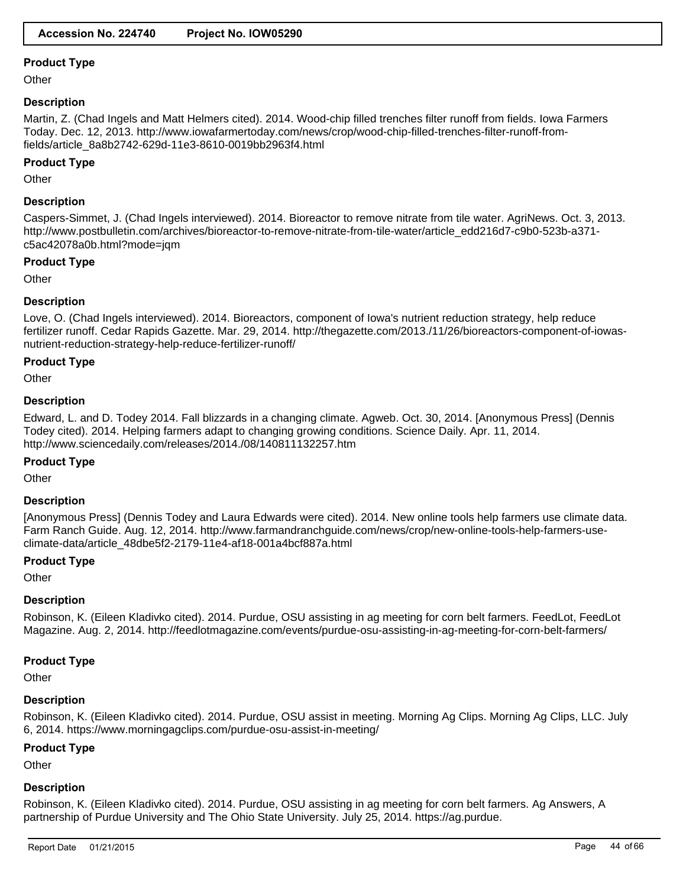**Other** 

### **Description**

Martin, Z. (Chad Ingels and Matt Helmers cited). 2014. Wood-chip filled trenches filter runoff from fields. Iowa Farmers Today. Dec. 12, 2013. http://www.iowafarmertoday.com/news/crop/wood-chip-filled-trenches-filter-runoff-fromfields/article\_8a8b2742-629d-11e3-8610-0019bb2963f4.html

# **Product Type**

**Other** 

# **Description**

Caspers-Simmet, J. (Chad Ingels interviewed). 2014. Bioreactor to remove nitrate from tile water. AgriNews. Oct. 3, 2013. http://www.postbulletin.com/archives/bioreactor-to-remove-nitrate-from-tile-water/article\_edd216d7-c9b0-523b-a371 c5ac42078a0b.html?mode=jqm

#### **Product Type**

**Other** 

# **Description**

Love, O. (Chad Ingels interviewed). 2014. Bioreactors, component of Iowa's nutrient reduction strategy, help reduce fertilizer runoff. Cedar Rapids Gazette. Mar. 29, 2014. http://thegazette.com/2013./11/26/bioreactors-component-of-iowasnutrient-reduction-strategy-help-reduce-fertilizer-runoff/

# **Product Type**

**Other** 

# **Description**

Edward, L. and D. Todey 2014. Fall blizzards in a changing climate. Agweb. Oct. 30, 2014. [Anonymous Press] (Dennis Todey cited). 2014. Helping farmers adapt to changing growing conditions. Science Daily. Apr. 11, 2014. http://www.sciencedaily.com/releases/2014./08/140811132257.htm

#### **Product Type**

**Other** 

# **Description**

[Anonymous Press] (Dennis Todey and Laura Edwards were cited). 2014. New online tools help farmers use climate data. Farm Ranch Guide. Aug. 12, 2014. http://www.farmandranchguide.com/news/crop/new-online-tools-help-farmers-useclimate-data/article\_48dbe5f2-2179-11e4-af18-001a4bcf887a.html

#### **Product Type**

**Other** 

#### **Description**

Robinson, K. (Eileen Kladivko cited). 2014. Purdue, OSU assisting in ag meeting for corn belt farmers. FeedLot, FeedLot Magazine. Aug. 2, 2014. http://feedlotmagazine.com/events/purdue-osu-assisting-in-ag-meeting-for-corn-belt-farmers/

# **Product Type**

**Other** 

# **Description**

Robinson, K. (Eileen Kladivko cited). 2014. Purdue, OSU assist in meeting. Morning Ag Clips. Morning Ag Clips, LLC. July 6, 2014. https://www.morningagclips.com/purdue-osu-assist-in-meeting/

#### **Product Type**

**Other** 

### **Description**

Robinson, K. (Eileen Kladivko cited). 2014. Purdue, OSU assisting in ag meeting for corn belt farmers. Ag Answers, A partnership of Purdue University and The Ohio State University. July 25, 2014. https://ag.purdue.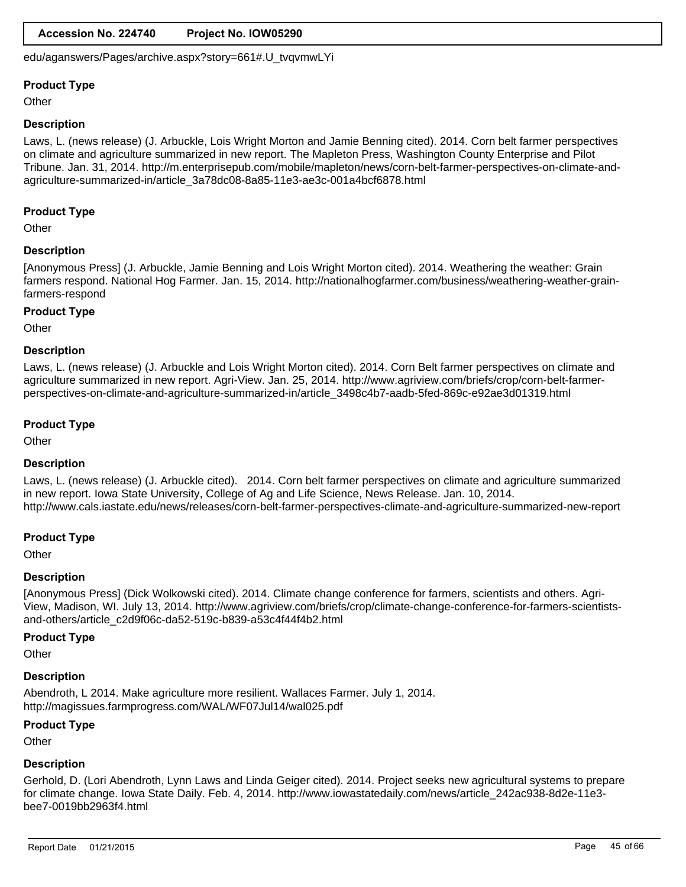# **Accession No. 224740 Project No. IOW05290**

edu/aganswers/Pages/archive.aspx?story=661#.U\_tvqvmwLYi

### **Product Type**

**Other** 

#### **Description**

Laws, L. (news release) (J. Arbuckle, Lois Wright Morton and Jamie Benning cited). 2014. Corn belt farmer perspectives on climate and agriculture summarized in new report. The Mapleton Press, Washington County Enterprise and Pilot Tribune. Jan. 31, 2014. http://m.enterprisepub.com/mobile/mapleton/news/corn-belt-farmer-perspectives-on-climate-andagriculture-summarized-in/article\_3a78dc08-8a85-11e3-ae3c-001a4bcf6878.html

# **Product Type**

**Other** 

#### **Description**

[Anonymous Press] (J. Arbuckle, Jamie Benning and Lois Wright Morton cited). 2014. Weathering the weather: Grain farmers respond. National Hog Farmer. Jan. 15, 2014. http://nationalhogfarmer.com/business/weathering-weather-grainfarmers-respond

#### **Product Type**

**Other** 

#### **Description**

Laws, L. (news release) (J. Arbuckle and Lois Wright Morton cited). 2014. Corn Belt farmer perspectives on climate and agriculture summarized in new report. Agri-View. Jan. 25, 2014. http://www.agriview.com/briefs/crop/corn-belt-farmerperspectives-on-climate-and-agriculture-summarized-in/article\_3498c4b7-aadb-5fed-869c-e92ae3d01319.html

#### **Product Type**

**Other** 

#### **Description**

Laws, L. (news release) (J. Arbuckle cited). 2014. Corn belt farmer perspectives on climate and agriculture summarized in new report. Iowa State University, College of Ag and Life Science, News Release. Jan. 10, 2014. http://www.cals.iastate.edu/news/releases/corn-belt-farmer-perspectives-climate-and-agriculture-summarized-new-report

#### **Product Type**

**Other** 

#### **Description**

[Anonymous Press] (Dick Wolkowski cited). 2014. Climate change conference for farmers, scientists and others. Agri-View, Madison, WI. July 13, 2014. http://www.agriview.com/briefs/crop/climate-change-conference-for-farmers-scientistsand-others/article\_c2d9f06c-da52-519c-b839-a53c4f44f4b2.html

#### **Product Type**

**Other** 

#### **Description**

Abendroth, L 2014. Make agriculture more resilient. Wallaces Farmer. July 1, 2014. http://magissues.farmprogress.com/WAL/WF07Jul14/wal025.pdf

#### **Product Type**

**Other** 

# **Description**

Gerhold, D. (Lori Abendroth, Lynn Laws and Linda Geiger cited). 2014. Project seeks new agricultural systems to prepare for climate change. Iowa State Daily. Feb. 4, 2014. http://www.iowastatedaily.com/news/article\_242ac938-8d2e-11e3 bee7-0019bb2963f4.html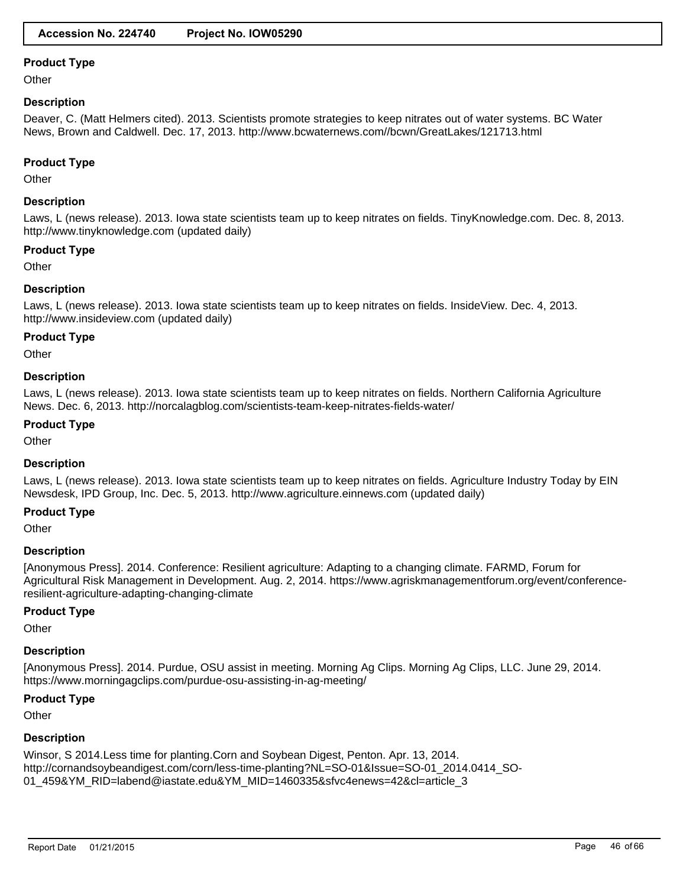**Other** 

### **Description**

Deaver, C. (Matt Helmers cited). 2013. Scientists promote strategies to keep nitrates out of water systems. BC Water News, Brown and Caldwell. Dec. 17, 2013. http://www.bcwaternews.com//bcwn/GreatLakes/121713.html

#### **Product Type**

**Other** 

### **Description**

Laws, L (news release). 2013. Iowa state scientists team up to keep nitrates on fields. TinyKnowledge.com. Dec. 8, 2013. http://www.tinyknowledge.com (updated daily)

#### **Product Type**

**Other** 

# **Description**

Laws, L (news release). 2013. Iowa state scientists team up to keep nitrates on fields. InsideView. Dec. 4, 2013. http://www.insideview.com (updated daily)

#### **Product Type**

**Other** 

# **Description**

Laws, L (news release). 2013. Iowa state scientists team up to keep nitrates on fields. Northern California Agriculture News. Dec. 6, 2013. http://norcalagblog.com/scientists-team-keep-nitrates-fields-water/

#### **Product Type**

**Other** 

#### **Description**

Laws, L (news release). 2013. Iowa state scientists team up to keep nitrates on fields. Agriculture Industry Today by EIN Newsdesk, IPD Group, Inc. Dec. 5, 2013. http://www.agriculture.einnews.com (updated daily)

#### **Product Type**

**Other** 

#### **Description**

[Anonymous Press]. 2014. Conference: Resilient agriculture: Adapting to a changing climate. FARMD, Forum for Agricultural Risk Management in Development. Aug. 2, 2014. https://www.agriskmanagementforum.org/event/conferenceresilient-agriculture-adapting-changing-climate

#### **Product Type**

**Other** 

#### **Description**

[Anonymous Press]. 2014. Purdue, OSU assist in meeting. Morning Ag Clips. Morning Ag Clips, LLC. June 29, 2014. https://www.morningagclips.com/purdue-osu-assisting-in-ag-meeting/

# **Product Type**

**Other** 

#### **Description**

Winsor, S 2014.Less time for planting.Corn and Soybean Digest, Penton. Apr. 13, 2014. http://cornandsoybeandigest.com/corn/less-time-planting?NL=SO-01&Issue=SO-01\_2014.0414\_SO-01\_459&YM\_RID=labend@iastate.edu&YM\_MID=1460335&sfvc4enews=42&cl=article\_3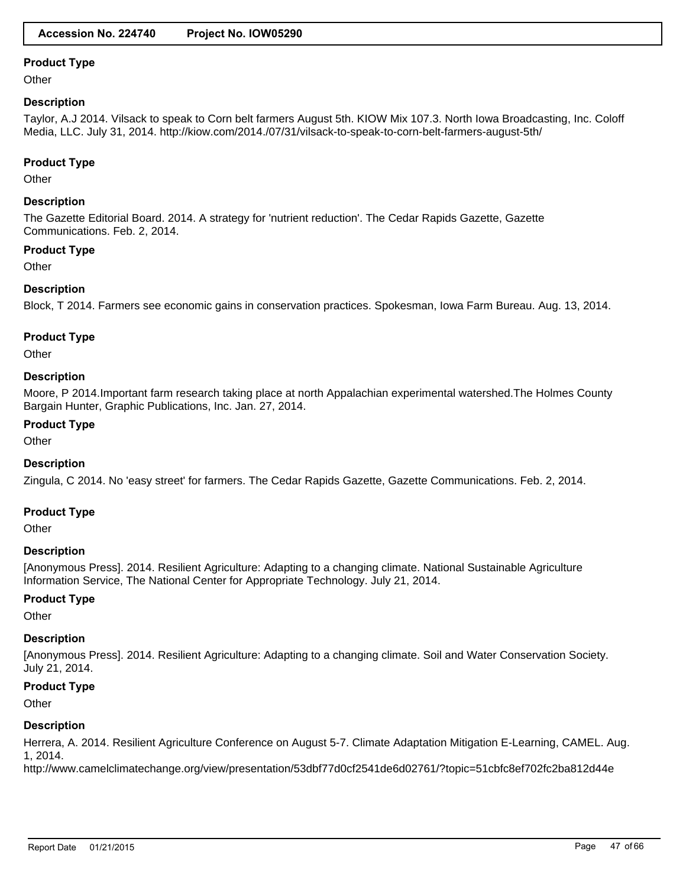**Other** 

### **Description**

Taylor, A.J 2014. Vilsack to speak to Corn belt farmers August 5th. KIOW Mix 107.3. North Iowa Broadcasting, Inc. Coloff Media, LLC. July 31, 2014. http://kiow.com/2014./07/31/vilsack-to-speak-to-corn-belt-farmers-august-5th/

#### **Product Type**

**Other** 

# **Description**

The Gazette Editorial Board. 2014. A strategy for 'nutrient reduction'. The Cedar Rapids Gazette, Gazette Communications. Feb. 2, 2014.

#### **Product Type**

**Other** 

# **Description**

Block, T 2014. Farmers see economic gains in conservation practices. Spokesman, Iowa Farm Bureau. Aug. 13, 2014.

#### **Product Type**

**Other** 

# **Description**

Moore, P 2014.Important farm research taking place at north Appalachian experimental watershed.The Holmes County Bargain Hunter, Graphic Publications, Inc. Jan. 27, 2014.

# **Product Type**

**Other** 

#### **Description**

Zingula, C 2014. No 'easy street' for farmers. The Cedar Rapids Gazette, Gazette Communications. Feb. 2, 2014.

# **Product Type**

**Other** 

### **Description**

[Anonymous Press]. 2014. Resilient Agriculture: Adapting to a changing climate. National Sustainable Agriculture Information Service, The National Center for Appropriate Technology. July 21, 2014.

#### **Product Type**

**Other** 

#### **Description**

[Anonymous Press]. 2014. Resilient Agriculture: Adapting to a changing climate. Soil and Water Conservation Society. July 21, 2014.

#### **Product Type**

**Other** 

#### **Description**

Herrera, A. 2014. Resilient Agriculture Conference on August 5-7. Climate Adaptation Mitigation E-Learning, CAMEL. Aug. 1, 2014.

http://www.camelclimatechange.org/view/presentation/53dbf77d0cf2541de6d02761/?topic=51cbfc8ef702fc2ba812d44e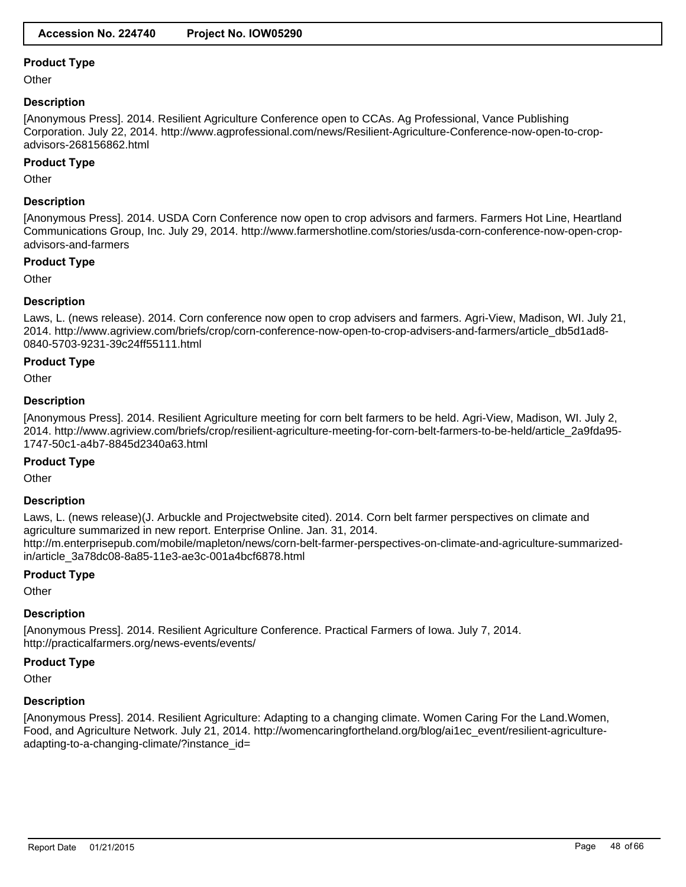**Other** 

### **Description**

[Anonymous Press]. 2014. Resilient Agriculture Conference open to CCAs. Ag Professional, Vance Publishing Corporation. July 22, 2014. http://www.agprofessional.com/news/Resilient-Agriculture-Conference-now-open-to-cropadvisors-268156862.html

### **Product Type**

**Other** 

# **Description**

[Anonymous Press]. 2014. USDA Corn Conference now open to crop advisors and farmers. Farmers Hot Line, Heartland Communications Group, Inc. July 29, 2014. http://www.farmershotline.com/stories/usda-corn-conference-now-open-cropadvisors-and-farmers

#### **Product Type**

**Other** 

# **Description**

Laws, L. (news release). 2014. Corn conference now open to crop advisers and farmers. Agri-View, Madison, WI. July 21, 2014. http://www.agriview.com/briefs/crop/corn-conference-now-open-to-crop-advisers-and-farmers/article\_db5d1ad8- 0840-5703-9231-39c24ff55111.html

# **Product Type**

**Other** 

# **Description**

[Anonymous Press]. 2014. Resilient Agriculture meeting for corn belt farmers to be held. Agri-View, Madison, WI. July 2, 2014. http://www.agriview.com/briefs/crop/resilient-agriculture-meeting-for-corn-belt-farmers-to-be-held/article\_2a9fda95- 1747-50c1-a4b7-8845d2340a63.html

#### **Product Type**

**Other** 

#### **Description**

Laws, L. (news release)(J. Arbuckle and Projectwebsite cited). 2014. Corn belt farmer perspectives on climate and agriculture summarized in new report. Enterprise Online. Jan. 31, 2014. http://m.enterprisepub.com/mobile/mapleton/news/corn-belt-farmer-perspectives-on-climate-and-agriculture-summarizedin/article\_3a78dc08-8a85-11e3-ae3c-001a4bcf6878.html

#### **Product Type**

**Other** 

#### **Description**

[Anonymous Press]. 2014. Resilient Agriculture Conference. Practical Farmers of Iowa. July 7, 2014. http://practicalfarmers.org/news-events/events/

#### **Product Type**

**Other** 

#### **Description**

[Anonymous Press]. 2014. Resilient Agriculture: Adapting to a changing climate. Women Caring For the Land.Women, Food, and Agriculture Network. July 21, 2014. http://womencaringfortheland.org/blog/ai1ec\_event/resilient-agricultureadapting-to-a-changing-climate/?instance\_id=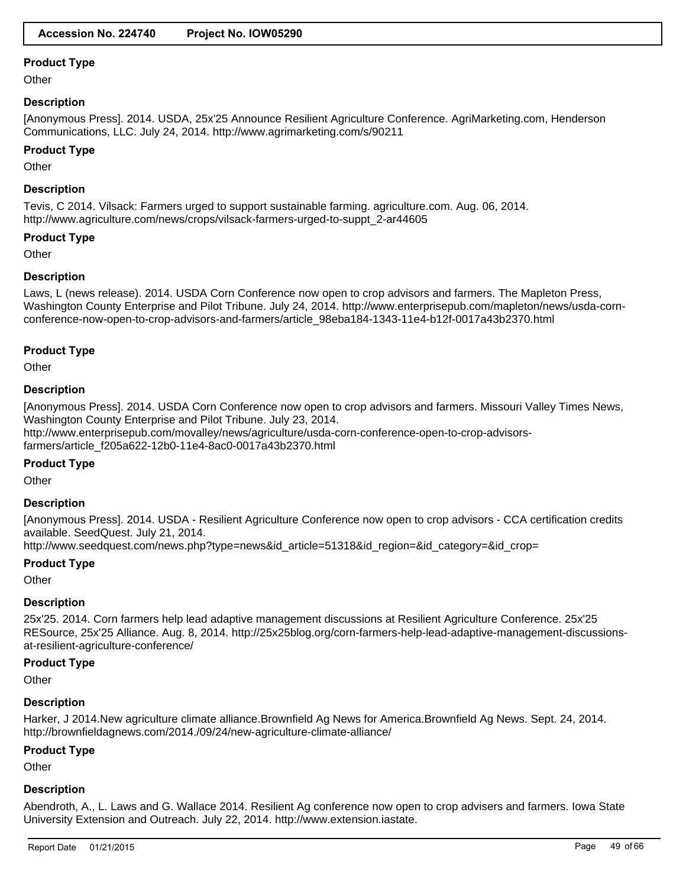**Other** 

### **Description**

[Anonymous Press]. 2014. USDA, 25x'25 Announce Resilient Agriculture Conference. AgriMarketing.com, Henderson Communications, LLC. July 24, 2014. http://www.agrimarketing.com/s/90211

#### **Product Type**

**Other** 

### **Description**

Tevis, C 2014. Vilsack: Farmers urged to support sustainable farming. agriculture.com. Aug. 06, 2014. http://www.agriculture.com/news/crops/vilsack-farmers-urged-to-suppt\_2-ar44605

# **Product Type**

**Other** 

# **Description**

Laws, L (news release). 2014. USDA Corn Conference now open to crop advisors and farmers. The Mapleton Press, Washington County Enterprise and Pilot Tribune. July 24, 2014. http://www.enterprisepub.com/mapleton/news/usda-cornconference-now-open-to-crop-advisors-and-farmers/article\_98eba184-1343-11e4-b12f-0017a43b2370.html

#### **Product Type**

**Other** 

#### **Description**

[Anonymous Press]. 2014. USDA Corn Conference now open to crop advisors and farmers. Missouri Valley Times News, Washington County Enterprise and Pilot Tribune. July 23, 2014. http://www.enterprisepub.com/movalley/news/agriculture/usda-corn-conference-open-to-crop-advisorsfarmers/article\_f205a622-12b0-11e4-8ac0-0017a43b2370.html

#### **Product Type**

**Other** 

#### **Description**

[Anonymous Press]. 2014. USDA - Resilient Agriculture Conference now open to crop advisors - CCA certification credits available. SeedQuest. July 21, 2014.

http://www.seedquest.com/news.php?type=news&id\_article=51318&id\_region=&id\_category=&id\_crop=

#### **Product Type**

**Other** 

#### **Description**

25x'25. 2014. Corn farmers help lead adaptive management discussions at Resilient Agriculture Conference. 25x'25 RESource, 25x'25 Alliance. Aug. 8, 2014. http://25x25blog.org/corn-farmers-help-lead-adaptive-management-discussionsat-resilient-agriculture-conference/

#### **Product Type**

**Other** 

#### **Description**

Harker, J 2014.New agriculture climate alliance.Brownfield Ag News for America.Brownfield Ag News. Sept. 24, 2014. http://brownfieldagnews.com/2014./09/24/new-agriculture-climate-alliance/

#### **Product Type**

**Other** 

#### **Description**

Abendroth, A., L. Laws and G. Wallace 2014. Resilient Ag conference now open to crop advisers and farmers. Iowa State University Extension and Outreach. July 22, 2014. http://www.extension.iastate.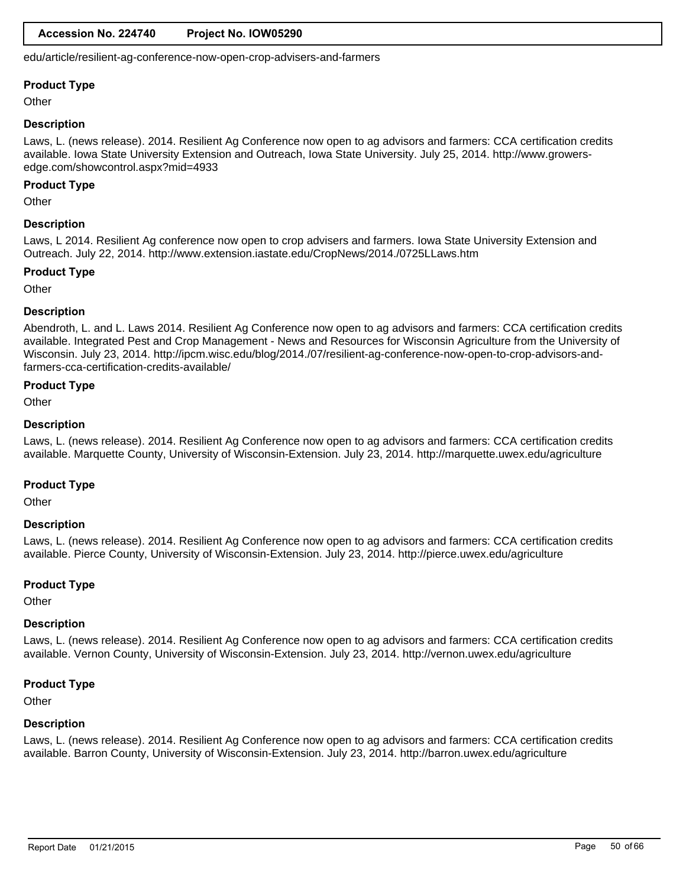edu/article/resilient-ag-conference-now-open-crop-advisers-and-farmers

#### **Product Type**

**Other** 

#### **Description**

Laws, L. (news release). 2014. Resilient Ag Conference now open to ag advisors and farmers: CCA certification credits available. Iowa State University Extension and Outreach, Iowa State University. July 25, 2014. http://www.growersedge.com/showcontrol.aspx?mid=4933

#### **Product Type**

**Other** 

#### **Description**

Laws, L 2014. Resilient Ag conference now open to crop advisers and farmers. Iowa State University Extension and Outreach. July 22, 2014. http://www.extension.iastate.edu/CropNews/2014./0725LLaws.htm

#### **Product Type**

**Other** 

#### **Description**

Abendroth, L. and L. Laws 2014. Resilient Ag Conference now open to ag advisors and farmers: CCA certification credits available. Integrated Pest and Crop Management - News and Resources for Wisconsin Agriculture from the University of Wisconsin. July 23, 2014. http://ipcm.wisc.edu/blog/2014./07/resilient-ag-conference-now-open-to-crop-advisors-andfarmers-cca-certification-credits-available/

# **Product Type**

**Other** 

#### **Description**

Laws, L. (news release). 2014. Resilient Ag Conference now open to ag advisors and farmers: CCA certification credits available. Marquette County, University of Wisconsin-Extension. July 23, 2014. http://marquette.uwex.edu/agriculture

#### **Product Type**

**Other** 

#### **Description**

Laws, L. (news release). 2014. Resilient Ag Conference now open to ag advisors and farmers: CCA certification credits available. Pierce County, University of Wisconsin-Extension. July 23, 2014. http://pierce.uwex.edu/agriculture

#### **Product Type**

**Other** 

#### **Description**

Laws, L. (news release). 2014. Resilient Ag Conference now open to ag advisors and farmers: CCA certification credits available. Vernon County, University of Wisconsin-Extension. July 23, 2014. http://vernon.uwex.edu/agriculture

#### **Product Type**

**Other** 

#### **Description**

Laws, L. (news release). 2014. Resilient Ag Conference now open to ag advisors and farmers: CCA certification credits available. Barron County, University of Wisconsin-Extension. July 23, 2014. http://barron.uwex.edu/agriculture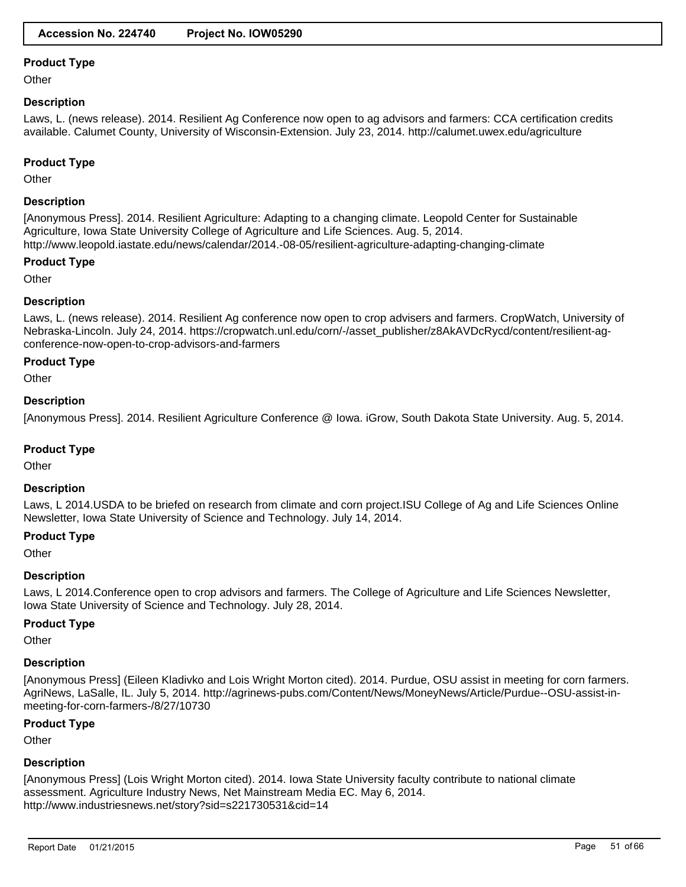**Other** 

# **Description**

Laws, L. (news release). 2014. Resilient Ag Conference now open to ag advisors and farmers: CCA certification credits available. Calumet County, University of Wisconsin-Extension. July 23, 2014. http://calumet.uwex.edu/agriculture

### **Product Type**

**Other** 

# **Description**

[Anonymous Press]. 2014. Resilient Agriculture: Adapting to a changing climate. Leopold Center for Sustainable Agriculture, Iowa State University College of Agriculture and Life Sciences. Aug. 5, 2014. http://www.leopold.iastate.edu/news/calendar/2014.-08-05/resilient-agriculture-adapting-changing-climate

#### **Product Type**

**Other** 

# **Description**

Laws, L. (news release). 2014. Resilient Ag conference now open to crop advisers and farmers. CropWatch, University of Nebraska-Lincoln. July 24, 2014. https://cropwatch.unl.edu/corn/-/asset\_publisher/z8AkAVDcRycd/content/resilient-agconference-now-open-to-crop-advisors-and-farmers

# **Product Type**

**Other** 

# **Description**

[Anonymous Press]. 2014. Resilient Agriculture Conference @ Iowa. iGrow, South Dakota State University. Aug. 5, 2014.

# **Product Type**

**Other** 

#### **Description**

Laws, L 2014.USDA to be briefed on research from climate and corn project.ISU College of Ag and Life Sciences Online Newsletter, Iowa State University of Science and Technology. July 14, 2014.

#### **Product Type**

**Other** 

#### **Description**

Laws, L 2014.Conference open to crop advisors and farmers. The College of Agriculture and Life Sciences Newsletter, Iowa State University of Science and Technology. July 28, 2014.

#### **Product Type**

**Other** 

# **Description**

[Anonymous Press] (Eileen Kladivko and Lois Wright Morton cited). 2014. Purdue, OSU assist in meeting for corn farmers. AgriNews, LaSalle, IL. July 5, 2014. http://agrinews-pubs.com/Content/News/MoneyNews/Article/Purdue--OSU-assist-inmeeting-for-corn-farmers-/8/27/10730

#### **Product Type**

**Other** 

# **Description**

[Anonymous Press] (Lois Wright Morton cited). 2014. Iowa State University faculty contribute to national climate assessment. Agriculture Industry News, Net Mainstream Media EC. May 6, 2014. http://www.industriesnews.net/story?sid=s221730531&cid=14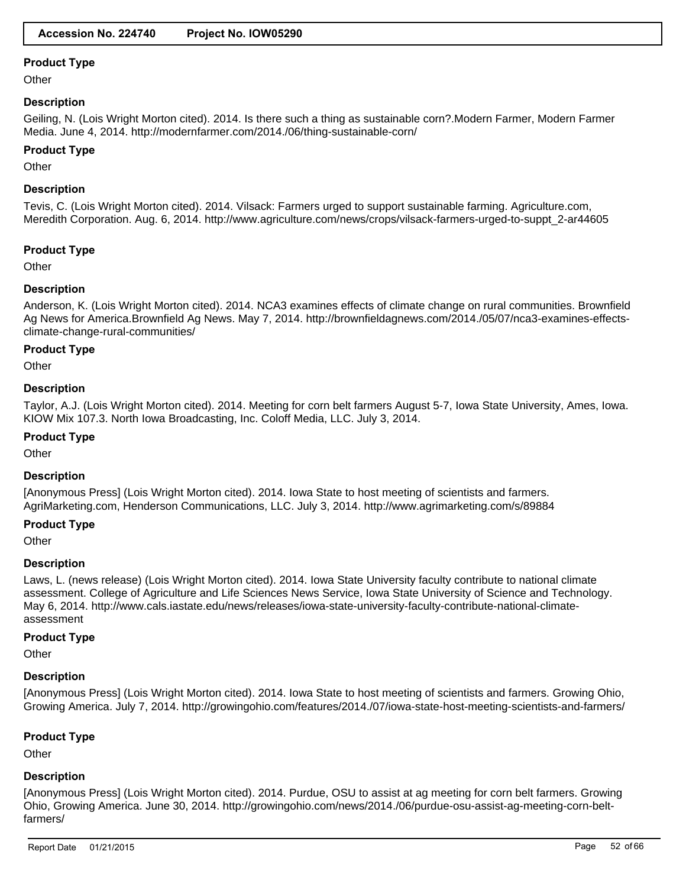**Other** 

# **Description**

Geiling, N. (Lois Wright Morton cited). 2014. Is there such a thing as sustainable corn?.Modern Farmer, Modern Farmer Media. June 4, 2014. http://modernfarmer.com/2014./06/thing-sustainable-corn/

#### **Product Type**

Other

# **Description**

Tevis, C. (Lois Wright Morton cited). 2014. Vilsack: Farmers urged to support sustainable farming. Agriculture.com, Meredith Corporation. Aug. 6, 2014. http://www.agriculture.com/news/crops/vilsack-farmers-urged-to-suppt\_2-ar44605

# **Product Type**

**Other** 

# **Description**

Anderson, K. (Lois Wright Morton cited). 2014. NCA3 examines effects of climate change on rural communities. Brownfield Ag News for America.Brownfield Ag News. May 7, 2014. http://brownfieldagnews.com/2014./05/07/nca3-examines-effectsclimate-change-rural-communities/

#### **Product Type**

**Other** 

#### **Description**

Taylor, A.J. (Lois Wright Morton cited). 2014. Meeting for corn belt farmers August 5-7, Iowa State University, Ames, Iowa. KIOW Mix 107.3. North Iowa Broadcasting, Inc. Coloff Media, LLC. July 3, 2014.

# **Product Type**

**Other** 

# **Description**

[Anonymous Press] (Lois Wright Morton cited). 2014. Iowa State to host meeting of scientists and farmers. AgriMarketing.com, Henderson Communications, LLC. July 3, 2014. http://www.agrimarketing.com/s/89884

#### **Product Type**

**Other** 

#### **Description**

Laws, L. (news release) (Lois Wright Morton cited). 2014. Iowa State University faculty contribute to national climate assessment. College of Agriculture and Life Sciences News Service, Iowa State University of Science and Technology. May 6, 2014. http://www.cals.iastate.edu/news/releases/iowa-state-university-faculty-contribute-national-climateassessment

#### **Product Type**

**Other** 

#### **Description**

[Anonymous Press] (Lois Wright Morton cited). 2014. Iowa State to host meeting of scientists and farmers. Growing Ohio, Growing America. July 7, 2014. http://growingohio.com/features/2014./07/iowa-state-host-meeting-scientists-and-farmers/

#### **Product Type**

**Other** 

#### **Description**

[Anonymous Press] (Lois Wright Morton cited). 2014. Purdue, OSU to assist at ag meeting for corn belt farmers. Growing Ohio, Growing America. June 30, 2014. http://growingohio.com/news/2014./06/purdue-osu-assist-ag-meeting-corn-beltfarmers/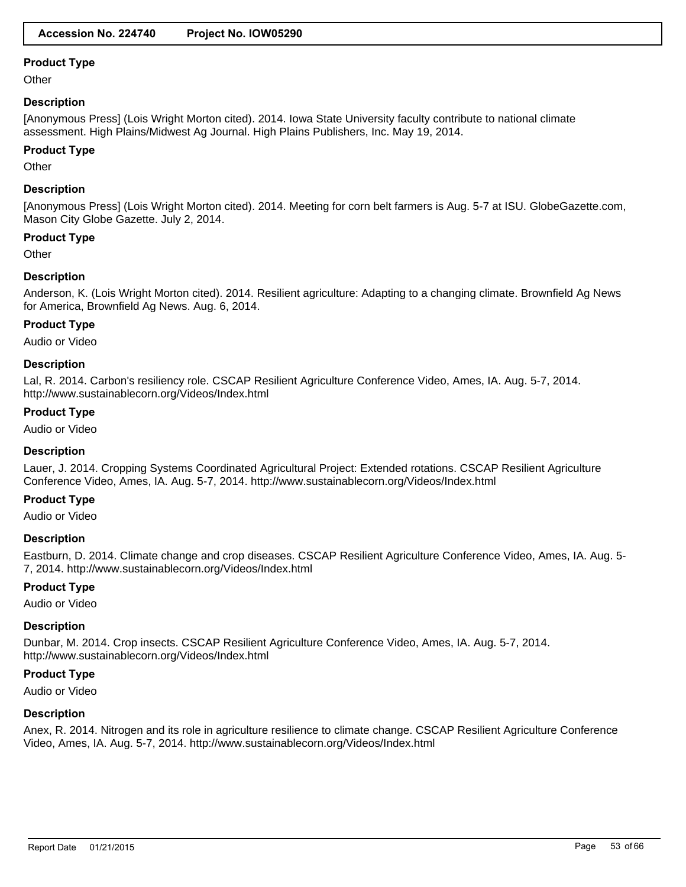**Other** 

### **Description**

[Anonymous Press] (Lois Wright Morton cited). 2014. Iowa State University faculty contribute to national climate assessment. High Plains/Midwest Ag Journal. High Plains Publishers, Inc. May 19, 2014.

#### **Product Type**

**Other** 

### **Description**

[Anonymous Press] (Lois Wright Morton cited). 2014. Meeting for corn belt farmers is Aug. 5-7 at ISU. GlobeGazette.com, Mason City Globe Gazette. July 2, 2014.

# **Product Type**

**Other** 

# **Description**

Anderson, K. (Lois Wright Morton cited). 2014. Resilient agriculture: Adapting to a changing climate. Brownfield Ag News for America, Brownfield Ag News. Aug. 6, 2014.

# **Product Type**

Audio or Video

#### **Description**

Lal, R. 2014. Carbon's resiliency role. CSCAP Resilient Agriculture Conference Video, Ames, IA. Aug. 5-7, 2014. http://www.sustainablecorn.org/Videos/Index.html

# **Product Type**

Audio or Video

#### **Description**

Lauer, J. 2014. Cropping Systems Coordinated Agricultural Project: Extended rotations. CSCAP Resilient Agriculture Conference Video, Ames, IA. Aug. 5-7, 2014. http://www.sustainablecorn.org/Videos/Index.html

#### **Product Type**

Audio or Video

#### **Description**

Eastburn, D. 2014. Climate change and crop diseases. CSCAP Resilient Agriculture Conference Video, Ames, IA. Aug. 5- 7, 2014. http://www.sustainablecorn.org/Videos/Index.html

# **Product Type**

Audio or Video

#### **Description**

Dunbar, M. 2014. Crop insects. CSCAP Resilient Agriculture Conference Video, Ames, IA. Aug. 5-7, 2014. http://www.sustainablecorn.org/Videos/Index.html

#### **Product Type**

Audio or Video

#### **Description**

Anex, R. 2014. Nitrogen and its role in agriculture resilience to climate change. CSCAP Resilient Agriculture Conference Video, Ames, IA. Aug. 5-7, 2014. http://www.sustainablecorn.org/Videos/Index.html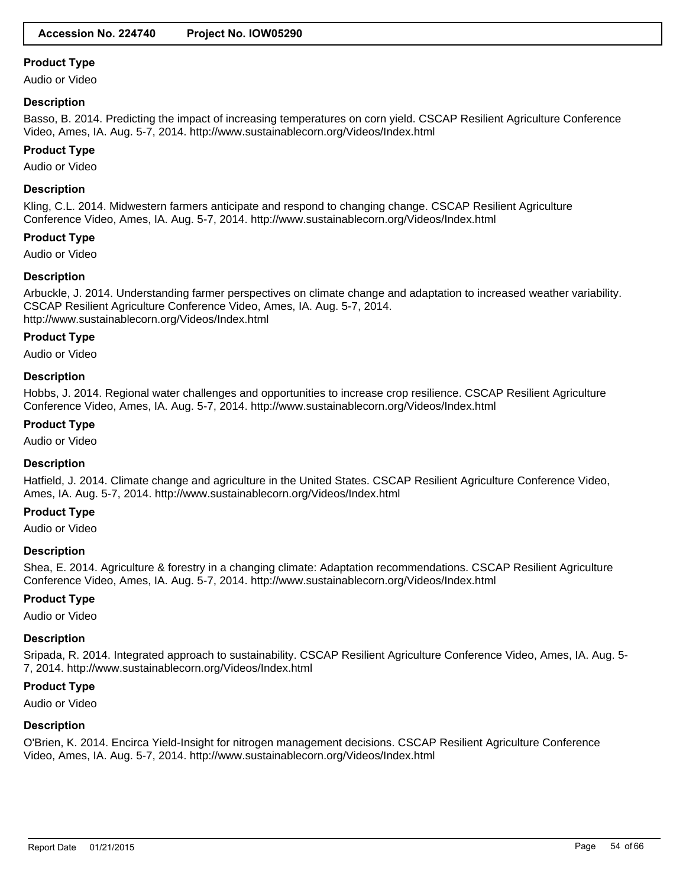Audio or Video

#### **Description**

Basso, B. 2014. Predicting the impact of increasing temperatures on corn yield. CSCAP Resilient Agriculture Conference Video, Ames, IA. Aug. 5-7, 2014. http://www.sustainablecorn.org/Videos/Index.html

### **Product Type**

Audio or Video

# **Description**

Kling, C.L. 2014. Midwestern farmers anticipate and respond to changing change. CSCAP Resilient Agriculture Conference Video, Ames, IA. Aug. 5-7, 2014. http://www.sustainablecorn.org/Videos/Index.html

#### **Product Type**

Audio or Video

# **Description**

Arbuckle, J. 2014. Understanding farmer perspectives on climate change and adaptation to increased weather variability. CSCAP Resilient Agriculture Conference Video, Ames, IA. Aug. 5-7, 2014. http://www.sustainablecorn.org/Videos/Index.html

#### **Product Type**

Audio or Video

# **Description**

Hobbs, J. 2014. Regional water challenges and opportunities to increase crop resilience. CSCAP Resilient Agriculture Conference Video, Ames, IA. Aug. 5-7, 2014. http://www.sustainablecorn.org/Videos/Index.html

# **Product Type**

Audio or Video

#### **Description**

Hatfield, J. 2014. Climate change and agriculture in the United States. CSCAP Resilient Agriculture Conference Video, Ames, IA. Aug. 5-7, 2014. http://www.sustainablecorn.org/Videos/Index.html

# **Product Type**

Audio or Video

#### **Description**

Shea, E. 2014. Agriculture & forestry in a changing climate: Adaptation recommendations. CSCAP Resilient Agriculture Conference Video, Ames, IA. Aug. 5-7, 2014. http://www.sustainablecorn.org/Videos/Index.html

#### **Product Type**

Audio or Video

#### **Description**

Sripada, R. 2014. Integrated approach to sustainability. CSCAP Resilient Agriculture Conference Video, Ames, IA. Aug. 5- 7, 2014. http://www.sustainablecorn.org/Videos/Index.html

#### **Product Type**

Audio or Video

#### **Description**

O'Brien, K. 2014. Encirca Yield-Insight for nitrogen management decisions. CSCAP Resilient Agriculture Conference Video, Ames, IA. Aug. 5-7, 2014. http://www.sustainablecorn.org/Videos/Index.html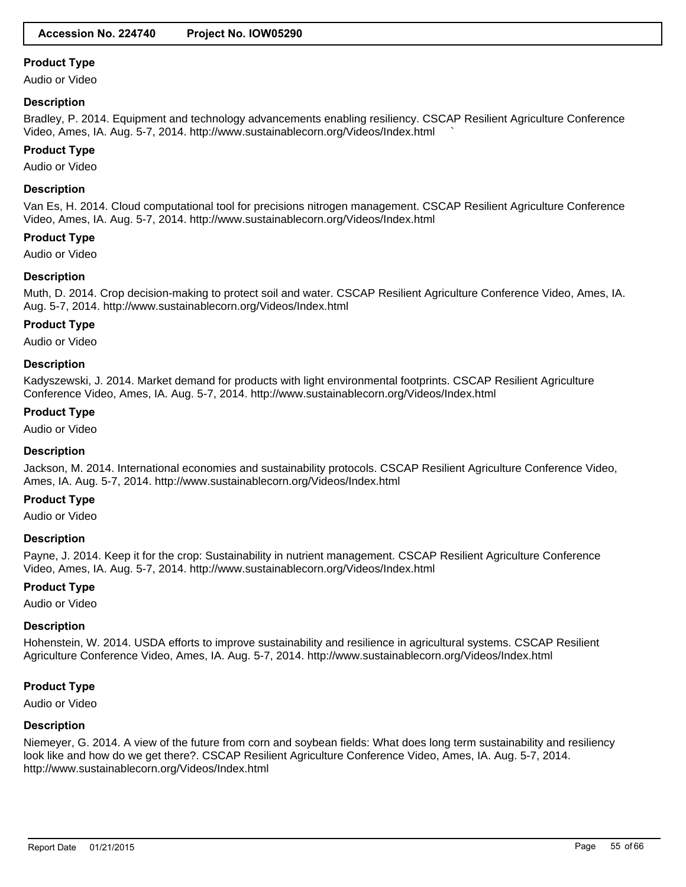Audio or Video

# **Description**

Bradley, P. 2014. Equipment and technology advancements enabling resiliency. CSCAP Resilient Agriculture Conference Video, Ames, IA. Aug. 5-7, 2014. http://www.sustainablecorn.org/Videos/Index.html `

# **Product Type**

Audio or Video

# **Description**

Van Es, H. 2014. Cloud computational tool for precisions nitrogen management. CSCAP Resilient Agriculture Conference Video, Ames, IA. Aug. 5-7, 2014. http://www.sustainablecorn.org/Videos/Index.html

#### **Product Type**

Audio or Video

# **Description**

Muth, D. 2014. Crop decision-making to protect soil and water. CSCAP Resilient Agriculture Conference Video, Ames, IA. Aug. 5-7, 2014. http://www.sustainablecorn.org/Videos/Index.html

# **Product Type**

Audio or Video

#### **Description**

Kadyszewski, J. 2014. Market demand for products with light environmental footprints. CSCAP Resilient Agriculture Conference Video, Ames, IA. Aug. 5-7, 2014. http://www.sustainablecorn.org/Videos/Index.html

# **Product Type**

Audio or Video

#### **Description**

Jackson, M. 2014. International economies and sustainability protocols. CSCAP Resilient Agriculture Conference Video, Ames, IA. Aug. 5-7, 2014. http://www.sustainablecorn.org/Videos/Index.html

### **Product Type**

Audio or Video

#### **Description**

Payne, J. 2014. Keep it for the crop: Sustainability in nutrient management. CSCAP Resilient Agriculture Conference Video, Ames, IA. Aug. 5-7, 2014. http://www.sustainablecorn.org/Videos/Index.html

#### **Product Type**

Audio or Video

# **Description**

Hohenstein, W. 2014. USDA efforts to improve sustainability and resilience in agricultural systems. CSCAP Resilient Agriculture Conference Video, Ames, IA. Aug. 5-7, 2014. http://www.sustainablecorn.org/Videos/Index.html

# **Product Type**

Audio or Video

#### **Description**

Niemeyer, G. 2014. A view of the future from corn and soybean fields: What does long term sustainability and resiliency look like and how do we get there?. CSCAP Resilient Agriculture Conference Video, Ames, IA. Aug. 5-7, 2014. http://www.sustainablecorn.org/Videos/Index.html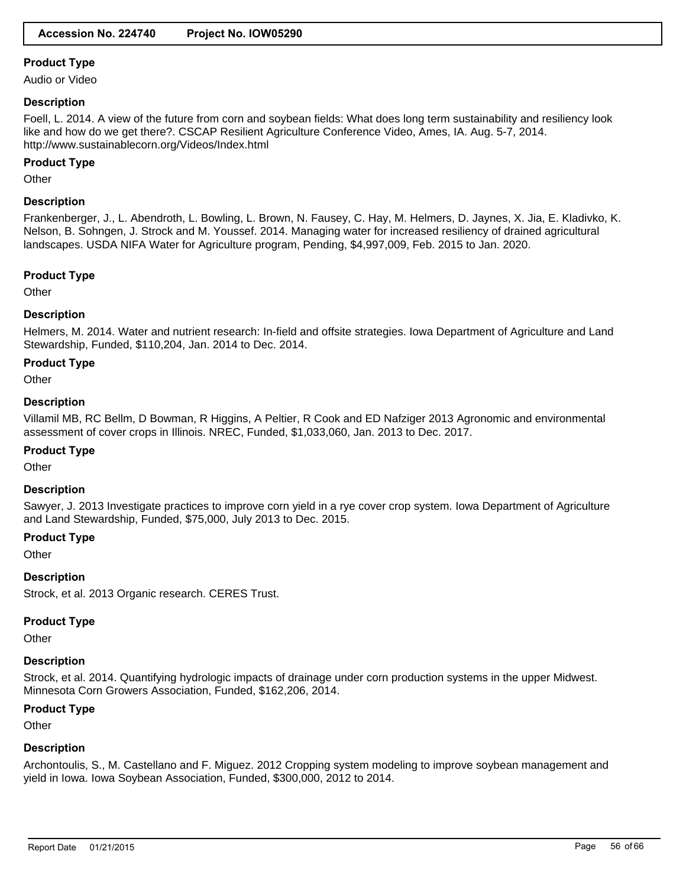Audio or Video

### **Description**

Foell, L. 2014. A view of the future from corn and soybean fields: What does long term sustainability and resiliency look like and how do we get there?. CSCAP Resilient Agriculture Conference Video, Ames, IA. Aug. 5-7, 2014. http://www.sustainablecorn.org/Videos/Index.html

# **Product Type**

**Other** 

# **Description**

Frankenberger, J., L. Abendroth, L. Bowling, L. Brown, N. Fausey, C. Hay, M. Helmers, D. Jaynes, X. Jia, E. Kladivko, K. Nelson, B. Sohngen, J. Strock and M. Youssef. 2014. Managing water for increased resiliency of drained agricultural landscapes. USDA NIFA Water for Agriculture program, Pending, \$4,997,009, Feb. 2015 to Jan. 2020.

# **Product Type**

**Other** 

# **Description**

Helmers, M. 2014. Water and nutrient research: In-field and offsite strategies. Iowa Department of Agriculture and Land Stewardship, Funded, \$110,204, Jan. 2014 to Dec. 2014.

# **Product Type**

**Other** 

# **Description**

Villamil MB, RC Bellm, D Bowman, R Higgins, A Peltier, R Cook and ED Nafziger 2013 Agronomic and environmental assessment of cover crops in Illinois. NREC, Funded, \$1,033,060, Jan. 2013 to Dec. 2017.

#### **Product Type**

**Other** 

#### **Description**

Sawyer, J. 2013 Investigate practices to improve corn yield in a rye cover crop system. Iowa Department of Agriculture and Land Stewardship, Funded, \$75,000, July 2013 to Dec. 2015.

#### **Product Type**

**Other** 

#### **Description**

Strock, et al. 2013 Organic research. CERES Trust.

# **Product Type**

**Other** 

# **Description**

Strock, et al. 2014. Quantifying hydrologic impacts of drainage under corn production systems in the upper Midwest. Minnesota Corn Growers Association, Funded, \$162,206, 2014.

#### **Product Type**

**Other** 

# **Description**

Archontoulis, S., M. Castellano and F. Miguez. 2012 Cropping system modeling to improve soybean management and yield in Iowa. Iowa Soybean Association, Funded, \$300,000, 2012 to 2014.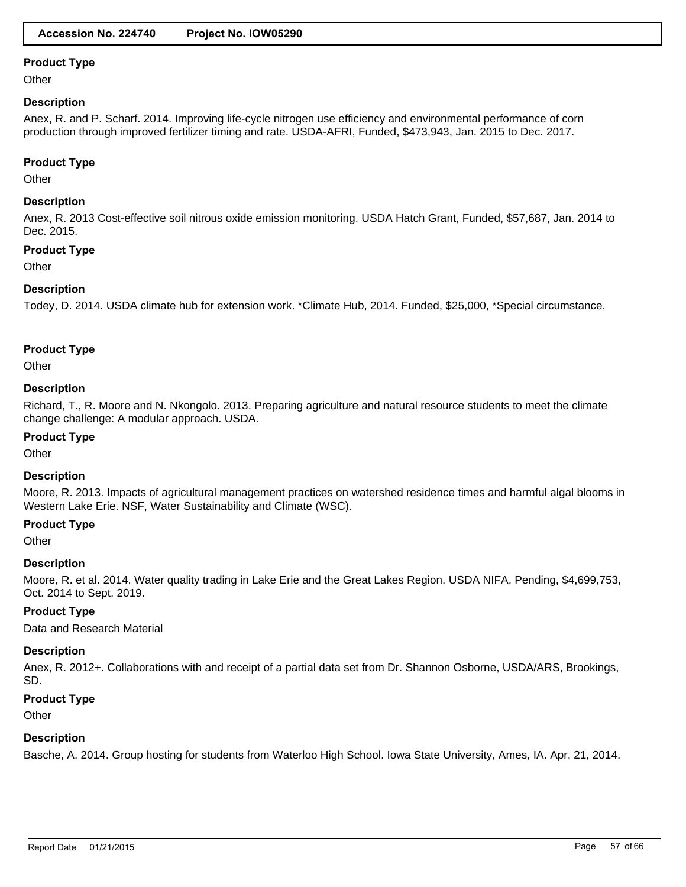**Other** 

# **Description**

Anex, R. and P. Scharf. 2014. Improving life-cycle nitrogen use efficiency and environmental performance of corn production through improved fertilizer timing and rate. USDA-AFRI, Funded, \$473,943, Jan. 2015 to Dec. 2017.

#### **Product Type**

**Other** 

# **Description**

Anex, R. 2013 Cost-effective soil nitrous oxide emission monitoring. USDA Hatch Grant, Funded, \$57,687, Jan. 2014 to Dec. 2015.

#### **Product Type**

**Other** 

# **Description**

Todey, D. 2014. USDA climate hub for extension work. \*Climate Hub, 2014. Funded, \$25,000, \*Special circumstance.

# **Product Type**

**Other** 

# **Description**

Richard, T., R. Moore and N. Nkongolo. 2013. Preparing agriculture and natural resource students to meet the climate change challenge: A modular approach. USDA.

# **Product Type**

**Other** 

# **Description**

Moore, R. 2013. Impacts of agricultural management practices on watershed residence times and harmful algal blooms in Western Lake Erie. NSF, Water Sustainability and Climate (WSC).

### **Product Type**

**Other** 

#### **Description**

Moore, R. et al. 2014. Water quality trading in Lake Erie and the Great Lakes Region. USDA NIFA, Pending, \$4,699,753, Oct. 2014 to Sept. 2019.

# **Product Type**

Data and Research Material

#### **Description**

Anex, R. 2012+. Collaborations with and receipt of a partial data set from Dr. Shannon Osborne, USDA/ARS, Brookings, SD.

#### **Product Type**

**Other** 

# **Description**

Basche, A. 2014. Group hosting for students from Waterloo High School. Iowa State University, Ames, IA. Apr. 21, 2014.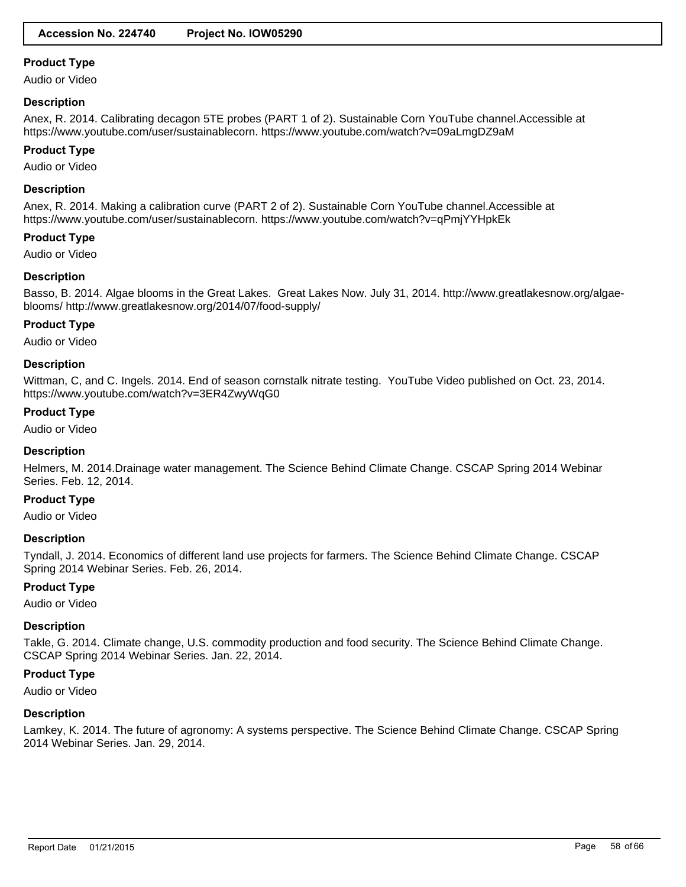Audio or Video

#### **Description**

Anex, R. 2014. Calibrating decagon 5TE probes (PART 1 of 2). Sustainable Corn YouTube channel.Accessible at https://www.youtube.com/user/sustainablecorn. https://www.youtube.com/watch?v=09aLmgDZ9aM

#### **Product Type**

Audio or Video

### **Description**

Anex, R. 2014. Making a calibration curve (PART 2 of 2). Sustainable Corn YouTube channel.Accessible at https://www.youtube.com/user/sustainablecorn. https://www.youtube.com/watch?v=qPmjYYHpkEk

#### **Product Type**

Audio or Video

# **Description**

Basso, B. 2014. Algae blooms in the Great Lakes. Great Lakes Now. July 31, 2014. http://www.greatlakesnow.org/algaeblooms/ http://www.greatlakesnow.org/2014/07/food-supply/

# **Product Type**

Audio or Video

#### **Description**

Wittman, C, and C. Ingels. 2014. End of season cornstalk nitrate testing. YouTube Video published on Oct. 23, 2014. https://www.youtube.com/watch?v=3ER4ZwyWqG0

# **Product Type**

Audio or Video

#### **Description**

Helmers, M. 2014.Drainage water management. The Science Behind Climate Change. CSCAP Spring 2014 Webinar Series. Feb. 12, 2014.

### **Product Type**

Audio or Video

#### **Description**

Tyndall, J. 2014. Economics of different land use projects for farmers. The Science Behind Climate Change. CSCAP Spring 2014 Webinar Series. Feb. 26, 2014.

# **Product Type**

Audio or Video

# **Description**

Takle, G. 2014. Climate change, U.S. commodity production and food security. The Science Behind Climate Change. CSCAP Spring 2014 Webinar Series. Jan. 22, 2014.

#### **Product Type**

Audio or Video

#### **Description**

Lamkey, K. 2014. The future of agronomy: A systems perspective. The Science Behind Climate Change. CSCAP Spring 2014 Webinar Series. Jan. 29, 2014.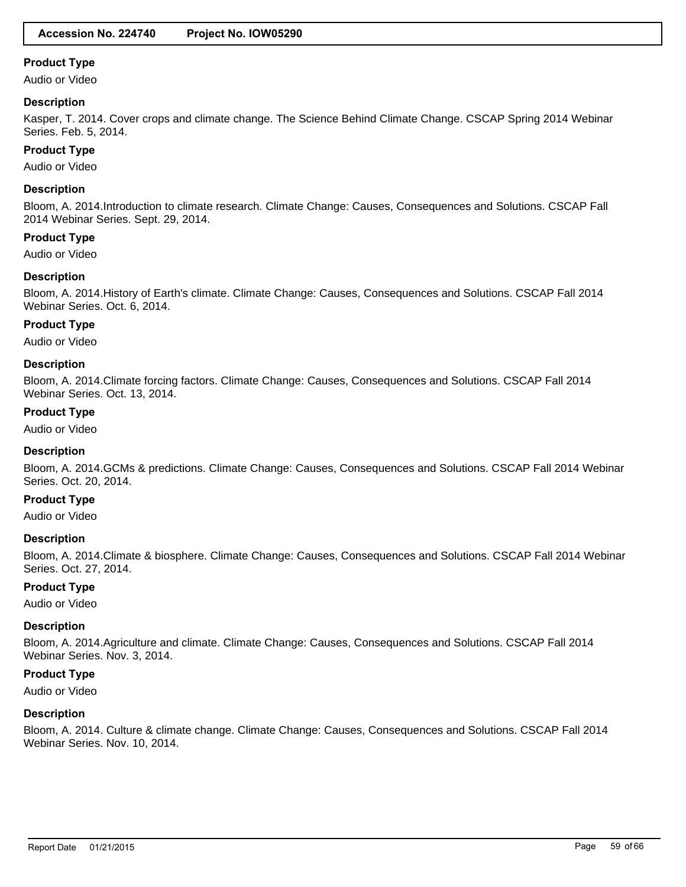Audio or Video

### **Description**

Kasper, T. 2014. Cover crops and climate change. The Science Behind Climate Change. CSCAP Spring 2014 Webinar Series. Feb. 5, 2014.

### **Product Type**

Audio or Video

# **Description**

Bloom, A. 2014.Introduction to climate research. Climate Change: Causes, Consequences and Solutions. CSCAP Fall 2014 Webinar Series. Sept. 29, 2014.

#### **Product Type**

Audio or Video

#### **Description**

Bloom, A. 2014.History of Earth's climate. Climate Change: Causes, Consequences and Solutions. CSCAP Fall 2014 Webinar Series. Oct. 6, 2014.

# **Product Type**

Audio or Video

#### **Description**

Bloom, A. 2014.Climate forcing factors. Climate Change: Causes, Consequences and Solutions. CSCAP Fall 2014 Webinar Series. Oct. 13, 2014.

# **Product Type**

Audio or Video

#### **Description**

Bloom, A. 2014.GCMs & predictions. Climate Change: Causes, Consequences and Solutions. CSCAP Fall 2014 Webinar Series. Oct. 20, 2014.

### **Product Type**

Audio or Video

#### **Description**

Bloom, A. 2014.Climate & biosphere. Climate Change: Causes, Consequences and Solutions. CSCAP Fall 2014 Webinar Series. Oct. 27, 2014.

#### **Product Type**

Audio or Video

#### **Description**

Bloom, A. 2014.Agriculture and climate. Climate Change: Causes, Consequences and Solutions. CSCAP Fall 2014 Webinar Series. Nov. 3, 2014.

#### **Product Type**

Audio or Video

#### **Description**

Bloom, A. 2014. Culture & climate change. Climate Change: Causes, Consequences and Solutions. CSCAP Fall 2014 Webinar Series. Nov. 10, 2014.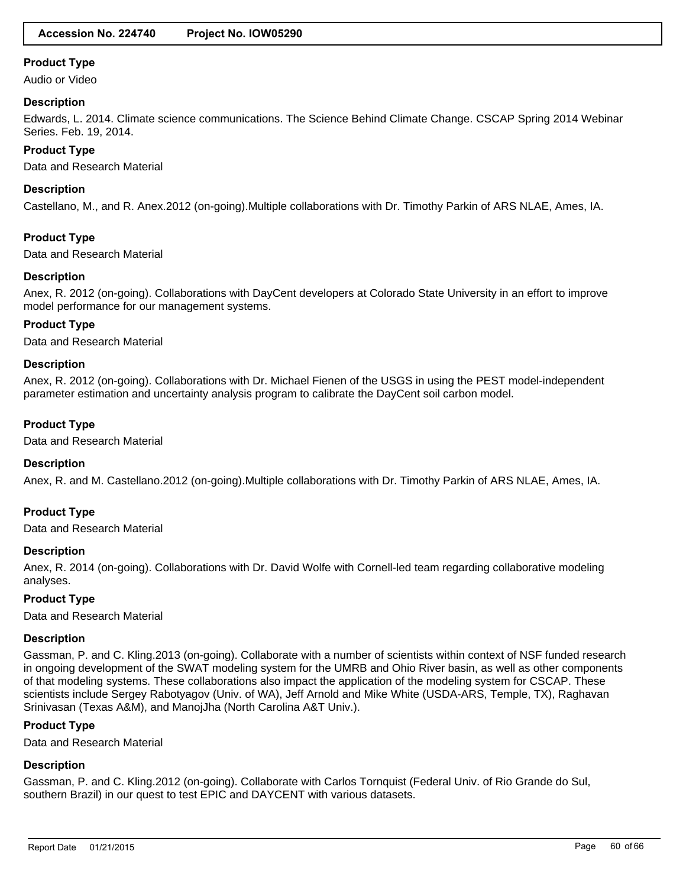Audio or Video

### **Description**

Edwards, L. 2014. Climate science communications. The Science Behind Climate Change. CSCAP Spring 2014 Webinar Series. Feb. 19, 2014.

# **Product Type**

Data and Research Material

### **Description**

Castellano, M., and R. Anex.2012 (on-going).Multiple collaborations with Dr. Timothy Parkin of ARS NLAE, Ames, IA.

# **Product Type**

Data and Research Material

# **Description**

Anex, R. 2012 (on-going). Collaborations with DayCent developers at Colorado State University in an effort to improve model performance for our management systems.

# **Product Type**

Data and Research Material

# **Description**

Anex, R. 2012 (on-going). Collaborations with Dr. Michael Fienen of the USGS in using the PEST model-independent parameter estimation and uncertainty analysis program to calibrate the DayCent soil carbon model.

# **Product Type**

Data and Research Material

#### **Description**

Anex, R. and M. Castellano.2012 (on-going).Multiple collaborations with Dr. Timothy Parkin of ARS NLAE, Ames, IA.

# **Product Type**

Data and Research Material

#### **Description**

Anex, R. 2014 (on-going). Collaborations with Dr. David Wolfe with Cornell-led team regarding collaborative modeling analyses.

# **Product Type**

Data and Research Material

#### **Description**

Gassman, P. and C. Kling.2013 (on-going). Collaborate with a number of scientists within context of NSF funded research in ongoing development of the SWAT modeling system for the UMRB and Ohio River basin, as well as other components of that modeling systems. These collaborations also impact the application of the modeling system for CSCAP. These scientists include Sergey Rabotyagov (Univ. of WA), Jeff Arnold and Mike White (USDA-ARS, Temple, TX), Raghavan Srinivasan (Texas A&M), and ManojJha (North Carolina A&T Univ.).

# **Product Type**

Data and Research Material

# **Description**

Gassman, P. and C. Kling.2012 (on-going). Collaborate with Carlos Tornquist (Federal Univ. of Rio Grande do Sul, southern Brazil) in our quest to test EPIC and DAYCENT with various datasets.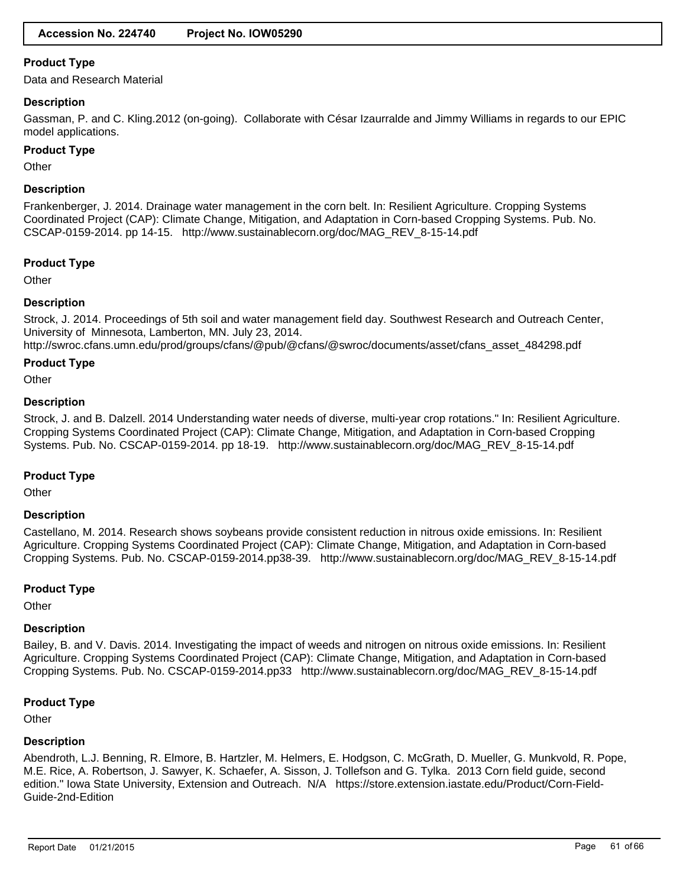Data and Research Material

#### **Description**

Gassman, P. and C. Kling.2012 (on-going). Collaborate with César Izaurralde and Jimmy Williams in regards to our EPIC model applications.

#### **Product Type**

Other

#### **Description**

Frankenberger, J. 2014. Drainage water management in the corn belt. In: Resilient Agriculture. Cropping Systems Coordinated Project (CAP): Climate Change, Mitigation, and Adaptation in Corn-based Cropping Systems. Pub. No. CSCAP-0159-2014. pp 14-15. http://www.sustainablecorn.org/doc/MAG\_REV\_8-15-14.pdf

#### **Product Type**

**Other** 

#### **Description**

Strock, J. 2014. Proceedings of 5th soil and water management field day. Southwest Research and Outreach Center, University of Minnesota, Lamberton, MN. July 23, 2014.

http://swroc.cfans.umn.edu/prod/groups/cfans/@pub/@cfans/@swroc/documents/asset/cfans\_asset\_484298.pdf

#### **Product Type**

**Other** 

#### **Description**

Strock, J. and B. Dalzell. 2014 Understanding water needs of diverse, multi-year crop rotations." In: Resilient Agriculture. Cropping Systems Coordinated Project (CAP): Climate Change, Mitigation, and Adaptation in Corn-based Cropping Systems. Pub. No. CSCAP-0159-2014. pp 18-19. http://www.sustainablecorn.org/doc/MAG\_REV\_8-15-14.pdf

#### **Product Type**

**Other** 

#### **Description**

Castellano, M. 2014. Research shows soybeans provide consistent reduction in nitrous oxide emissions. In: Resilient Agriculture. Cropping Systems Coordinated Project (CAP): Climate Change, Mitigation, and Adaptation in Corn-based Cropping Systems. Pub. No. CSCAP-0159-2014.pp38-39. http://www.sustainablecorn.org/doc/MAG\_REV\_8-15-14.pdf

#### **Product Type**

**Other** 

#### **Description**

Bailey, B. and V. Davis. 2014. Investigating the impact of weeds and nitrogen on nitrous oxide emissions. In: Resilient Agriculture. Cropping Systems Coordinated Project (CAP): Climate Change, Mitigation, and Adaptation in Corn-based Cropping Systems. Pub. No. CSCAP-0159-2014.pp33 http://www.sustainablecorn.org/doc/MAG\_REV\_8-15-14.pdf

#### **Product Type**

**Other** 

#### **Description**

Abendroth, L.J. Benning, R. Elmore, B. Hartzler, M. Helmers, E. Hodgson, C. McGrath, D. Mueller, G. Munkvold, R. Pope, M.E. Rice, A. Robertson, J. Sawyer, K. Schaefer, A. Sisson, J. Tollefson and G. Tylka. 2013 Corn field guide, second edition." Iowa State University, Extension and Outreach. N/A https://store.extension.iastate.edu/Product/Corn-Field-Guide-2nd-Edition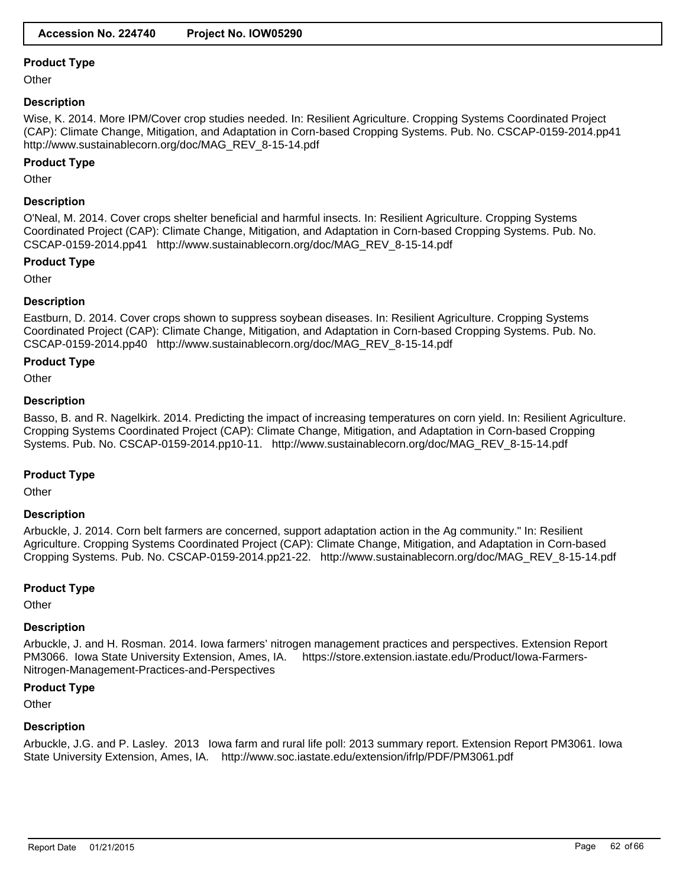**Other** 

### **Description**

Wise, K. 2014. More IPM/Cover crop studies needed. In: Resilient Agriculture. Cropping Systems Coordinated Project (CAP): Climate Change, Mitigation, and Adaptation in Corn-based Cropping Systems. Pub. No. CSCAP-0159-2014.pp41 http://www.sustainablecorn.org/doc/MAG\_REV\_8-15-14.pdf

# **Product Type**

**Other** 

# **Description**

O'Neal, M. 2014. Cover crops shelter beneficial and harmful insects. In: Resilient Agriculture. Cropping Systems Coordinated Project (CAP): Climate Change, Mitigation, and Adaptation in Corn-based Cropping Systems. Pub. No. CSCAP-0159-2014.pp41 http://www.sustainablecorn.org/doc/MAG\_REV\_8-15-14.pdf

#### **Product Type**

**Other** 

# **Description**

Eastburn, D. 2014. Cover crops shown to suppress soybean diseases. In: Resilient Agriculture. Cropping Systems Coordinated Project (CAP): Climate Change, Mitigation, and Adaptation in Corn-based Cropping Systems. Pub. No. CSCAP-0159-2014.pp40 http://www.sustainablecorn.org/doc/MAG\_REV\_8-15-14.pdf

# **Product Type**

**Other** 

# **Description**

Basso, B. and R. Nagelkirk. 2014. Predicting the impact of increasing temperatures on corn yield. In: Resilient Agriculture. Cropping Systems Coordinated Project (CAP): Climate Change, Mitigation, and Adaptation in Corn-based Cropping Systems. Pub. No. CSCAP-0159-2014.pp10-11. http://www.sustainablecorn.org/doc/MAG\_REV\_8-15-14.pdf

# **Product Type**

**Other** 

#### **Description**

Arbuckle, J. 2014. Corn belt farmers are concerned, support adaptation action in the Ag community." In: Resilient Agriculture. Cropping Systems Coordinated Project (CAP): Climate Change, Mitigation, and Adaptation in Corn-based Cropping Systems. Pub. No. CSCAP-0159-2014.pp21-22. http://www.sustainablecorn.org/doc/MAG\_REV\_8-15-14.pdf

#### **Product Type**

**Other** 

#### **Description**

Arbuckle, J. and H. Rosman. 2014. Iowa farmers' nitrogen management practices and perspectives. Extension Report PM3066. Iowa State University Extension, Ames, IA. https://store.extension.iastate.edu/Product/Iowa-Farmers-Nitrogen-Management-Practices-and-Perspectives

#### **Product Type**

**Other** 

# **Description**

Arbuckle, J.G. and P. Lasley. 2013 Iowa farm and rural life poll: 2013 summary report. Extension Report PM3061. Iowa State University Extension, Ames, IA. http://www.soc.iastate.edu/extension/ifrlp/PDF/PM3061.pdf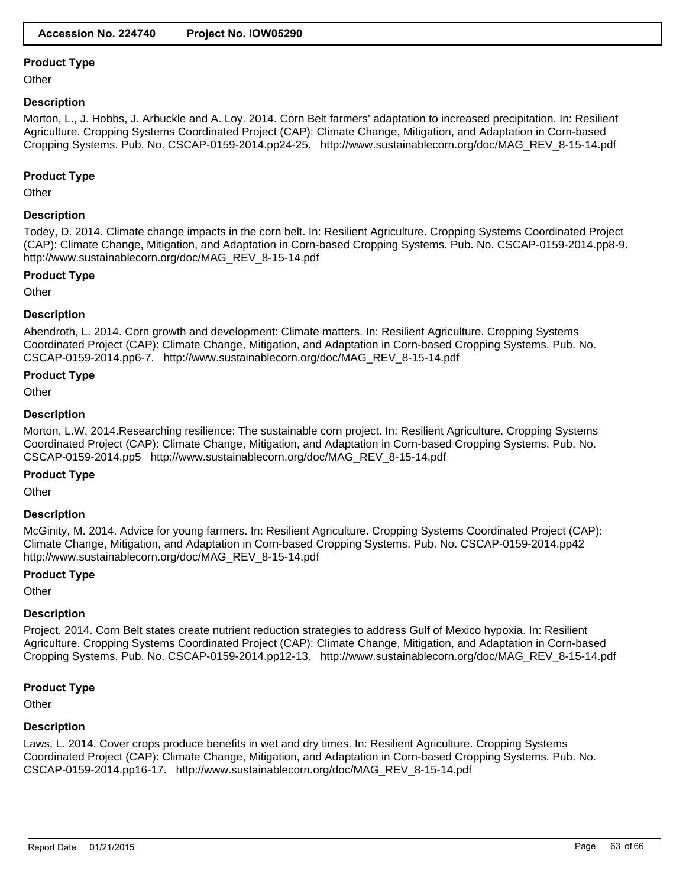**Other** 

# **Description**

Morton, L., J. Hobbs, J. Arbuckle and A. Loy. 2014. Corn Belt farmers' adaptation to increased precipitation. In: Resilient Agriculture. Cropping Systems Coordinated Project (CAP): Climate Change, Mitigation, and Adaptation in Corn-based Cropping Systems. Pub. No. CSCAP-0159-2014.pp24-25. http://www.sustainablecorn.org/doc/MAG\_REV\_8-15-14.pdf

# **Product Type**

**Other** 

# **Description**

Todey, D. 2014. Climate change impacts in the corn belt. In: Resilient Agriculture. Cropping Systems Coordinated Project (CAP): Climate Change, Mitigation, and Adaptation in Corn-based Cropping Systems. Pub. No. CSCAP-0159-2014.pp8-9. http://www.sustainablecorn.org/doc/MAG\_REV\_8-15-14.pdf

# **Product Type**

**Other** 

# **Description**

Abendroth, L. 2014. Corn growth and development: Climate matters. In: Resilient Agriculture. Cropping Systems Coordinated Project (CAP): Climate Change, Mitigation, and Adaptation in Corn-based Cropping Systems. Pub. No. CSCAP-0159-2014.pp6-7. http://www.sustainablecorn.org/doc/MAG\_REV\_8-15-14.pdf

#### **Product Type**

**Other** 

# **Description**

Morton, L.W. 2014.Researching resilience: The sustainable corn project. In: Resilient Agriculture. Cropping Systems Coordinated Project (CAP): Climate Change, Mitigation, and Adaptation in Corn-based Cropping Systems. Pub. No. CSCAP-0159-2014.pp5 http://www.sustainablecorn.org/doc/MAG\_REV\_8-15-14.pdf

# **Product Type**

**Other** 

# **Description**

McGinity, M. 2014. Advice for young farmers. In: Resilient Agriculture. Cropping Systems Coordinated Project (CAP): Climate Change, Mitigation, and Adaptation in Corn-based Cropping Systems. Pub. No. CSCAP-0159-2014.pp42 http://www.sustainablecorn.org/doc/MAG\_REV\_8-15-14.pdf

#### **Product Type**

**Other** 

# **Description**

Project. 2014. Corn Belt states create nutrient reduction strategies to address Gulf of Mexico hypoxia. In: Resilient Agriculture. Cropping Systems Coordinated Project (CAP): Climate Change, Mitigation, and Adaptation in Corn-based Cropping Systems. Pub. No. CSCAP-0159-2014.pp12-13. http://www.sustainablecorn.org/doc/MAG\_REV\_8-15-14.pdf

# **Product Type**

**Other** 

# **Description**

Laws, L. 2014. Cover crops produce benefits in wet and dry times. In: Resilient Agriculture. Cropping Systems Coordinated Project (CAP): Climate Change, Mitigation, and Adaptation in Corn-based Cropping Systems. Pub. No. CSCAP-0159-2014.pp16-17. http://www.sustainablecorn.org/doc/MAG\_REV\_8-15-14.pdf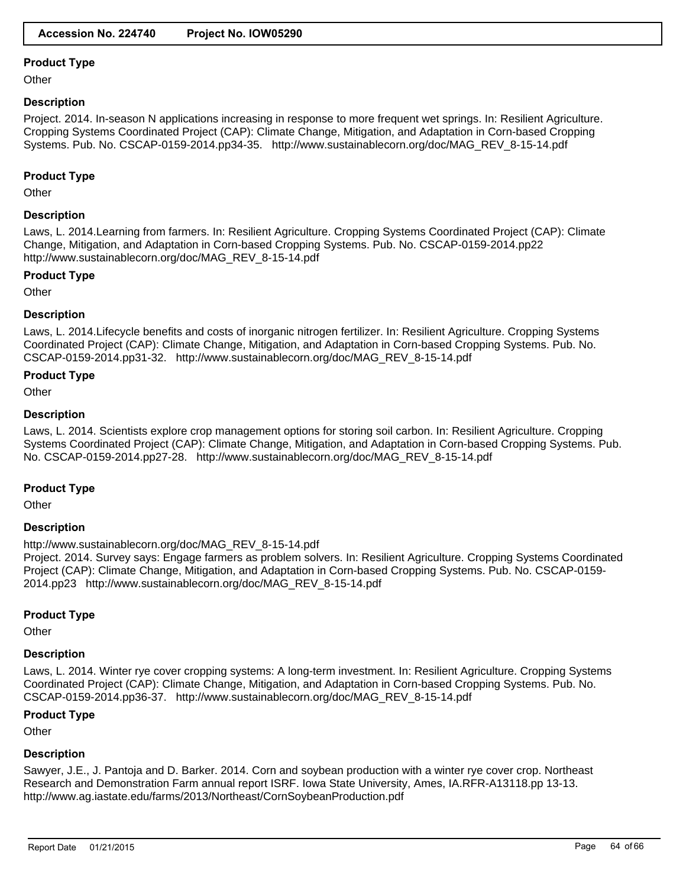**Other** 

### **Description**

Project. 2014. In-season N applications increasing in response to more frequent wet springs. In: Resilient Agriculture. Cropping Systems Coordinated Project (CAP): Climate Change, Mitigation, and Adaptation in Corn-based Cropping Systems. Pub. No. CSCAP-0159-2014.pp34-35. http://www.sustainablecorn.org/doc/MAG\_REV\_8-15-14.pdf

# **Product Type**

**Other** 

# **Description**

Laws, L. 2014.Learning from farmers. In: Resilient Agriculture. Cropping Systems Coordinated Project (CAP): Climate Change, Mitigation, and Adaptation in Corn-based Cropping Systems. Pub. No. CSCAP-0159-2014.pp22 http://www.sustainablecorn.org/doc/MAG\_REV\_8-15-14.pdf

#### **Product Type**

**Other** 

# **Description**

Laws, L. 2014.Lifecycle benefits and costs of inorganic nitrogen fertilizer. In: Resilient Agriculture. Cropping Systems Coordinated Project (CAP): Climate Change, Mitigation, and Adaptation in Corn-based Cropping Systems. Pub. No. CSCAP-0159-2014.pp31-32. http://www.sustainablecorn.org/doc/MAG\_REV\_8-15-14.pdf

#### **Product Type**

**Other** 

# **Description**

Laws, L. 2014. Scientists explore crop management options for storing soil carbon. In: Resilient Agriculture. Cropping Systems Coordinated Project (CAP): Climate Change, Mitigation, and Adaptation in Corn-based Cropping Systems. Pub. No. CSCAP-0159-2014.pp27-28. http://www.sustainablecorn.org/doc/MAG\_REV\_8-15-14.pdf

#### **Product Type**

**Other** 

#### **Description**

http://www.sustainablecorn.org/doc/MAG\_REV\_8-15-14.pdf

Project. 2014. Survey says: Engage farmers as problem solvers. In: Resilient Agriculture. Cropping Systems Coordinated Project (CAP): Climate Change, Mitigation, and Adaptation in Corn-based Cropping Systems. Pub. No. CSCAP-0159- 2014.pp23 http://www.sustainablecorn.org/doc/MAG\_REV\_8-15-14.pdf

# **Product Type**

**Other** 

# **Description**

Laws, L. 2014. Winter rye cover cropping systems: A long-term investment. In: Resilient Agriculture. Cropping Systems Coordinated Project (CAP): Climate Change, Mitigation, and Adaptation in Corn-based Cropping Systems. Pub. No. CSCAP-0159-2014.pp36-37. http://www.sustainablecorn.org/doc/MAG\_REV\_8-15-14.pdf

#### **Product Type**

**Other** 

# **Description**

Sawyer, J.E., J. Pantoja and D. Barker. 2014. Corn and soybean production with a winter rye cover crop. Northeast Research and Demonstration Farm annual report ISRF. Iowa State University, Ames, IA.RFR-A13118.pp 13-13. http://www.ag.iastate.edu/farms/2013/Northeast/CornSoybeanProduction.pdf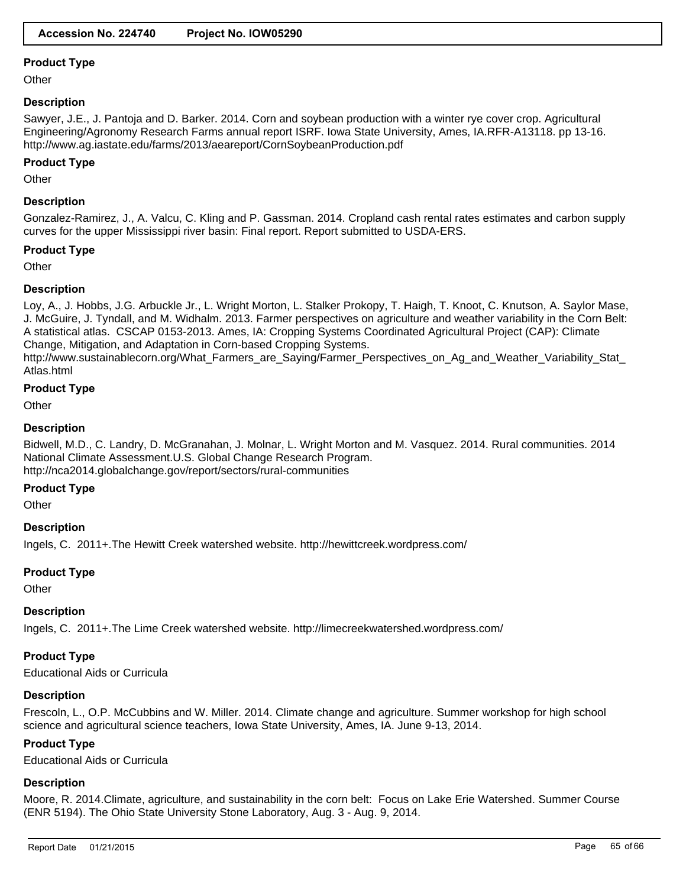**Other** 

### **Description**

Sawyer, J.E., J. Pantoja and D. Barker. 2014. Corn and soybean production with a winter rye cover crop. Agricultural Engineering/Agronomy Research Farms annual report ISRF. Iowa State University, Ames, IA.RFR-A13118. pp 13-16. http://www.ag.iastate.edu/farms/2013/aeareport/CornSoybeanProduction.pdf

### **Product Type**

**Other** 

# **Description**

Gonzalez-Ramirez, J., A. Valcu, C. Kling and P. Gassman. 2014. Cropland cash rental rates estimates and carbon supply curves for the upper Mississippi river basin: Final report. Report submitted to USDA-ERS.

# **Product Type**

**Other** 

# **Description**

Loy, A., J. Hobbs, J.G. Arbuckle Jr., L. Wright Morton, L. Stalker Prokopy, T. Haigh, T. Knoot, C. Knutson, A. Saylor Mase, J. McGuire, J. Tyndall, and M. Widhalm. 2013. Farmer perspectives on agriculture and weather variability in the Corn Belt: A statistical atlas. CSCAP 0153-2013. Ames, IA: Cropping Systems Coordinated Agricultural Project (CAP): Climate Change, Mitigation, and Adaptation in Corn-based Cropping Systems.

http://www.sustainablecorn.org/What\_Farmers\_are\_Saying/Farmer\_Perspectives\_on\_Ag\_and\_Weather\_Variability\_Stat\_ Atlas.html

#### **Product Type**

**Other** 

# **Description**

Bidwell, M.D., C. Landry, D. McGranahan, J. Molnar, L. Wright Morton and M. Vasquez. 2014. Rural communities. 2014 National Climate Assessment.U.S. Global Change Research Program. http://nca2014.globalchange.gov/report/sectors/rural-communities

#### **Product Type**

**Other** 

#### **Description**

Ingels, C. 2011+.The Hewitt Creek watershed website. http://hewittcreek.wordpress.com/

#### **Product Type**

**Other** 

#### **Description**

Ingels, C. 2011+.The Lime Creek watershed website. http://limecreekwatershed.wordpress.com/

# **Product Type**

Educational Aids or Curricula

#### **Description**

Frescoln, L., O.P. McCubbins and W. Miller. 2014. Climate change and agriculture. Summer workshop for high school science and agricultural science teachers, Iowa State University, Ames, IA. June 9-13, 2014.

# **Product Type**

Educational Aids or Curricula

#### **Description**

Moore, R. 2014. Climate, agriculture, and sustainability in the corn belt: Focus on Lake Erie Watershed. Summer Course (ENR 5194). The Ohio State University Stone Laboratory, Aug. 3 - Aug. 9, 2014.